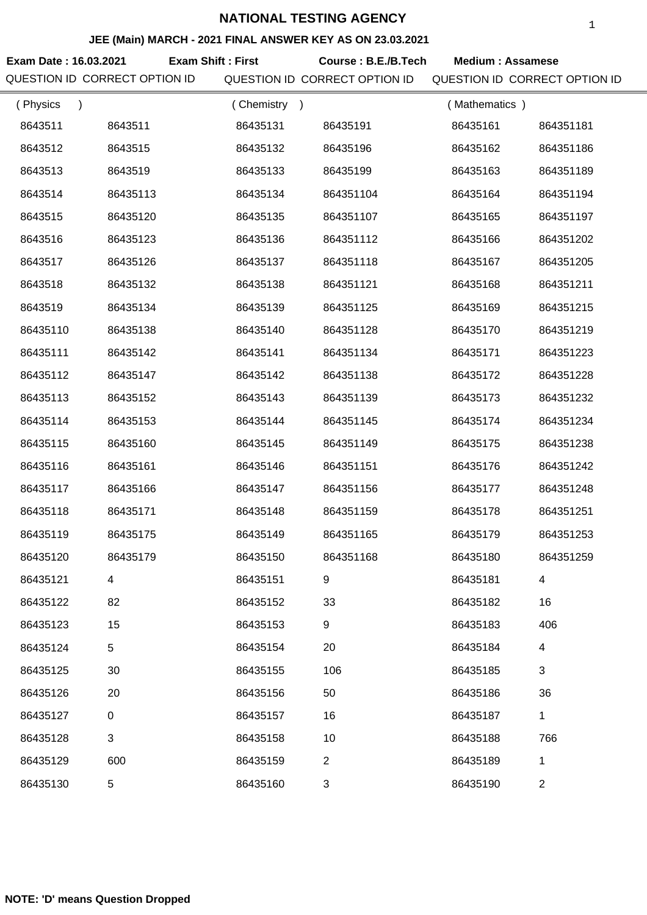#### **JEE (Main) MARCH - 2021 FINAL ANSWER KEY AS ON 23.03.2021**

**Exam Date : 16.03.2021 Course : B.E./B.Tech Medium : Assamese Exam Shift : First**

| QUESTION ID CORRECT OPTION ID |             |             | QUESTION ID CORRECT OPTION ID |               | QUESTION ID CORRECT OPTION ID |  |
|-------------------------------|-------------|-------------|-------------------------------|---------------|-------------------------------|--|
| (Physics<br>$\mathcal{E}$     |             | (Chemistry) |                               | (Mathematics) |                               |  |
| 8643511                       | 8643511     | 86435131    | 86435191                      | 86435161      | 864351181                     |  |
| 8643512                       | 8643515     | 86435132    | 86435196                      | 86435162      | 864351186                     |  |
| 8643513                       | 8643519     | 86435133    | 86435199                      | 86435163      | 864351189                     |  |
| 8643514                       | 86435113    | 86435134    | 864351104                     | 86435164      | 864351194                     |  |
| 8643515                       | 86435120    | 86435135    | 864351107                     | 86435165      | 864351197                     |  |
| 8643516                       | 86435123    | 86435136    | 864351112                     | 86435166      | 864351202                     |  |
| 8643517                       | 86435126    | 86435137    | 864351118                     | 86435167      | 864351205                     |  |
| 8643518                       | 86435132    | 86435138    | 864351121                     | 86435168      | 864351211                     |  |
| 8643519                       | 86435134    | 86435139    | 864351125                     | 86435169      | 864351215                     |  |
| 86435110                      | 86435138    | 86435140    | 864351128                     | 86435170      | 864351219                     |  |
| 86435111                      | 86435142    | 86435141    | 864351134                     | 86435171      | 864351223                     |  |
| 86435112                      | 86435147    | 86435142    | 864351138                     | 86435172      | 864351228                     |  |
| 86435113                      | 86435152    | 86435143    | 864351139                     | 86435173      | 864351232                     |  |
| 86435114                      | 86435153    | 86435144    | 864351145                     | 86435174      | 864351234                     |  |
| 86435115                      | 86435160    | 86435145    | 864351149                     | 86435175      | 864351238                     |  |
| 86435116                      | 86435161    | 86435146    | 864351151                     | 86435176      | 864351242                     |  |
| 86435117                      | 86435166    | 86435147    | 864351156                     | 86435177      | 864351248                     |  |
| 86435118                      | 86435171    | 86435148    | 864351159                     | 86435178      | 864351251                     |  |
| 86435119                      | 86435175    | 86435149    | 864351165                     | 86435179      | 864351253                     |  |
| 86435120                      | 86435179    | 86435150    | 864351168                     | 86435180      | 864351259                     |  |
| 86435121                      | 4           | 86435151    | 9                             | 86435181      | 4                             |  |
| 86435122                      | 82          | 86435152    | 33                            | 86435182      | 16                            |  |
| 86435123                      | 15          | 86435153    | 9                             | 86435183      | 406                           |  |
| 86435124                      | 5           | 86435154    | 20                            | 86435184      | 4                             |  |
| 86435125                      | 30          | 86435155    | 106                           | 86435185      | 3                             |  |
| 86435126                      | 20          | 86435156    | 50                            | 86435186      | 36                            |  |
| 86435127                      | $\mathbf 0$ | 86435157    | 16                            | 86435187      | $\mathbf{1}$                  |  |
| 86435128                      | 3           | 86435158    | 10                            | 86435188      | 766                           |  |
| 86435129                      | 600         | 86435159    | $\overline{2}$                | 86435189      | 1                             |  |
| 86435130                      | 5           | 86435160    | 3                             | 86435190      | 2                             |  |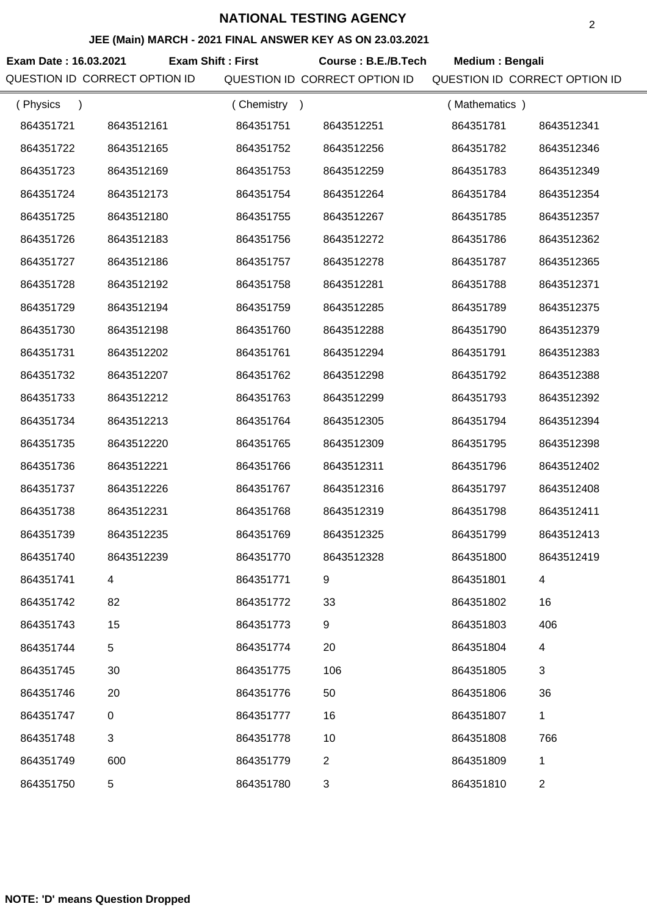#### **JEE (Main) MARCH - 2021 FINAL ANSWER KEY AS ON 23.03.2021**

**Exam Date : 16.03.2021 Course : B.E./B.Tech Medium : Bengali Exam Shift : First** QUESTION ID CORRECT OPTION ID QUESTION ID CORRECT OPTION ID QUESTION ID CORRECT OPTION ID ( Physics ) 864351721 8643512161 ( Chemistry ) 864351751 8643512251 ( Mathematics ) 864351781 8643512341

| 864351722 | 8643512165 | 864351752 | 8643512256     | 864351782 | 8643512346     |
|-----------|------------|-----------|----------------|-----------|----------------|
| 864351723 | 8643512169 | 864351753 | 8643512259     | 864351783 | 8643512349     |
| 864351724 | 8643512173 | 864351754 | 8643512264     | 864351784 | 8643512354     |
| 864351725 | 8643512180 | 864351755 | 8643512267     | 864351785 | 8643512357     |
| 864351726 | 8643512183 | 864351756 | 8643512272     | 864351786 | 8643512362     |
| 864351727 | 8643512186 | 864351757 | 8643512278     | 864351787 | 8643512365     |
| 864351728 | 8643512192 | 864351758 | 8643512281     | 864351788 | 8643512371     |
| 864351729 | 8643512194 | 864351759 | 8643512285     | 864351789 | 8643512375     |
| 864351730 | 8643512198 | 864351760 | 8643512288     | 864351790 | 8643512379     |
| 864351731 | 8643512202 | 864351761 | 8643512294     | 864351791 | 8643512383     |
| 864351732 | 8643512207 | 864351762 | 8643512298     | 864351792 | 8643512388     |
| 864351733 | 8643512212 | 864351763 | 8643512299     | 864351793 | 8643512392     |
| 864351734 | 8643512213 | 864351764 | 8643512305     | 864351794 | 8643512394     |
| 864351735 | 8643512220 | 864351765 | 8643512309     | 864351795 | 8643512398     |
| 864351736 | 8643512221 | 864351766 | 8643512311     | 864351796 | 8643512402     |
| 864351737 | 8643512226 | 864351767 | 8643512316     | 864351797 | 8643512408     |
| 864351738 | 8643512231 | 864351768 | 8643512319     | 864351798 | 8643512411     |
| 864351739 | 8643512235 | 864351769 | 8643512325     | 864351799 | 8643512413     |
| 864351740 | 8643512239 | 864351770 | 8643512328     | 864351800 | 8643512419     |
| 864351741 | 4          | 864351771 | 9              | 864351801 | 4              |
| 864351742 | 82         | 864351772 | 33             | 864351802 | 16             |
| 864351743 | 15         | 864351773 | 9              | 864351803 | 406            |
| 864351744 | 5          | 864351774 | 20             | 864351804 | 4              |
| 864351745 | 30         | 864351775 | 106            | 864351805 | 3              |
| 864351746 | 20         | 864351776 | 50             | 864351806 | 36             |
| 864351747 | $\pmb{0}$  | 864351777 | 16             | 864351807 | 1              |
| 864351748 | 3          | 864351778 | 10             | 864351808 | 766            |
| 864351749 | 600        | 864351779 | $\overline{2}$ | 864351809 | 1              |
| 864351750 | 5          | 864351780 | 3              | 864351810 | $\overline{2}$ |
|           |            |           |                |           |                |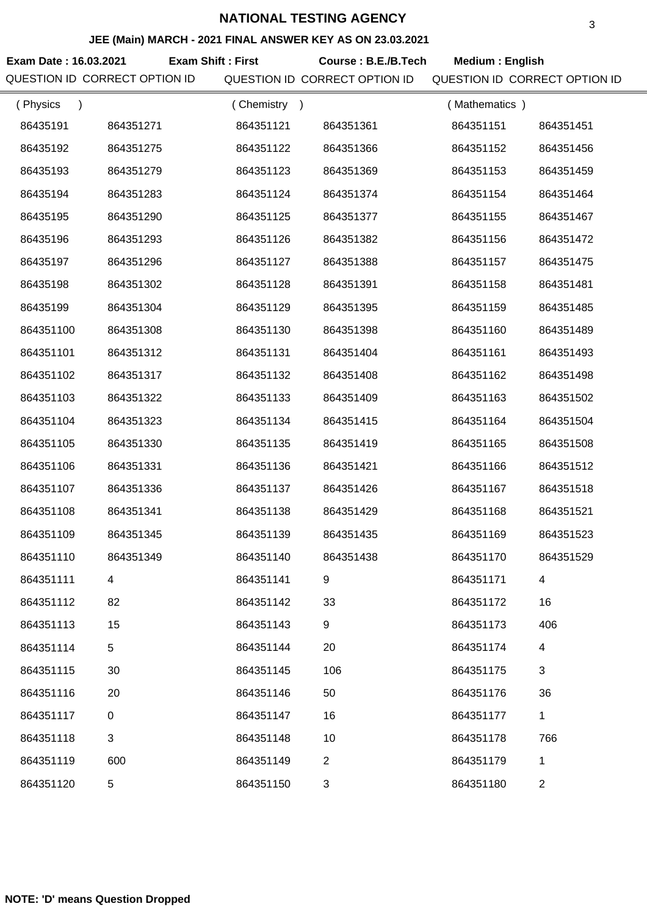#### **JEE (Main) MARCH - 2021 FINAL ANSWER KEY AS ON 23.03.2021**

Exam Date : 16.03.2021 **Exam Shift : First Course : B.E./B.Tech Medium : English** QUESTION ID CORRECT OPTION ID QUESTION ID CORRECT OPTION ID QUESTION ID CORRECT OPTION ID **Exam Shift : First** ( Physics ) 86435191 864351271 86435192 864351275 86435193 864351279 86435194 864351283 86435195 864351290 86435196 864351293 86435197 864351296 86435198 864351302 86435199 864351304 864351100 864351308 864351101 864351312 864351102 864351317 864351103 864351322 ( Chemistry ) 864351121 864351361 864351122 864351366 864351123 864351369 864351124 864351374 864351125 864351377 864351126 864351382 864351127 864351388 864351128 864351391 864351129 864351395 864351130 864351398 864351131 864351404 864351132 864351408 864351133 864351409 ( Mathematics ) 864351151 864351451 864351152 864351456 864351153 864351459 864351154 864351464 864351155 864351467 864351156 864351472 864351157 864351475 864351158 864351481 864351159 864351485 864351160 864351489 864351161 864351493 864351162 864351498 864351163 864351502

| 864351102 | 864351317 | 864351132 | 864351408                 | 864351162 | 864351498      |
|-----------|-----------|-----------|---------------------------|-----------|----------------|
| 864351103 | 864351322 | 864351133 | 864351409                 | 864351163 | 864351502      |
| 864351104 | 864351323 | 864351134 | 864351415                 | 864351164 | 864351504      |
| 864351105 | 864351330 | 864351135 | 864351419                 | 864351165 | 864351508      |
| 864351106 | 864351331 | 864351136 | 864351421                 | 864351166 | 864351512      |
| 864351107 | 864351336 | 864351137 | 864351426                 | 864351167 | 864351518      |
| 864351108 | 864351341 | 864351138 | 864351429                 | 864351168 | 864351521      |
| 864351109 | 864351345 | 864351139 | 864351435                 | 864351169 | 864351523      |
| 864351110 | 864351349 | 864351140 | 864351438                 | 864351170 | 864351529      |
| 864351111 | 4         | 864351141 | 9                         | 864351171 | 4              |
| 864351112 | 82        | 864351142 | 33                        | 864351172 | 16             |
| 864351113 | 15        | 864351143 | 9                         | 864351173 | 406            |
| 864351114 | 5         | 864351144 | 20                        | 864351174 | 4              |
| 864351115 | 30        | 864351145 | 106                       | 864351175 | 3              |
| 864351116 | 20        | 864351146 | 50                        | 864351176 | 36             |
| 864351117 | 0         | 864351147 | 16                        | 864351177 | $\mathbf{1}$   |
| 864351118 | 3         | 864351148 | 10                        | 864351178 | 766            |
| 864351119 | 600       | 864351149 | $\overline{2}$            | 864351179 | 1              |
| 864351120 | 5         | 864351150 | $\ensuremath{\mathsf{3}}$ | 864351180 | $\overline{2}$ |
|           |           |           |                           |           |                |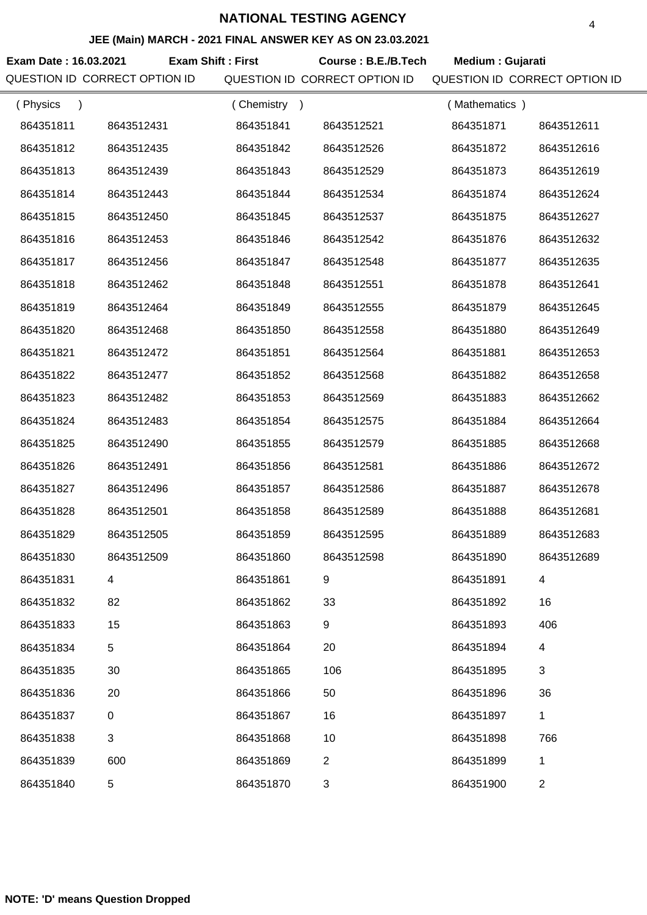#### **JEE (Main) MARCH - 2021 FINAL ANSWER KEY AS ON 23.03.2021**

**Exam Date : 16.03.2021 Exam Shift : First Course : B.E./B.Tech Medium : Gujarati** QUESTION ID CORRECT OPTION ID QUESTION ID CORRECT OPTION ID QUESTION ID CORRECT OPTION ID

| (Physics<br>$\mathcal{E}$ |            | (Chemistry)<br>$\rightarrow$ |                | (Mathematics) |                |
|---------------------------|------------|------------------------------|----------------|---------------|----------------|
| 864351811                 | 8643512431 | 864351841                    | 8643512521     | 864351871     | 8643512611     |
| 864351812                 | 8643512435 | 864351842                    | 8643512526     | 864351872     | 8643512616     |
| 864351813                 | 8643512439 | 864351843                    | 8643512529     | 864351873     | 8643512619     |
| 864351814                 | 8643512443 | 864351844                    | 8643512534     | 864351874     | 8643512624     |
| 864351815                 | 8643512450 | 864351845                    | 8643512537     | 864351875     | 8643512627     |
| 864351816                 | 8643512453 | 864351846                    | 8643512542     | 864351876     | 8643512632     |
| 864351817                 | 8643512456 | 864351847                    | 8643512548     | 864351877     | 8643512635     |
| 864351818                 | 8643512462 | 864351848                    | 8643512551     | 864351878     | 8643512641     |
| 864351819                 | 8643512464 | 864351849                    | 8643512555     | 864351879     | 8643512645     |
| 864351820                 | 8643512468 | 864351850                    | 8643512558     | 864351880     | 8643512649     |
| 864351821                 | 8643512472 | 864351851                    | 8643512564     | 864351881     | 8643512653     |
| 864351822                 | 8643512477 | 864351852                    | 8643512568     | 864351882     | 8643512658     |
| 864351823                 | 8643512482 | 864351853                    | 8643512569     | 864351883     | 8643512662     |
| 864351824                 | 8643512483 | 864351854                    | 8643512575     | 864351884     | 8643512664     |
| 864351825                 | 8643512490 | 864351855                    | 8643512579     | 864351885     | 8643512668     |
| 864351826                 | 8643512491 | 864351856                    | 8643512581     | 864351886     | 8643512672     |
| 864351827                 | 8643512496 | 864351857                    | 8643512586     | 864351887     | 8643512678     |
| 864351828                 | 8643512501 | 864351858                    | 8643512589     | 864351888     | 8643512681     |
| 864351829                 | 8643512505 | 864351859                    | 8643512595     | 864351889     | 8643512683     |
| 864351830                 | 8643512509 | 864351860                    | 8643512598     | 864351890     | 8643512689     |
| 864351831                 | 4          | 864351861                    | 9              | 864351891     | 4              |
| 864351832                 | 82         | 864351862                    | 33             | 864351892     | 16             |
| 864351833                 | 15         | 864351863                    | 9              | 864351893     | 406            |
| 864351834                 | 5          | 864351864                    | 20             | 864351894     | 4              |
| 864351835                 | 30         | 864351865                    | 106            | 864351895     | 3              |
| 864351836                 | 20         | 864351866                    | 50             | 864351896     | 36             |
| 864351837                 | 0          | 864351867                    | 16             | 864351897     | 1              |
| 864351838                 | 3          | 864351868                    | 10             | 864351898     | 766            |
| 864351839                 | 600        | 864351869                    | $\overline{2}$ | 864351899     | 1              |
| 864351840                 | 5          | 864351870                    | 3              | 864351900     | $\overline{c}$ |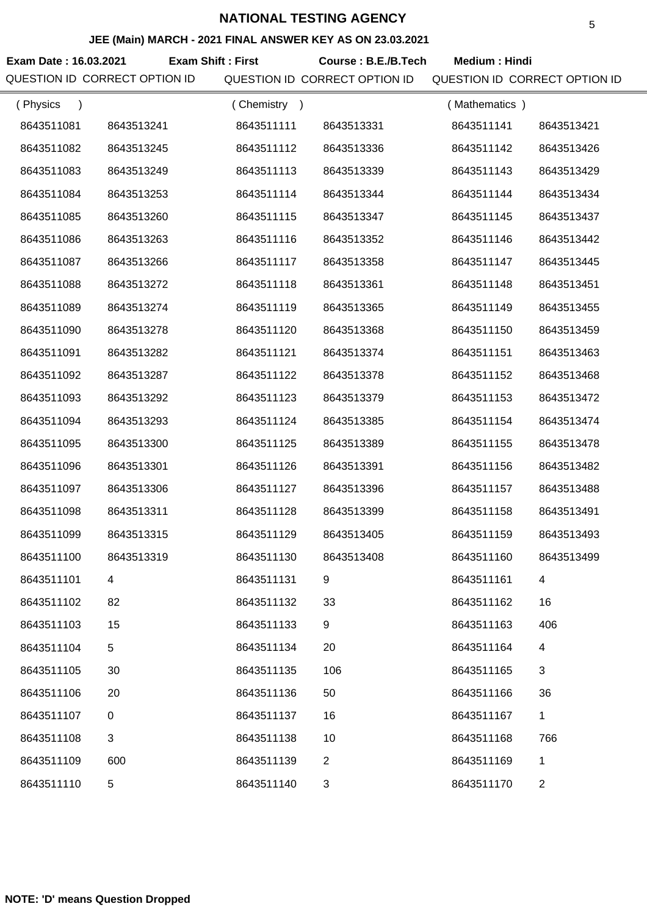# **JEE (Main) MARCH - 2021 FINAL ANSWER KEY AS ON 23.03.2021**

Exam Date : 16.03.2021 **Exam Shift : First** Course : B.E./B.Tech Medium : Hindi QUESTION ID CORRECT OPTION ID QUESTION ID CORRECT OPTION ID QUESTION ID CORRECT OPTION ID **Exam Shift : First** ( Physics ) ( Chemistry ) ( Mathematics )

| 8643511081 | 8643513241 | 8643511111 | 8643513331     | 8643511141 | 8643513421     |
|------------|------------|------------|----------------|------------|----------------|
| 8643511082 | 8643513245 | 8643511112 | 8643513336     | 8643511142 | 8643513426     |
| 8643511083 | 8643513249 | 8643511113 | 8643513339     | 8643511143 | 8643513429     |
| 8643511084 | 8643513253 | 8643511114 | 8643513344     | 8643511144 | 8643513434     |
| 8643511085 | 8643513260 | 8643511115 | 8643513347     | 8643511145 | 8643513437     |
| 8643511086 | 8643513263 | 8643511116 | 8643513352     | 8643511146 | 8643513442     |
| 8643511087 | 8643513266 | 8643511117 | 8643513358     | 8643511147 | 8643513445     |
| 8643511088 | 8643513272 | 8643511118 | 8643513361     | 8643511148 | 8643513451     |
| 8643511089 | 8643513274 | 8643511119 | 8643513365     | 8643511149 | 8643513455     |
| 8643511090 | 8643513278 | 8643511120 | 8643513368     | 8643511150 | 8643513459     |
| 8643511091 | 8643513282 | 8643511121 | 8643513374     | 8643511151 | 8643513463     |
| 8643511092 | 8643513287 | 8643511122 | 8643513378     | 8643511152 | 8643513468     |
| 8643511093 | 8643513292 | 8643511123 | 8643513379     | 8643511153 | 8643513472     |
| 8643511094 | 8643513293 | 8643511124 | 8643513385     | 8643511154 | 8643513474     |
| 8643511095 | 8643513300 | 8643511125 | 8643513389     | 8643511155 | 8643513478     |
| 8643511096 | 8643513301 | 8643511126 | 8643513391     | 8643511156 | 8643513482     |
| 8643511097 | 8643513306 | 8643511127 | 8643513396     | 8643511157 | 8643513488     |
| 8643511098 | 8643513311 | 8643511128 | 8643513399     | 8643511158 | 8643513491     |
| 8643511099 | 8643513315 | 8643511129 | 8643513405     | 8643511159 | 8643513493     |
| 8643511100 | 8643513319 | 8643511130 | 8643513408     | 8643511160 | 8643513499     |
| 8643511101 | 4          | 8643511131 | 9              | 8643511161 | 4              |
| 8643511102 | 82         | 8643511132 | 33             | 8643511162 | 16             |
| 8643511103 | 15         | 8643511133 | 9              | 8643511163 | 406            |
| 8643511104 | 5          | 8643511134 | 20             | 8643511164 | 4              |
| 8643511105 | 30         | 8643511135 | 106            | 8643511165 | 3              |
| 8643511106 | 20         | 8643511136 | 50             | 8643511166 | 36             |
| 8643511107 | 0          | 8643511137 | 16             | 8643511167 | 1              |
| 8643511108 | 3          | 8643511138 | 10             | 8643511168 | 766            |
| 8643511109 | 600        | 8643511139 | $\overline{2}$ | 8643511169 | 1              |
| 8643511110 | 5          | 8643511140 | 3              | 8643511170 | $\overline{2}$ |
|            |            |            |                |            |                |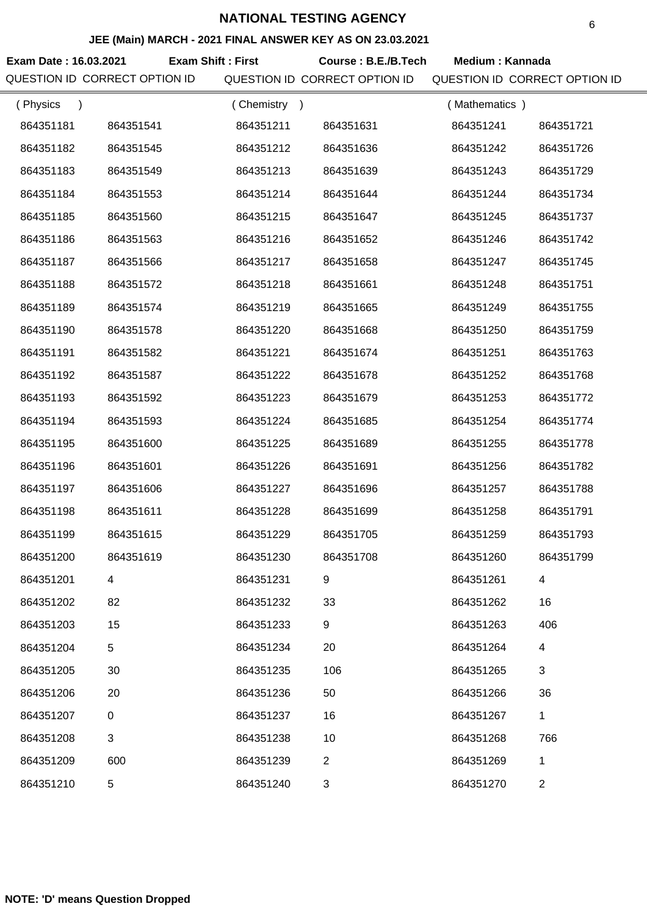#### **JEE (Main) MARCH - 2021 FINAL ANSWER KEY AS ON 23.03.2021**

Exam Date : 16.03.2021 Exam Shift : First Course : B.E./B.Tech Medium : Kannada QUESTION ID CORRECT OPTION ID QUESTION ID CORRECT OPTION ID QUESTION ID CORRECT OPTION ID ( Physics ) 864351181 864351541 864351182 864351545 864351183 864351549 ( Chemistry ) 864351211 864351631 864351212 864351636 864351213 864351639 ( Mathematics ) 864351241 864351721 864351242 864351726 864351243 864351729

| 864351182 | 864351545 | 864351212 | 864351636      | 864351242 | 864351726      |
|-----------|-----------|-----------|----------------|-----------|----------------|
| 864351183 | 864351549 | 864351213 | 864351639      | 864351243 | 864351729      |
| 864351184 | 864351553 | 864351214 | 864351644      | 864351244 | 864351734      |
| 864351185 | 864351560 | 864351215 | 864351647      | 864351245 | 864351737      |
| 864351186 | 864351563 | 864351216 | 864351652      | 864351246 | 864351742      |
| 864351187 | 864351566 | 864351217 | 864351658      | 864351247 | 864351745      |
| 864351188 | 864351572 | 864351218 | 864351661      | 864351248 | 864351751      |
| 864351189 | 864351574 | 864351219 | 864351665      | 864351249 | 864351755      |
| 864351190 | 864351578 | 864351220 | 864351668      | 864351250 | 864351759      |
| 864351191 | 864351582 | 864351221 | 864351674      | 864351251 | 864351763      |
| 864351192 | 864351587 | 864351222 | 864351678      | 864351252 | 864351768      |
| 864351193 | 864351592 | 864351223 | 864351679      | 864351253 | 864351772      |
| 864351194 | 864351593 | 864351224 | 864351685      | 864351254 | 864351774      |
| 864351195 | 864351600 | 864351225 | 864351689      | 864351255 | 864351778      |
| 864351196 | 864351601 | 864351226 | 864351691      | 864351256 | 864351782      |
| 864351197 | 864351606 | 864351227 | 864351696      | 864351257 | 864351788      |
| 864351198 | 864351611 | 864351228 | 864351699      | 864351258 | 864351791      |
| 864351199 | 864351615 | 864351229 | 864351705      | 864351259 | 864351793      |
| 864351200 | 864351619 | 864351230 | 864351708      | 864351260 | 864351799      |
| 864351201 | 4         | 864351231 | 9              | 864351261 | 4              |
| 864351202 | 82        | 864351232 | 33             | 864351262 | 16             |
| 864351203 | 15        | 864351233 | 9              | 864351263 | 406            |
| 864351204 | 5         | 864351234 | 20             | 864351264 | 4              |
| 864351205 | 30        | 864351235 | 106            | 864351265 | 3              |
| 864351206 | 20        | 864351236 | 50             | 864351266 | 36             |
| 864351207 | $\pmb{0}$ | 864351237 | 16             | 864351267 | $\mathbf{1}$   |
| 864351208 | 3         | 864351238 | 10             | 864351268 | 766            |
| 864351209 | 600       | 864351239 | $\overline{2}$ | 864351269 | 1              |
| 864351210 | 5         | 864351240 | 3              | 864351270 | $\overline{2}$ |
|           |           |           |                |           |                |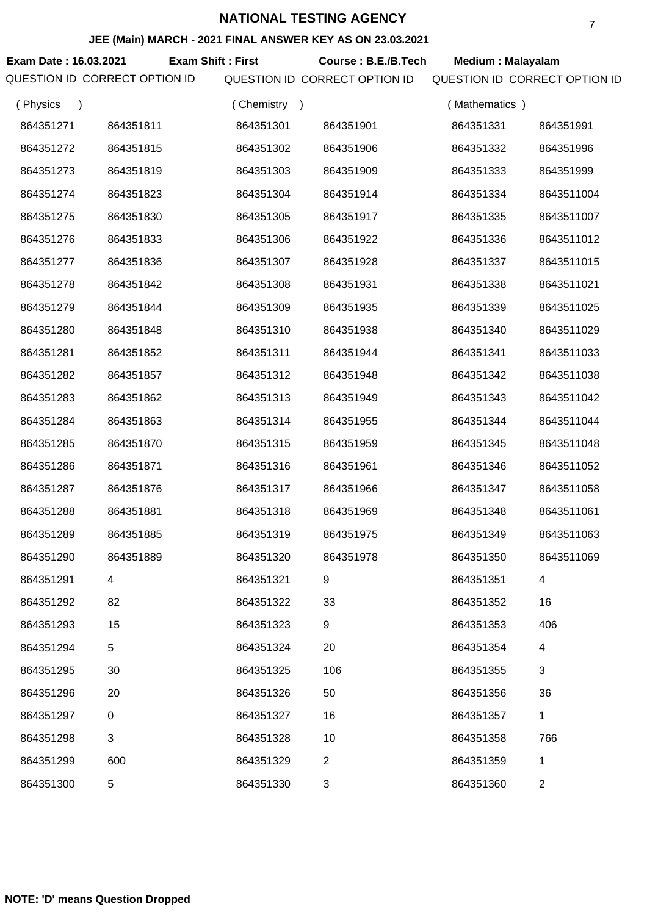#### **JEE (Main) MARCH - 2021 FINAL ANSWER KEY AS ON 23.03.2021**

**Exam Date : 16.03.2021 Course : B.E./B.Tech Medium : Malayalam Exam Shift : First** QUESTION ID CORRECT OPTION ID QUESTION ID CORRECT OPTION ID QUESTION ID CORRECT OPTION ID

|           | (Chemistry<br>$\lambda$ |                | (Mathematics) |              |
|-----------|-------------------------|----------------|---------------|--------------|
| 864351811 | 864351301               | 864351901      | 864351331     | 864351991    |
| 864351815 | 864351302               | 864351906      | 864351332     | 864351996    |
| 864351819 | 864351303               | 864351909      | 864351333     | 864351999    |
| 864351823 | 864351304               | 864351914      | 864351334     | 8643511004   |
| 864351830 | 864351305               | 864351917      | 864351335     | 8643511007   |
| 864351833 | 864351306               | 864351922      | 864351336     | 8643511012   |
| 864351836 | 864351307               | 864351928      | 864351337     | 8643511015   |
| 864351842 | 864351308               | 864351931      | 864351338     | 8643511021   |
| 864351844 | 864351309               | 864351935      | 864351339     | 8643511025   |
| 864351848 | 864351310               | 864351938      | 864351340     | 8643511029   |
| 864351852 | 864351311               | 864351944      | 864351341     | 8643511033   |
| 864351857 | 864351312               | 864351948      | 864351342     | 8643511038   |
| 864351862 | 864351313               | 864351949      | 864351343     | 8643511042   |
| 864351863 | 864351314               | 864351955      | 864351344     | 8643511044   |
| 864351870 | 864351315               | 864351959      | 864351345     | 8643511048   |
| 864351871 | 864351316               | 864351961      | 864351346     | 8643511052   |
| 864351876 | 864351317               | 864351966      | 864351347     | 8643511058   |
| 864351881 | 864351318               | 864351969      | 864351348     | 8643511061   |
| 864351885 | 864351319               | 864351975      | 864351349     | 8643511063   |
| 864351889 | 864351320               | 864351978      | 864351350     | 8643511069   |
| 4         | 864351321               | 9              | 864351351     | 4            |
| 82        | 864351322               | 33             | 864351352     | 16           |
| 15        | 864351323               | 9              | 864351353     | 406          |
| 5         | 864351324               | 20             | 864351354     | 4            |
| 30        | 864351325               | 106            | 864351355     | 3            |
| 20        | 864351326               | 50             | 864351356     | 36           |
| 0         | 864351327               | 16             | 864351357     | $\mathbf{1}$ |
| 3         | 864351328               | 10             | 864351358     | 766          |
| 600       | 864351329               | $\overline{2}$ | 864351359     | 1            |
| 5         | 864351330               | 3              | 864351360     | 2            |
|           |                         |                |               |              |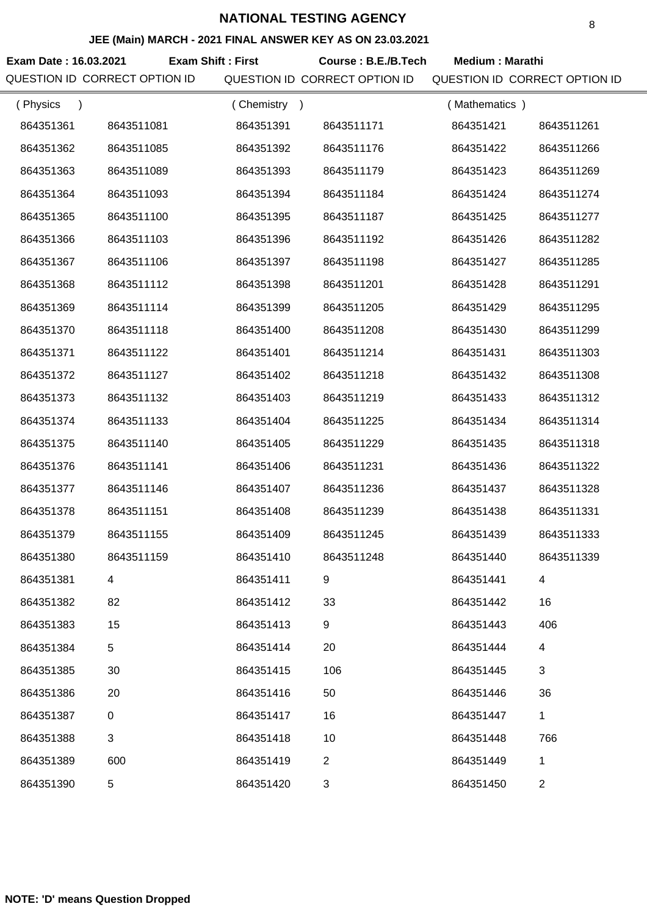**Exam Date : 16.03.2021 Course : B.E./B.Tech Medium : Marathi** QUESTION ID CORRECT OPTION ID QUESTION ID CORRECT OPTION ID QUESTION ID CORRECT OPTION ID **Exam Shift : First** 8 **JEE (Main) MARCH - 2021 FINAL ANSWER KEY AS ON 23.03.2021** ( Physics ) 864351361 8643511081 864351362 8643511085 864351363 8643511089 864351364 8643511093 864351365 8643511100 864351366 8643511103 864351367 8643511106 864351368 8643511112 864351369 8643511114 864351370 8643511118 864351371 8643511122 864351372 8643511127 864351373 8643511132 864351374 8643511133 864351375 8643511140 864351376 8643511141 864351377 8643511146 864351378 8643511151 864351379 8643511155 864351380 8643511159 864351381 4 ( Chemistry ) 864351391 8643511171 864351392 8643511176 864351393 8643511179 864351394 8643511184 864351395 8643511187 864351396 8643511192 864351397 8643511198 864351398 8643511201 864351399 8643511205 864351400 8643511208 864351401 8643511214 864351402 8643511218 864351403 8643511219 864351404 8643511225 864351405 8643511229 864351406 8643511231 864351407 8643511236 864351408 8643511239 864351409 8643511245 864351410 8643511248 864351411 9 ( Mathematics ) 864351421 8643511261 864351422 8643511266 864351423 8643511269 864351424 8643511274 864351425 8643511277 864351426 8643511282 864351427 8643511285 864351428 8643511291 864351429 8643511295 864351430 8643511299 864351431 8643511303 864351432 8643511308 864351433 8643511312 864351434 8643511314 864351435 8643511318 864351436 8643511322 864351437 8643511328 864351438 8643511331 864351439 8643511333 864351440 8643511339 864351441 4

| 864351381 | 4   | 864351411 | 9   | 864351441 | 4   |
|-----------|-----|-----------|-----|-----------|-----|
| 864351382 | 82  | 864351412 | 33  | 864351442 | 16  |
| 864351383 | 15  | 864351413 | 9   | 864351443 | 406 |
| 864351384 | 5   | 864351414 | 20  | 864351444 | 4   |
| 864351385 | 30  | 864351415 | 106 | 864351445 | 3   |
| 864351386 | 20  | 864351416 | 50  | 864351446 | 36  |
| 864351387 | 0   | 864351417 | 16  | 864351447 | 1   |
| 864351388 | 3   | 864351418 | 10  | 864351448 | 766 |
| 864351389 | 600 | 864351419 | 2   | 864351449 | 1   |
| 864351390 | 5   | 864351420 | 3   | 864351450 | 2   |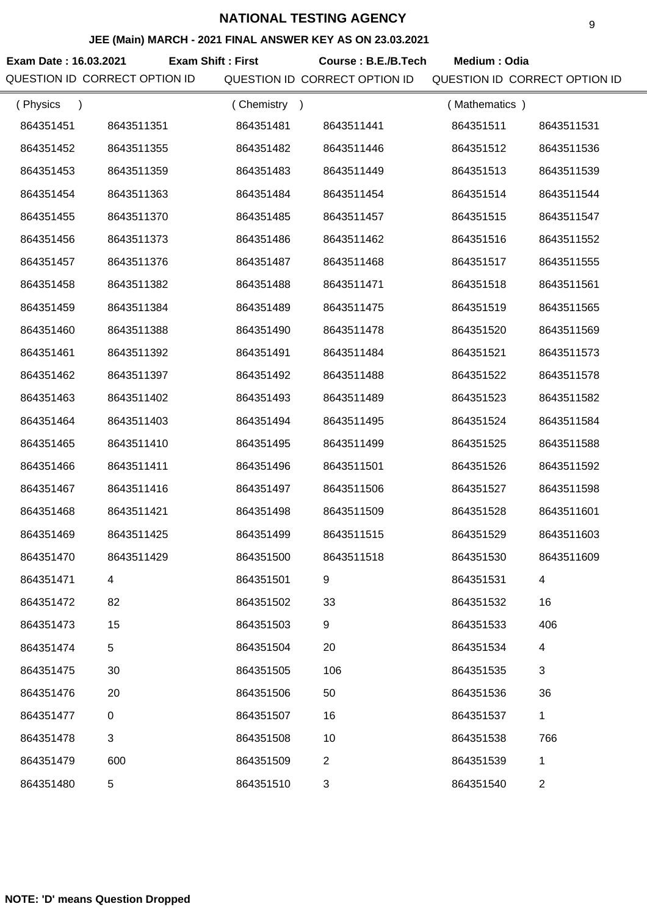#### **JEE (Main) MARCH - 2021 FINAL ANSWER KEY AS ON 23.03.2021**

Exam Date : 16.03.2021 **Exam Shift : First Course : B.E./B.Tech Medium : Odia** QUESTION ID CORRECT OPTION ID QUESTION ID CORRECT OPTION ID QUESTION ID CORRECT OPTION ID **Exam Shift : First** ( Physics ) ( Chemistry ) ( Mathematics )

| (Filyəluə<br>, |                | $\sqrt{2}$ |                  | $\mu$ widu igitiduce $\mu$ |                |
|----------------|----------------|------------|------------------|----------------------------|----------------|
| 864351451      | 8643511351     | 864351481  | 8643511441       | 864351511                  | 8643511531     |
| 864351452      | 8643511355     | 864351482  | 8643511446       | 864351512                  | 8643511536     |
| 864351453      | 8643511359     | 864351483  | 8643511449       | 864351513                  | 8643511539     |
| 864351454      | 8643511363     | 864351484  | 8643511454       | 864351514                  | 8643511544     |
| 864351455      | 8643511370     | 864351485  | 8643511457       | 864351515                  | 8643511547     |
| 864351456      | 8643511373     | 864351486  | 8643511462       | 864351516                  | 8643511552     |
| 864351457      | 8643511376     | 864351487  | 8643511468       | 864351517                  | 8643511555     |
| 864351458      | 8643511382     | 864351488  | 8643511471       | 864351518                  | 8643511561     |
| 864351459      | 8643511384     | 864351489  | 8643511475       | 864351519                  | 8643511565     |
| 864351460      | 8643511388     | 864351490  | 8643511478       | 864351520                  | 8643511569     |
| 864351461      | 8643511392     | 864351491  | 8643511484       | 864351521                  | 8643511573     |
| 864351462      | 8643511397     | 864351492  | 8643511488       | 864351522                  | 8643511578     |
| 864351463      | 8643511402     | 864351493  | 8643511489       | 864351523                  | 8643511582     |
| 864351464      | 8643511403     | 864351494  | 8643511495       | 864351524                  | 8643511584     |
| 864351465      | 8643511410     | 864351495  | 8643511499       | 864351525                  | 8643511588     |
| 864351466      | 8643511411     | 864351496  | 8643511501       | 864351526                  | 8643511592     |
| 864351467      | 8643511416     | 864351497  | 8643511506       | 864351527                  | 8643511598     |
| 864351468      | 8643511421     | 864351498  | 8643511509       | 864351528                  | 8643511601     |
| 864351469      | 8643511425     | 864351499  | 8643511515       | 864351529                  | 8643511603     |
| 864351470      | 8643511429     | 864351500  | 8643511518       | 864351530                  | 8643511609     |
| 864351471      | 4              | 864351501  | 9                | 864351531                  | 4              |
| 864351472      | 82             | 864351502  | 33               | 864351532                  | 16             |
| 864351473      | 15             | 864351503  | $\boldsymbol{9}$ | 864351533                  | 406            |
| 864351474      | 5              | 864351504  | 20               | 864351534                  | 4              |
| 864351475      | 30             | 864351505  | 106              | 864351535                  | 3              |
| 864351476      | 20             | 864351506  | 50               | 864351536                  | 36             |
| 864351477      | 0              | 864351507  | 16               | 864351537                  | 1              |
| 864351478      | $\mathfrak{B}$ | 864351508  | 10               | 864351538                  | 766            |
| 864351479      | 600            | 864351509  | $\overline{2}$   | 864351539                  | 1              |
| 864351480      | 5              | 864351510  | $\sqrt{3}$       | 864351540                  | $\overline{2}$ |
|                |                |            |                  |                            |                |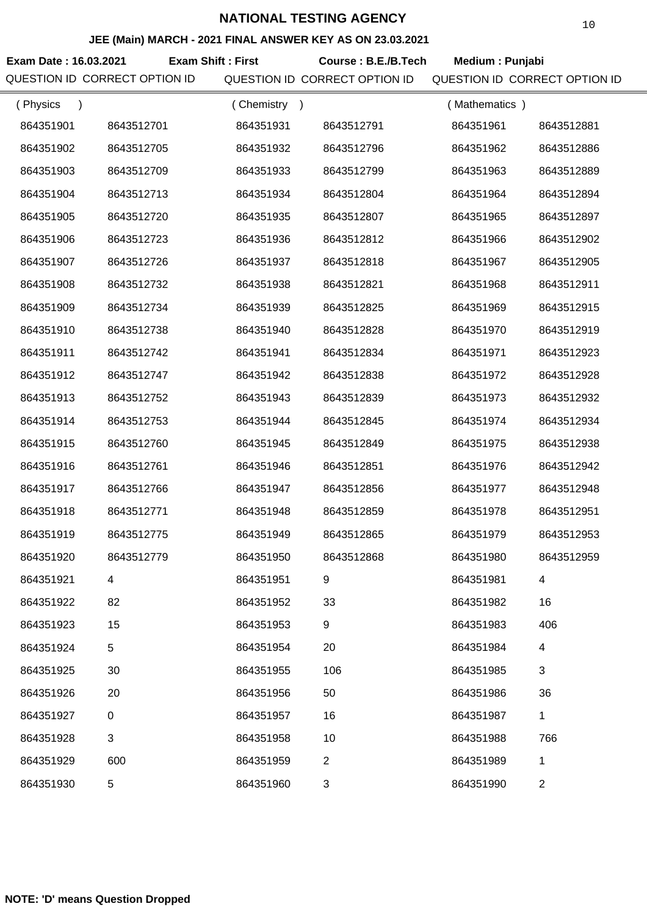#### **JEE (Main) MARCH - 2021 FINAL ANSWER KEY AS ON 23.03.2021**

**Exam Date : 16.03.2021 Course : B.E./B.Tech Medium : Punjabi Exam Shift : First** QUESTION ID CORRECT OPTION ID QUESTION ID CORRECT OPTION ID QUESTION ID CORRECT OPTION ID

| (Physics<br>$\mathcal{E}$ |            | (Chemistry<br>$\rightarrow$ |                | (Mathematics) |                |
|---------------------------|------------|-----------------------------|----------------|---------------|----------------|
| 864351901                 | 8643512701 | 864351931                   | 8643512791     | 864351961     | 8643512881     |
| 864351902                 | 8643512705 | 864351932                   | 8643512796     | 864351962     | 8643512886     |
| 864351903                 | 8643512709 | 864351933                   | 8643512799     | 864351963     | 8643512889     |
| 864351904                 | 8643512713 | 864351934                   | 8643512804     | 864351964     | 8643512894     |
| 864351905                 | 8643512720 | 864351935                   | 8643512807     | 864351965     | 8643512897     |
| 864351906                 | 8643512723 | 864351936                   | 8643512812     | 864351966     | 8643512902     |
| 864351907                 | 8643512726 | 864351937                   | 8643512818     | 864351967     | 8643512905     |
| 864351908                 | 8643512732 | 864351938                   | 8643512821     | 864351968     | 8643512911     |
| 864351909                 | 8643512734 | 864351939                   | 8643512825     | 864351969     | 8643512915     |
| 864351910                 | 8643512738 | 864351940                   | 8643512828     | 864351970     | 8643512919     |
| 864351911                 | 8643512742 | 864351941                   | 8643512834     | 864351971     | 8643512923     |
| 864351912                 | 8643512747 | 864351942                   | 8643512838     | 864351972     | 8643512928     |
| 864351913                 | 8643512752 | 864351943                   | 8643512839     | 864351973     | 8643512932     |
| 864351914                 | 8643512753 | 864351944                   | 8643512845     | 864351974     | 8643512934     |
| 864351915                 | 8643512760 | 864351945                   | 8643512849     | 864351975     | 8643512938     |
| 864351916                 | 8643512761 | 864351946                   | 8643512851     | 864351976     | 8643512942     |
| 864351917                 | 8643512766 | 864351947                   | 8643512856     | 864351977     | 8643512948     |
| 864351918                 | 8643512771 | 864351948                   | 8643512859     | 864351978     | 8643512951     |
| 864351919                 | 8643512775 | 864351949                   | 8643512865     | 864351979     | 8643512953     |
| 864351920                 | 8643512779 | 864351950                   | 8643512868     | 864351980     | 8643512959     |
| 864351921                 |            | 864351951                   |                | 864351981     |                |
| 864351922                 | 82         | 864351952                   | 33             | 864351982     | 16             |
| 864351923                 | 15         | 864351953                   | 9              | 864351983     | 406            |
| 864351924                 | 5          | 864351954                   | 20             | 864351984     | 4              |
| 864351925                 | 30         | 864351955                   | 106            | 864351985     | 3              |
| 864351926                 | 20         | 864351956                   | 50             | 864351986     | 36             |
| 864351927                 | $\pmb{0}$  | 864351957                   | 16             | 864351987     | $\mathbf{1}$   |
| 864351928                 | 3          | 864351958                   | 10             | 864351988     | 766            |
| 864351929                 | 600        | 864351959                   | $\overline{2}$ | 864351989     | 1              |
| 864351930                 | 5          | 864351960                   | 3              | 864351990     | $\overline{c}$ |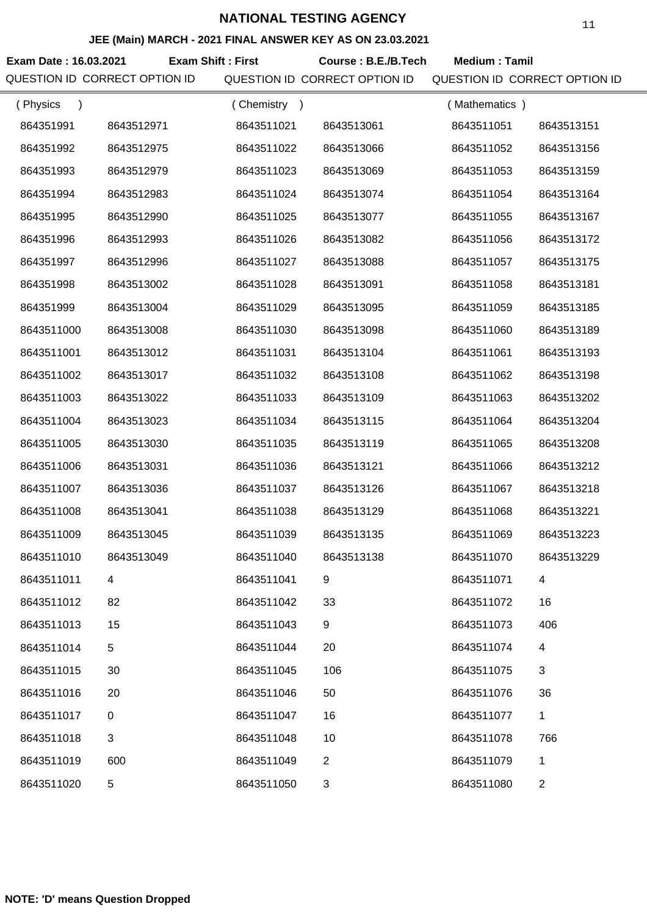#### **JEE (Main) MARCH - 2021 FINAL ANSWER KEY AS ON 23.03.2021**

**Exam Date : 16.03.2021 Course : B.E./B.Tech Medium : Tamil Exam Shift : First**

QUESTION ID CORRECT OPTION ID QUESTION ID CORRECT OPTION ID QUESTION ID CORRECT OPTION ID

| (Physics<br>$\lambda$ |             | (Chemistry<br>$\rightarrow$ |                | (Mathematics) |                |
|-----------------------|-------------|-----------------------------|----------------|---------------|----------------|
| 864351991             | 8643512971  | 8643511021                  | 8643513061     | 8643511051    | 8643513151     |
| 864351992             | 8643512975  | 8643511022                  | 8643513066     | 8643511052    | 8643513156     |
| 864351993             | 8643512979  | 8643511023                  | 8643513069     | 8643511053    | 8643513159     |
| 864351994             | 8643512983  | 8643511024                  | 8643513074     | 8643511054    | 8643513164     |
| 864351995             | 8643512990  | 8643511025                  | 8643513077     | 8643511055    | 8643513167     |
| 864351996             | 8643512993  | 8643511026                  | 8643513082     | 8643511056    | 8643513172     |
| 864351997             | 8643512996  | 8643511027                  | 8643513088     | 8643511057    | 8643513175     |
| 864351998             | 8643513002  | 8643511028                  | 8643513091     | 8643511058    | 8643513181     |
| 864351999             | 8643513004  | 8643511029                  | 8643513095     | 8643511059    | 8643513185     |
| 8643511000            | 8643513008  | 8643511030                  | 8643513098     | 8643511060    | 8643513189     |
| 8643511001            | 8643513012  | 8643511031                  | 8643513104     | 8643511061    | 8643513193     |
| 8643511002            | 8643513017  | 8643511032                  | 8643513108     | 8643511062    | 8643513198     |
| 8643511003            | 8643513022  | 8643511033                  | 8643513109     | 8643511063    | 8643513202     |
| 8643511004            | 8643513023  | 8643511034                  | 8643513115     | 8643511064    | 8643513204     |
| 8643511005            | 8643513030  | 8643511035                  | 8643513119     | 8643511065    | 8643513208     |
| 8643511006            | 8643513031  | 8643511036                  | 8643513121     | 8643511066    | 8643513212     |
| 8643511007            | 8643513036  | 8643511037                  | 8643513126     | 8643511067    | 8643513218     |
| 8643511008            | 8643513041  | 8643511038                  | 8643513129     | 8643511068    | 8643513221     |
| 8643511009            | 8643513045  | 8643511039                  | 8643513135     | 8643511069    | 8643513223     |
| 8643511010            | 8643513049  | 8643511040                  | 8643513138     | 8643511070    | 8643513229     |
| 8643511011            |             | 8643511041                  | 9              | 8643511071    | 4              |
| 8643511012            | 82          | 8643511042                  | 33             | 8643511072    | 16             |
| 8643511013            | 15          | 8643511043                  | 9              | 8643511073    | 406            |
| 8643511014            | 5           | 8643511044                  | 20             | 8643511074    | 4              |
| 8643511015            | 30          | 8643511045                  | 106            | 8643511075    | 3              |
| 8643511016            | 20          | 8643511046                  | 50             | 8643511076    | 36             |
| 8643511017            | $\mathbf 0$ | 8643511047                  | 16             | 8643511077    | $\mathbf{1}$   |
| 8643511018            | 3           | 8643511048                  | 10             | 8643511078    | 766            |
| 8643511019            | 600         | 8643511049                  | $\overline{2}$ | 8643511079    | $\mathbf{1}$   |
| 8643511020            | 5           | 8643511050                  | 3              | 8643511080    | $\overline{c}$ |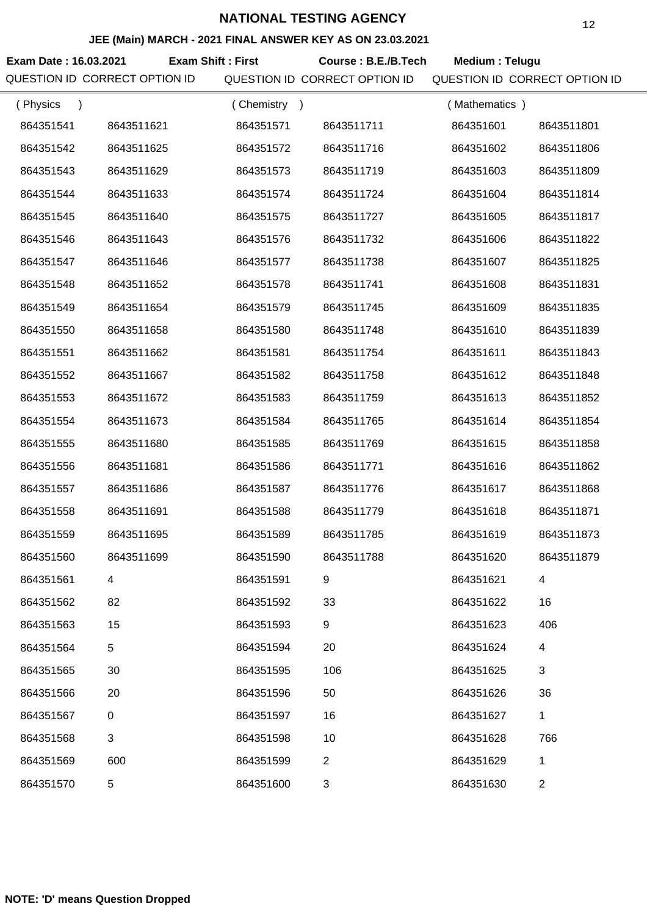|                       | JEE (Main) MARCH - 2021 FINAL ANSWER KEY AS ON 23.03.2021 |                          |                               |                               | ⊥∠         |
|-----------------------|-----------------------------------------------------------|--------------------------|-------------------------------|-------------------------------|------------|
| Exam Date: 16.03.2021 |                                                           | <b>Exam Shift: First</b> | Course: B.E./B.Tech           | Medium: Telugu                |            |
|                       | QUESTION ID CORRECT OPTION ID                             |                          | QUESTION ID CORRECT OPTION ID | QUESTION ID CORRECT OPTION ID |            |
| (Physics<br>$\lambda$ |                                                           | (Chemistry)              |                               | (Mathematics)                 |            |
| 864351541             | 8643511621                                                | 864351571                | 8643511711                    | 864351601                     | 8643511801 |
| 864351542             | 8643511625                                                | 864351572                | 8643511716                    | 864351602                     | 8643511806 |
| 864351543             | 8643511629                                                | 864351573                | 8643511719                    | 864351603                     | 8643511809 |
| 864351544             | 8643511633                                                | 864351574                | 8643511724                    | 864351604                     | 8643511814 |
| 864351545             | 8643511640                                                | 864351575                | 8643511727                    | 864351605                     | 8643511817 |
| 864351546             | 8643511643                                                | 864351576                | 8643511732                    | 864351606                     | 8643511822 |
| 864351547             | 8643511646                                                | 864351577                | 8643511738                    | 864351607                     | 8643511825 |
| 864351548             | 8643511652                                                | 864351578                | 8643511741                    | 864351608                     | 8643511831 |
| 864351549             | 8643511654                                                | 864351579                | 8643511745                    | 864351609                     | 8643511835 |
| 864351550             | 8643511658                                                | 864351580                | 8643511748                    | 864351610                     | 8643511839 |
| 864351551             | 8643511662                                                | 864351581                | 8643511754                    | 864351611                     | 8643511843 |
| 864351552             | 8643511667                                                | 864351582                | 8643511758                    | 864351612                     | 8643511848 |
| 864351553             | 8643511672                                                | 864351583                | 8643511759                    | 864351613                     | 8643511852 |
| 864351554             | 8643511673                                                | 864351584                | 8643511765                    | 864351614                     | 8643511854 |
| 864351555             | 8643511680                                                | 864351585                | 8643511769                    | 864351615                     | 8643511858 |
| 864351556             | 8643511681                                                | 864351586                | 8643511771                    | 864351616                     | 8643511862 |
| 864351557             | 8643511686                                                | 864351587                | 8643511776                    | 864351617                     | 8643511868 |
| 864351558             | 8643511691                                                | 864351588                | 8643511779                    | 864351618                     | 8643511871 |
| 864351559             | 8643511695                                                | 864351589                | 8643511785                    | 864351619                     | 8643511873 |
| 864351560             | 8643511699                                                | 864351590                | 8643511788                    | 864351620                     | 8643511879 |
| 864351561             | 4                                                         | 864351591                | 9                             | 864351621                     | 4          |
| 864351562             | 82                                                        | 864351592                | 33                            | 864351622                     | 16         |
| 864351563             | 15                                                        | 864351593                | 9                             | 864351623                     | 406        |
|                       |                                                           |                          |                               |                               |            |

864351594 20

864351624 4

864351625 3

864351626 36

864351627 1

864351629 1

864351630 2

864351628 766

864351595 106

864351596 50

864351597 16

864351598 10

864351599 2

864351600 3

**NOTE: 'D' means Question Dropped**

864351564 5

864351565 30

864351566 20

864351567 0

864351568 3

864351570 5

864351569 600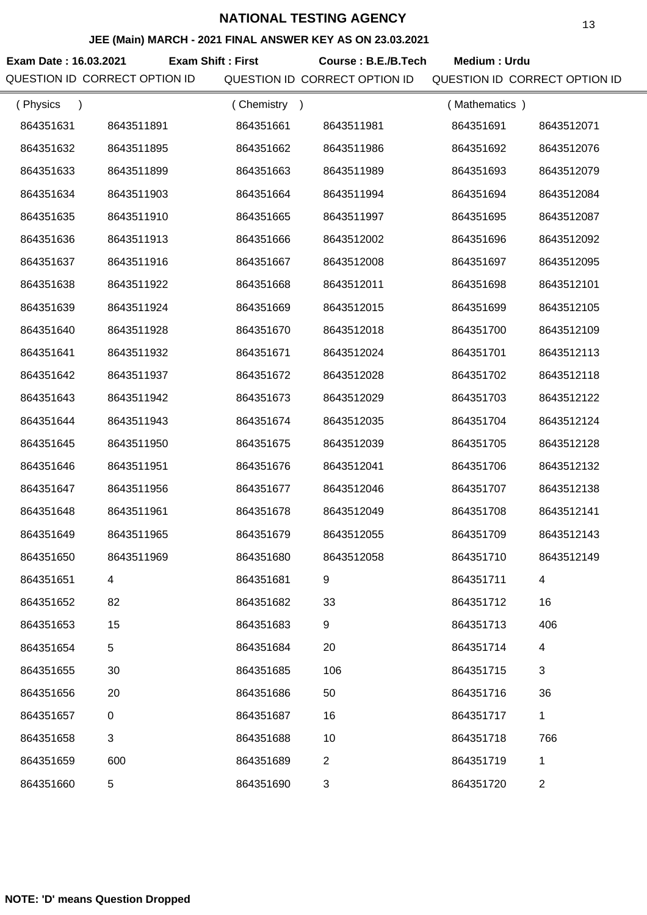#### **JEE (Main) MARCH - 2021 FINAL ANSWER KEY AS ON 23.03.2021**

**Exam Date : 16.03.2021 Course : B.E./B.Tech Medium : Urdu Exam Shift : First** QUESTION ID CORRECT OPTION ID QUESTION ID CORRECT OPTION ID QUESTION ID CORRECT OPTION ID

| (Physics  |                  | (Chemistry<br>$\rightarrow$ |              | (Mathematics) |                |
|-----------|------------------|-----------------------------|--------------|---------------|----------------|
| 864351631 | 8643511891       | 864351661                   | 8643511981   | 864351691     | 8643512071     |
| 864351632 | 8643511895       | 864351662                   | 8643511986   | 864351692     | 8643512076     |
| 864351633 | 8643511899       | 864351663                   | 8643511989   | 864351693     | 8643512079     |
| 864351634 | 8643511903       | 864351664                   | 8643511994   | 864351694     | 8643512084     |
| 864351635 | 8643511910       | 864351665                   | 8643511997   | 864351695     | 8643512087     |
| 864351636 | 8643511913       | 864351666                   | 8643512002   | 864351696     | 8643512092     |
| 864351637 | 8643511916       | 864351667                   | 8643512008   | 864351697     | 8643512095     |
| 864351638 | 8643511922       | 864351668                   | 8643512011   | 864351698     | 8643512101     |
| 864351639 | 8643511924       | 864351669                   | 8643512015   | 864351699     | 8643512105     |
| 864351640 | 8643511928       | 864351670                   | 8643512018   | 864351700     | 8643512109     |
| 864351641 | 8643511932       | 864351671                   | 8643512024   | 864351701     | 8643512113     |
| 864351642 | 8643511937       | 864351672                   | 8643512028   | 864351702     | 8643512118     |
| 864351643 | 8643511942       | 864351673                   | 8643512029   | 864351703     | 8643512122     |
| 864351644 | 8643511943       | 864351674                   | 8643512035   | 864351704     | 8643512124     |
| 864351645 | 8643511950       | 864351675                   | 8643512039   | 864351705     | 8643512128     |
| 864351646 | 8643511951       | 864351676                   | 8643512041   | 864351706     | 8643512132     |
| 864351647 | 8643511956       | 864351677                   | 8643512046   | 864351707     | 8643512138     |
| 864351648 | 8643511961       | 864351678                   | 8643512049   | 864351708     | 8643512141     |
| 864351649 | 8643511965       | 864351679                   | 8643512055   | 864351709     | 8643512143     |
| 864351650 | 8643511969       | 864351680                   | 8643512058   | 864351710     | 8643512149     |
| 864351651 | 4                | 864351681                   | 9            | 864351711     | 4              |
| 864351652 | 82               | 864351682                   | 33           | 864351712     | 16             |
| 864351653 | 15               | 864351683                   | 9            | 864351713     | 406            |
| 864351654 | 5                | 864351684                   | 20           | 864351714     | 4              |
| 864351655 | 30               | 864351685                   | 106          | 864351715     | 3              |
| 864351656 | 20               | 864351686                   | 50           | 864351716     | 36             |
| 864351657 | $\boldsymbol{0}$ | 864351687                   | 16           | 864351717     | 1              |
| 864351658 | 3                | 864351688                   | 10           | 864351718     | 766            |
| 864351659 | 600              | 864351689                   | $\mathbf{2}$ | 864351719     | 1              |
| 864351660 | 5                | 864351690                   | 3            | 864351720     | $\overline{c}$ |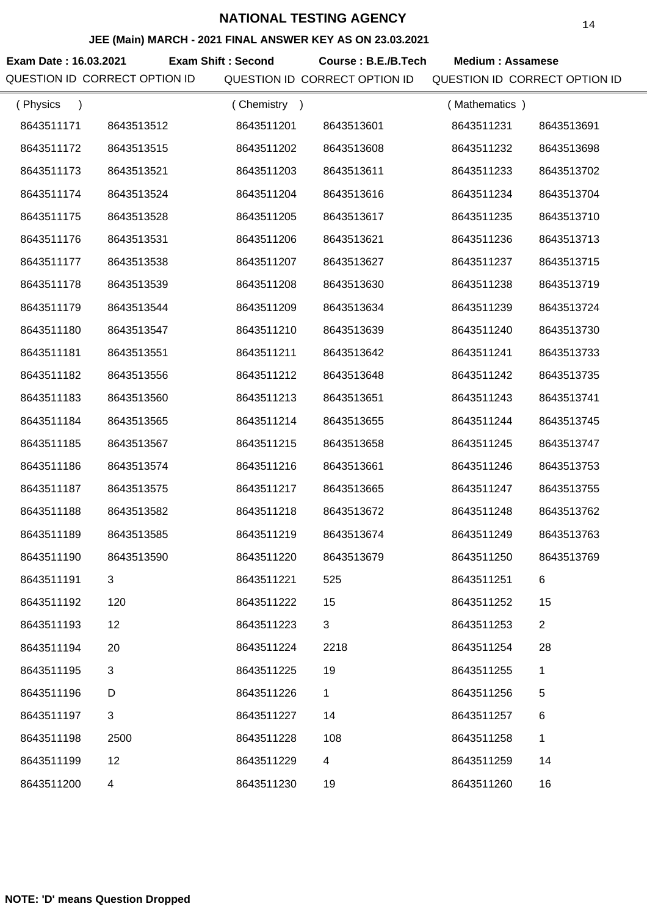#### **JEE (Main) MARCH - 2021 FINAL ANSWER KEY AS ON 23.03.2021**

**Exam Date : 16.03.2021 Exam Shift : Second Course : B.E./B.Tech Medium : Assamese** QUESTION ID CORRECT OPTION ID QUESTION ID CORRECT OPTION ID QUESTION ID CORRECT OPTION ID

| (Physics<br>$\lambda$ |            | (Chemistry) |             | (Mathematics) |                |
|-----------------------|------------|-------------|-------------|---------------|----------------|
| 8643511171            | 8643513512 | 8643511201  | 8643513601  | 8643511231    | 8643513691     |
| 8643511172            | 8643513515 | 8643511202  | 8643513608  | 8643511232    | 8643513698     |
| 8643511173            | 8643513521 | 8643511203  | 8643513611  | 8643511233    | 8643513702     |
| 8643511174            | 8643513524 | 8643511204  | 8643513616  | 8643511234    | 8643513704     |
| 8643511175            | 8643513528 | 8643511205  | 8643513617  | 8643511235    | 8643513710     |
| 8643511176            | 8643513531 | 8643511206  | 8643513621  | 8643511236    | 8643513713     |
| 8643511177            | 8643513538 | 8643511207  | 8643513627  | 8643511237    | 8643513715     |
| 8643511178            | 8643513539 | 8643511208  | 8643513630  | 8643511238    | 8643513719     |
| 8643511179            | 8643513544 | 8643511209  | 8643513634  | 8643511239    | 8643513724     |
| 8643511180            | 8643513547 | 8643511210  | 8643513639  | 8643511240    | 8643513730     |
| 8643511181            | 8643513551 | 8643511211  | 8643513642  | 8643511241    | 8643513733     |
| 8643511182            | 8643513556 | 8643511212  | 8643513648  | 8643511242    | 8643513735     |
| 8643511183            | 8643513560 | 8643511213  | 8643513651  | 8643511243    | 8643513741     |
| 8643511184            | 8643513565 | 8643511214  | 8643513655  | 8643511244    | 8643513745     |
| 8643511185            | 8643513567 | 8643511215  | 8643513658  | 8643511245    | 8643513747     |
| 8643511186            | 8643513574 | 8643511216  | 8643513661  | 8643511246    | 8643513753     |
| 8643511187            | 8643513575 | 8643511217  | 8643513665  | 8643511247    | 8643513755     |
| 8643511188            | 8643513582 | 8643511218  | 8643513672  | 8643511248    | 8643513762     |
| 8643511189            | 8643513585 | 8643511219  | 8643513674  | 8643511249    | 8643513763     |
| 8643511190            | 8643513590 | 8643511220  | 8643513679  | 8643511250    | 8643513769     |
| 8643511191            | 3          | 8643511221  | 525         | 8643511251    | 6              |
| 8643511192            | 120        | 8643511222  | 15          | 8643511252    | 15             |
| 8643511193            | 12         | 8643511223  | 3           | 8643511253    | $\overline{2}$ |
| 8643511194            | 20         | 8643511224  | 2218        | 8643511254    | 28             |
| 8643511195            | 3          | 8643511225  | 19          | 8643511255    | 1              |
| 8643511196            | D          | 8643511226  | $\mathbf 1$ | 8643511256    | 5              |
| 8643511197            | 3          | 8643511227  | 14          | 8643511257    | 6              |
| 8643511198            | 2500       | 8643511228  | 108         | 8643511258    | 1              |
| 8643511199            | 12         | 8643511229  | 4           | 8643511259    | 14             |
| 8643511200            | 4          | 8643511230  | 19          | 8643511260    | 16             |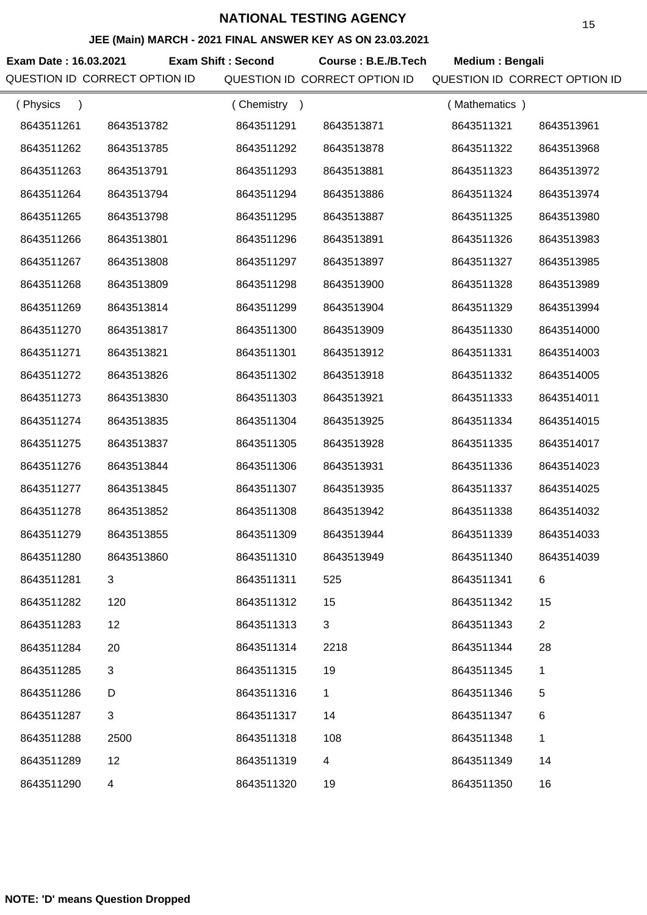#### **JEE (Main) MARCH - 2021 FINAL ANSWER KEY AS ON 23.03.2021**

**Exam Date : 16.03.2021 Course : B.E./B.Tech Medium : Bengali Exam Shift : Second** QUESTION ID CORRECT OPTION ID QUESTION ID CORRECT OPTION ID QUESTION ID CORRECT OPTION ID

| (Physics   |                | (Chemistry |            | (Mathematics) |                |
|------------|----------------|------------|------------|---------------|----------------|
| 8643511261 | 8643513782     | 8643511291 | 8643513871 | 8643511321    | 8643513961     |
| 8643511262 | 8643513785     | 8643511292 | 8643513878 | 8643511322    | 8643513968     |
| 8643511263 | 8643513791     | 8643511293 | 8643513881 | 8643511323    | 8643513972     |
| 8643511264 | 8643513794     | 8643511294 | 8643513886 | 8643511324    | 8643513974     |
| 8643511265 | 8643513798     | 8643511295 | 8643513887 | 8643511325    | 8643513980     |
| 8643511266 | 8643513801     | 8643511296 | 8643513891 | 8643511326    | 8643513983     |
| 8643511267 | 8643513808     | 8643511297 | 8643513897 | 8643511327    | 8643513985     |
| 8643511268 | 8643513809     | 8643511298 | 8643513900 | 8643511328    | 8643513989     |
| 8643511269 | 8643513814     | 8643511299 | 8643513904 | 8643511329    | 8643513994     |
| 8643511270 | 8643513817     | 8643511300 | 8643513909 | 8643511330    | 8643514000     |
| 8643511271 | 8643513821     | 8643511301 | 8643513912 | 8643511331    | 8643514003     |
| 8643511272 | 8643513826     | 8643511302 | 8643513918 | 8643511332    | 8643514005     |
| 8643511273 | 8643513830     | 8643511303 | 8643513921 | 8643511333    | 8643514011     |
| 8643511274 | 8643513835     | 8643511304 | 8643513925 | 8643511334    | 8643514015     |
| 8643511275 | 8643513837     | 8643511305 | 8643513928 | 8643511335    | 8643514017     |
| 8643511276 | 8643513844     | 8643511306 | 8643513931 | 8643511336    | 8643514023     |
| 8643511277 | 8643513845     | 8643511307 | 8643513935 | 8643511337    | 8643514025     |
| 8643511278 | 8643513852     | 8643511308 | 8643513942 | 8643511338    | 8643514032     |
| 8643511279 | 8643513855     | 8643511309 | 8643513944 | 8643511339    | 8643514033     |
| 8643511280 | 8643513860     | 8643511310 | 8643513949 | 8643511340    | 8643514039     |
| 8643511281 | 3              | 8643511311 | 525        | 8643511341    | 6              |
| 8643511282 | 120            | 8643511312 | 15         | 8643511342    | 15             |
| 8643511283 | 12             | 8643511313 | 3          | 8643511343    | $\overline{2}$ |
| 8643511284 | 20             | 8643511314 | 2218       | 8643511344    | 28             |
| 8643511285 | 3              | 8643511315 | 19         | 8643511345    | 1              |
| 8643511286 | D              | 8643511316 | 1          | 8643511346    | 5              |
| 8643511287 | 3              | 8643511317 | 14         | 8643511347    | 6              |
| 8643511288 | 2500           | 8643511318 | 108        | 8643511348    | 1              |
| 8643511289 | 12             | 8643511319 | 4          | 8643511349    | 14             |
| 8643511290 | $\overline{4}$ | 8643511320 | 19         | 8643511350    | 16             |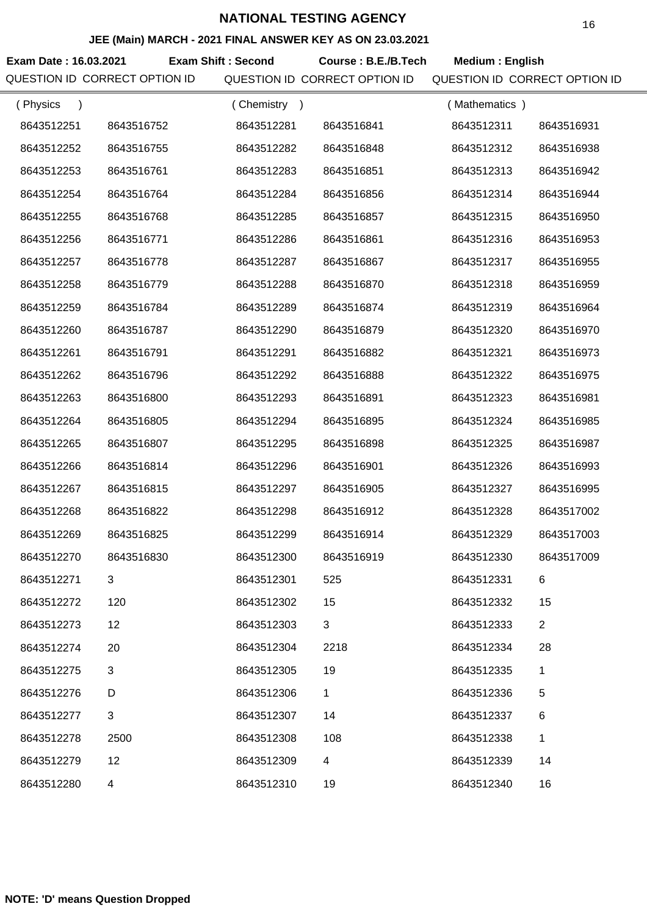#### **JEE (Main) MARCH - 2021 FINAL ANSWER KEY AS ON 23.03.2021**

**Exam Date : 16.03.2021 Course : B.E./B.Tech Medium : English Exam Shift : Second** QUESTION ID CORRECT OPTION ID QUESTION ID CORRECT OPTION ID QUESTION ID CORRECT OPTION ID

| (Physics   |                | (Chemistry) |             | (Mathematics) |                |
|------------|----------------|-------------|-------------|---------------|----------------|
| 8643512251 | 8643516752     | 8643512281  | 8643516841  | 8643512311    | 8643516931     |
| 8643512252 | 8643516755     | 8643512282  | 8643516848  | 8643512312    | 8643516938     |
| 8643512253 | 8643516761     | 8643512283  | 8643516851  | 8643512313    | 8643516942     |
| 8643512254 | 8643516764     | 8643512284  | 8643516856  | 8643512314    | 8643516944     |
| 8643512255 | 8643516768     | 8643512285  | 8643516857  | 8643512315    | 8643516950     |
| 8643512256 | 8643516771     | 8643512286  | 8643516861  | 8643512316    | 8643516953     |
| 8643512257 | 8643516778     | 8643512287  | 8643516867  | 8643512317    | 8643516955     |
| 8643512258 | 8643516779     | 8643512288  | 8643516870  | 8643512318    | 8643516959     |
| 8643512259 | 8643516784     | 8643512289  | 8643516874  | 8643512319    | 8643516964     |
| 8643512260 | 8643516787     | 8643512290  | 8643516879  | 8643512320    | 8643516970     |
| 8643512261 | 8643516791     | 8643512291  | 8643516882  | 8643512321    | 8643516973     |
| 8643512262 | 8643516796     | 8643512292  | 8643516888  | 8643512322    | 8643516975     |
| 8643512263 | 8643516800     | 8643512293  | 8643516891  | 8643512323    | 8643516981     |
| 8643512264 | 8643516805     | 8643512294  | 8643516895  | 8643512324    | 8643516985     |
| 8643512265 | 8643516807     | 8643512295  | 8643516898  | 8643512325    | 8643516987     |
| 8643512266 | 8643516814     | 8643512296  | 8643516901  | 8643512326    | 8643516993     |
| 8643512267 | 8643516815     | 8643512297  | 8643516905  | 8643512327    | 8643516995     |
| 8643512268 | 8643516822     | 8643512298  | 8643516912  | 8643512328    | 8643517002     |
| 8643512269 | 8643516825     | 8643512299  | 8643516914  | 8643512329    | 8643517003     |
| 8643512270 | 8643516830     | 8643512300  | 8643516919  | 8643512330    | 8643517009     |
| 8643512271 | 3              | 8643512301  | 525         | 8643512331    |                |
| 8643512272 | 120            | 8643512302  | 15          | 8643512332    | 15             |
| 8643512273 | 12             | 8643512303  | 3           | 8643512333    | $\overline{2}$ |
| 8643512274 | 20             | 8643512304  | 2218        | 8643512334    | 28             |
| 8643512275 | 3              | 8643512305  | 19          | 8643512335    | 1              |
| 8643512276 | D              | 8643512306  | $\mathbf 1$ | 8643512336    | 5              |
| 8643512277 | $\mathfrak{B}$ | 8643512307  | 14          | 8643512337    | 6              |
| 8643512278 | 2500           | 8643512308  | 108         | 8643512338    | 1              |
| 8643512279 | 12             | 8643512309  | 4           | 8643512339    | 14             |
| 8643512280 | 4              | 8643512310  | 19          | 8643512340    | 16             |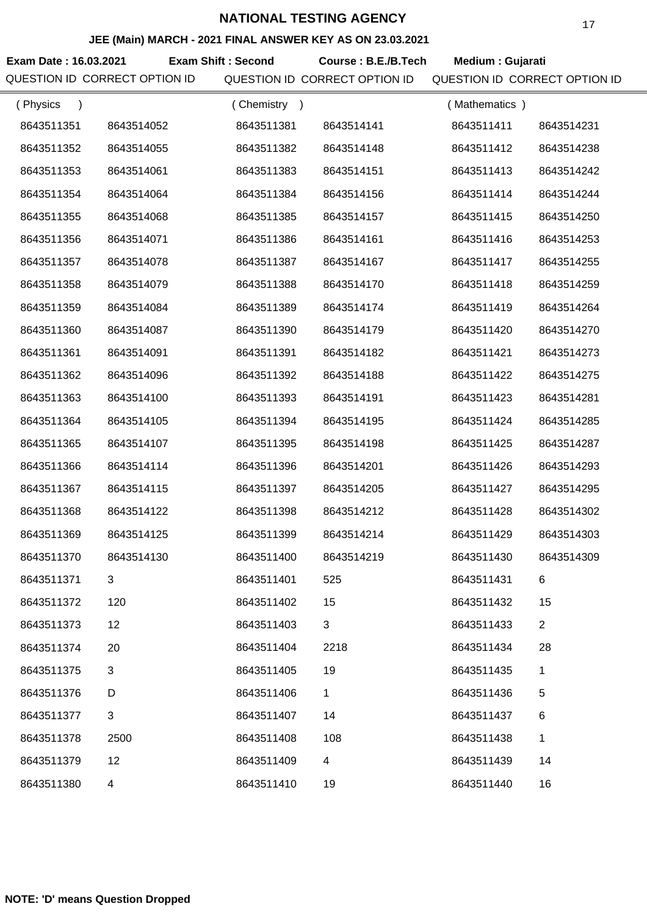#### **JEE (Main) MARCH - 2021 FINAL ANSWER KEY AS ON 23.03.2021**

**Exam Date : 16.03.2021 Exam Shift : Second Course : B.E./B.Tech Medium : Gujarati** QUESTION ID CORRECT OPTION ID QUESTION ID CORRECT OPTION ID QUESTION ID CORRECT OPTION ID

| (Physics<br>$\lambda$ |            | (Chemistry) |             | (Mathematics) |                |
|-----------------------|------------|-------------|-------------|---------------|----------------|
| 8643511351            | 8643514052 | 8643511381  | 8643514141  | 8643511411    | 8643514231     |
| 8643511352            | 8643514055 | 8643511382  | 8643514148  | 8643511412    | 8643514238     |
| 8643511353            | 8643514061 | 8643511383  | 8643514151  | 8643511413    | 8643514242     |
| 8643511354            | 8643514064 | 8643511384  | 8643514156  | 8643511414    | 8643514244     |
| 8643511355            | 8643514068 | 8643511385  | 8643514157  | 8643511415    | 8643514250     |
| 8643511356            | 8643514071 | 8643511386  | 8643514161  | 8643511416    | 8643514253     |
| 8643511357            | 8643514078 | 8643511387  | 8643514167  | 8643511417    | 8643514255     |
| 8643511358            | 8643514079 | 8643511388  | 8643514170  | 8643511418    | 8643514259     |
| 8643511359            | 8643514084 | 8643511389  | 8643514174  | 8643511419    | 8643514264     |
| 8643511360            | 8643514087 | 8643511390  | 8643514179  | 8643511420    | 8643514270     |
| 8643511361            | 8643514091 | 8643511391  | 8643514182  | 8643511421    | 8643514273     |
| 8643511362            | 8643514096 | 8643511392  | 8643514188  | 8643511422    | 8643514275     |
| 8643511363            | 8643514100 | 8643511393  | 8643514191  | 8643511423    | 8643514281     |
| 8643511364            | 8643514105 | 8643511394  | 8643514195  | 8643511424    | 8643514285     |
| 8643511365            | 8643514107 | 8643511395  | 8643514198  | 8643511425    | 8643514287     |
| 8643511366            | 8643514114 | 8643511396  | 8643514201  | 8643511426    | 8643514293     |
| 8643511367            | 8643514115 | 8643511397  | 8643514205  | 8643511427    | 8643514295     |
| 8643511368            | 8643514122 | 8643511398  | 8643514212  | 8643511428    | 8643514302     |
| 8643511369            | 8643514125 | 8643511399  | 8643514214  | 8643511429    | 8643514303     |
| 8643511370            | 8643514130 | 8643511400  | 8643514219  | 8643511430    | 8643514309     |
| 8643511371            | 3          | 8643511401  | 525         | 8643511431    | 6              |
| 8643511372            | 120        | 8643511402  | 15          | 8643511432    | 15             |
| 8643511373            | 12         | 8643511403  | 3           | 8643511433    | $\overline{c}$ |
| 8643511374            | 20         | 8643511404  | 2218        | 8643511434    | 28             |
| 8643511375            | 3          | 8643511405  | 19          | 8643511435    | 1              |
| 8643511376            | D          | 8643511406  | $\mathbf 1$ | 8643511436    | 5              |
| 8643511377            | 3          | 8643511407  | 14          | 8643511437    | 6              |
| 8643511378            | 2500       | 8643511408  | 108         | 8643511438    | 1              |
| 8643511379            | 12         | 8643511409  | 4           | 8643511439    | 14             |
| 8643511380            | 4          | 8643511410  | 19          | 8643511440    | 16             |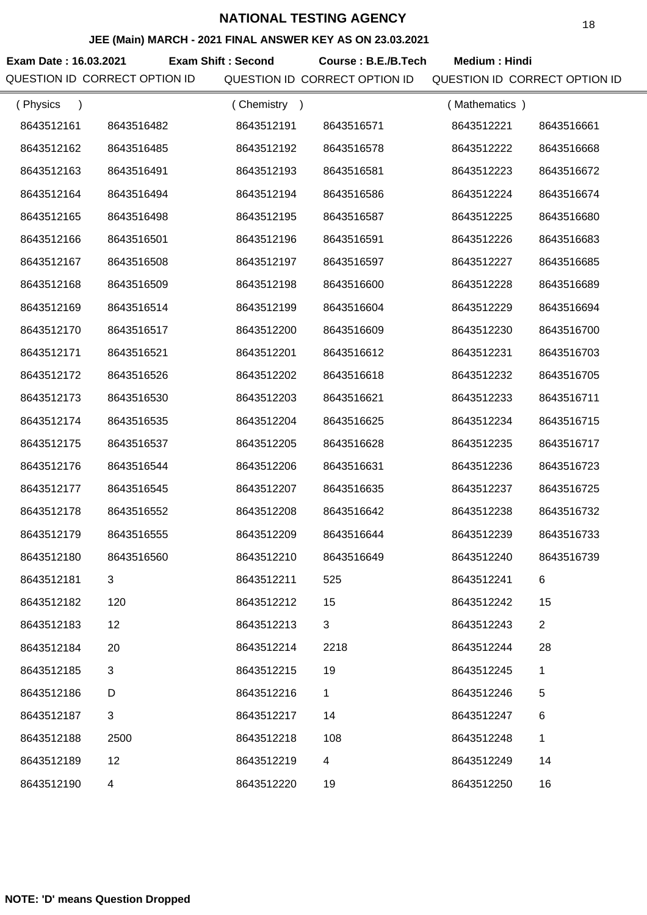#### **JEE (Main) MARCH - 2021 FINAL ANSWER KEY AS ON 23.03.2021**

**Exam Date : 16.03.2021 Exam Shift : Second Course : B.E./B.Tech Medium : Hindi** QUESTION ID CORRECT OPTION ID QUESTION ID CORRECT OPTION ID QUESTION ID CORRECT OPTION ID

| (Physics<br>$\lambda$ |                | (Chemistry<br>$\rightarrow$ |            | (Mathematics) |                |
|-----------------------|----------------|-----------------------------|------------|---------------|----------------|
| 8643512161            | 8643516482     | 8643512191                  | 8643516571 | 8643512221    | 8643516661     |
| 8643512162            | 8643516485     | 8643512192                  | 8643516578 | 8643512222    | 8643516668     |
| 8643512163            | 8643516491     | 8643512193                  | 8643516581 | 8643512223    | 8643516672     |
| 8643512164            | 8643516494     | 8643512194                  | 8643516586 | 8643512224    | 8643516674     |
| 8643512165            | 8643516498     | 8643512195                  | 8643516587 | 8643512225    | 8643516680     |
| 8643512166            | 8643516501     | 8643512196                  | 8643516591 | 8643512226    | 8643516683     |
| 8643512167            | 8643516508     | 8643512197                  | 8643516597 | 8643512227    | 8643516685     |
| 8643512168            | 8643516509     | 8643512198                  | 8643516600 | 8643512228    | 8643516689     |
| 8643512169            | 8643516514     | 8643512199                  | 8643516604 | 8643512229    | 8643516694     |
| 8643512170            | 8643516517     | 8643512200                  | 8643516609 | 8643512230    | 8643516700     |
| 8643512171            | 8643516521     | 8643512201                  | 8643516612 | 8643512231    | 8643516703     |
| 8643512172            | 8643516526     | 8643512202                  | 8643516618 | 8643512232    | 8643516705     |
| 8643512173            | 8643516530     | 8643512203                  | 8643516621 | 8643512233    | 8643516711     |
| 8643512174            | 8643516535     | 8643512204                  | 8643516625 | 8643512234    | 8643516715     |
| 8643512175            | 8643516537     | 8643512205                  | 8643516628 | 8643512235    | 8643516717     |
| 8643512176            | 8643516544     | 8643512206                  | 8643516631 | 8643512236    | 8643516723     |
| 8643512177            | 8643516545     | 8643512207                  | 8643516635 | 8643512237    | 8643516725     |
| 8643512178            | 8643516552     | 8643512208                  | 8643516642 | 8643512238    | 8643516732     |
| 8643512179            | 8643516555     | 8643512209                  | 8643516644 | 8643512239    | 8643516733     |
| 8643512180            | 8643516560     | 8643512210                  | 8643516649 | 8643512240    | 8643516739     |
| 8643512181            |                | 8643512211                  | 525        | 8643512241    | 6              |
| 8643512182            | 120            | 8643512212                  | 15         | 8643512242    | 15             |
| 8643512183            | 12             | 8643512213                  | 3          | 8643512243    | $\overline{2}$ |
| 8643512184            | 20             | 8643512214                  | 2218       | 8643512244    | 28             |
| 8643512185            | 3              | 8643512215                  | 19         | 8643512245    | 1              |
| 8643512186            | D              | 8643512216                  | 1          | 8643512246    | 5              |
| 8643512187            | $\mathfrak{B}$ | 8643512217                  | 14         | 8643512247    | 6              |
| 8643512188            | 2500           | 8643512218                  | 108        | 8643512248    | $\mathbf{1}$   |
| 8643512189            | 12             | 8643512219                  | 4          | 8643512249    | 14             |
| 8643512190            | 4              | 8643512220                  | 19         | 8643512250    | 16             |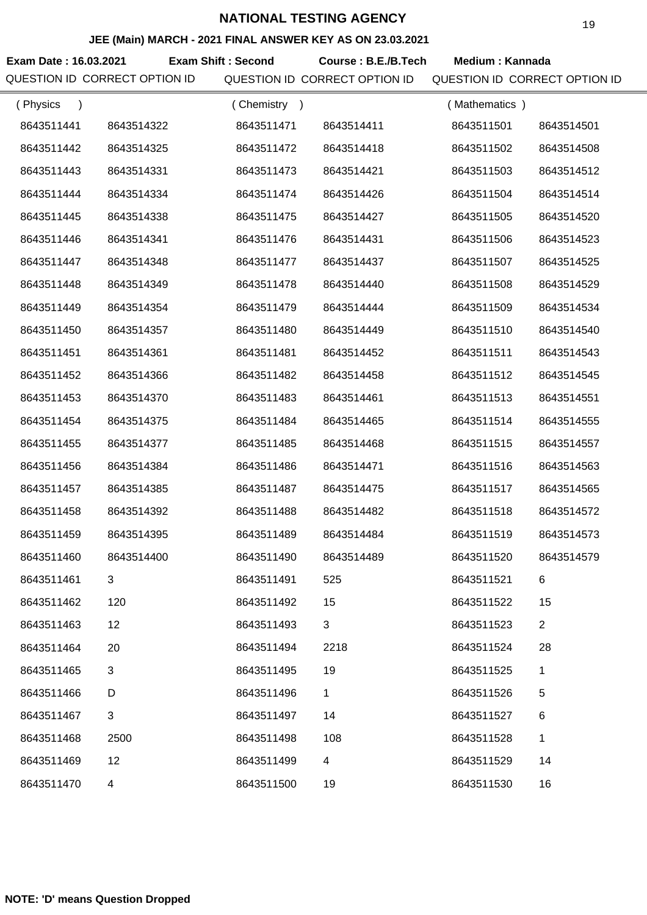#### **JEE (Main) MARCH - 2021 FINAL ANSWER KEY AS ON 23.03.2021**

Exam Date : 16.03.2021 Exam Shift : Second Course : B.E./B.Tech Medium : Kannada QUESTION ID CORRECT OPTION ID QUESTION ID CORRECT OPTION ID QUESTION ID CORRECT OPTION ID

| (Physics<br>$\lambda$ |            | (Chemistry<br>$\rightarrow$ |            | (Mathematics) |                |
|-----------------------|------------|-----------------------------|------------|---------------|----------------|
| 8643511441            | 8643514322 | 8643511471                  | 8643514411 | 8643511501    | 8643514501     |
| 8643511442            | 8643514325 | 8643511472                  | 8643514418 | 8643511502    | 8643514508     |
| 8643511443            | 8643514331 | 8643511473                  | 8643514421 | 8643511503    | 8643514512     |
| 8643511444            | 8643514334 | 8643511474                  | 8643514426 | 8643511504    | 8643514514     |
| 8643511445            | 8643514338 | 8643511475                  | 8643514427 | 8643511505    | 8643514520     |
| 8643511446            | 8643514341 | 8643511476                  | 8643514431 | 8643511506    | 8643514523     |
| 8643511447            | 8643514348 | 8643511477                  | 8643514437 | 8643511507    | 8643514525     |
| 8643511448            | 8643514349 | 8643511478                  | 8643514440 | 8643511508    | 8643514529     |
| 8643511449            | 8643514354 | 8643511479                  | 8643514444 | 8643511509    | 8643514534     |
| 8643511450            | 8643514357 | 8643511480                  | 8643514449 | 8643511510    | 8643514540     |
| 8643511451            | 8643514361 | 8643511481                  | 8643514452 | 8643511511    | 8643514543     |
| 8643511452            | 8643514366 | 8643511482                  | 8643514458 | 8643511512    | 8643514545     |
| 8643511453            | 8643514370 | 8643511483                  | 8643514461 | 8643511513    | 8643514551     |
| 8643511454            | 8643514375 | 8643511484                  | 8643514465 | 8643511514    | 8643514555     |
| 8643511455            | 8643514377 | 8643511485                  | 8643514468 | 8643511515    | 8643514557     |
| 8643511456            | 8643514384 | 8643511486                  | 8643514471 | 8643511516    | 8643514563     |
| 8643511457            | 8643514385 | 8643511487                  | 8643514475 | 8643511517    | 8643514565     |
| 8643511458            | 8643514392 | 8643511488                  | 8643514482 | 8643511518    | 8643514572     |
| 8643511459            | 8643514395 | 8643511489                  | 8643514484 | 8643511519    | 8643514573     |
| 8643511460            | 8643514400 | 8643511490                  | 8643514489 | 8643511520    | 8643514579     |
| 8643511461            | 3          | 8643511491                  | 525        | 8643511521    | 6              |
| 8643511462            | 120        | 8643511492                  | 15         | 8643511522    | 15             |
| 8643511463            | 12         | 8643511493                  | 3          | 8643511523    | $\overline{2}$ |
| 8643511464            | 20         | 8643511494                  | 2218       | 8643511524    | 28             |
| 8643511465            | 3          | 8643511495                  | 19         | 8643511525    | 1              |
| 8643511466            | D          | 8643511496                  | 1          | 8643511526    | 5              |
| 8643511467            | 3          | 8643511497                  | 14         | 8643511527    | 6              |
| 8643511468            | 2500       | 8643511498                  | 108        | 8643511528    | 1              |
| 8643511469            | 12         | 8643511499                  | 4          | 8643511529    | 14             |
| 8643511470            | 4          | 8643511500                  | 19         | 8643511530    | 16             |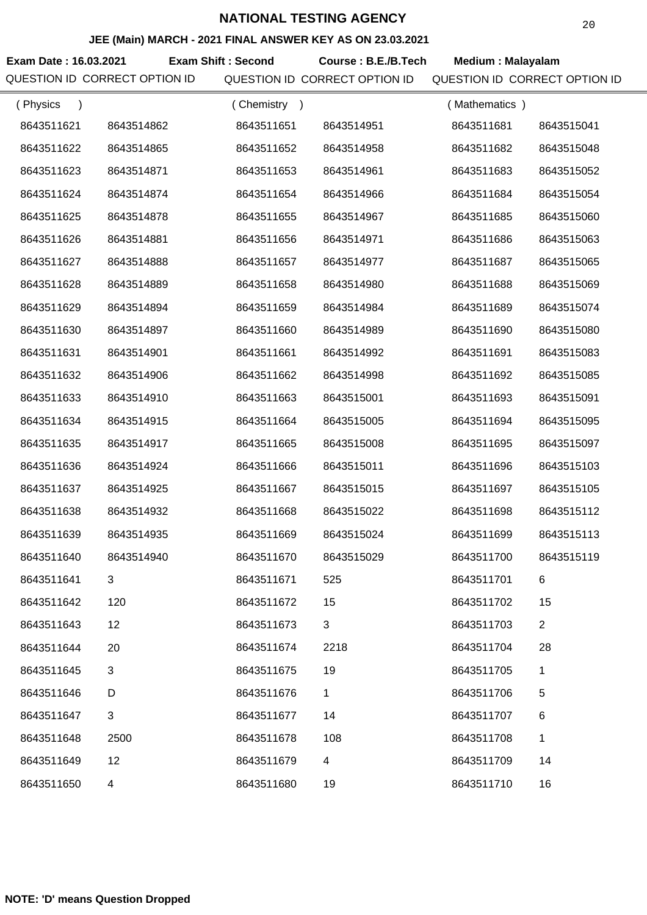#### **JEE (Main) MARCH - 2021 FINAL ANSWER KEY AS ON 23.03.2021**

**Exam Date : 16.03.2021 Exam Shift : Second Course : B.E./B.Tech Medium : Malayalam** QUESTION ID CORRECT OPTION ID QUESTION ID CORRECT OPTION ID QUESTION ID CORRECT OPTION ID

| (Physics   |            | (Chemistry<br>$\rightarrow$ |            | (Mathematics) |                |
|------------|------------|-----------------------------|------------|---------------|----------------|
| 8643511621 | 8643514862 | 8643511651                  | 8643514951 | 8643511681    | 8643515041     |
| 8643511622 | 8643514865 | 8643511652                  | 8643514958 | 8643511682    | 8643515048     |
| 8643511623 | 8643514871 | 8643511653                  | 8643514961 | 8643511683    | 8643515052     |
| 8643511624 | 8643514874 | 8643511654                  | 8643514966 | 8643511684    | 8643515054     |
| 8643511625 | 8643514878 | 8643511655                  | 8643514967 | 8643511685    | 8643515060     |
| 8643511626 | 8643514881 | 8643511656                  | 8643514971 | 8643511686    | 8643515063     |
| 8643511627 | 8643514888 | 8643511657                  | 8643514977 | 8643511687    | 8643515065     |
| 8643511628 | 8643514889 | 8643511658                  | 8643514980 | 8643511688    | 8643515069     |
| 8643511629 | 8643514894 | 8643511659                  | 8643514984 | 8643511689    | 8643515074     |
| 8643511630 | 8643514897 | 8643511660                  | 8643514989 | 8643511690    | 8643515080     |
| 8643511631 | 8643514901 | 8643511661                  | 8643514992 | 8643511691    | 8643515083     |
| 8643511632 | 8643514906 | 8643511662                  | 8643514998 | 8643511692    | 8643515085     |
| 8643511633 | 8643514910 | 8643511663                  | 8643515001 | 8643511693    | 8643515091     |
| 8643511634 | 8643514915 | 8643511664                  | 8643515005 | 8643511694    | 8643515095     |
| 8643511635 | 8643514917 | 8643511665                  | 8643515008 | 8643511695    | 8643515097     |
| 8643511636 | 8643514924 | 8643511666                  | 8643515011 | 8643511696    | 8643515103     |
| 8643511637 | 8643514925 | 8643511667                  | 8643515015 | 8643511697    | 8643515105     |
| 8643511638 | 8643514932 | 8643511668                  | 8643515022 | 8643511698    | 8643515112     |
| 8643511639 | 8643514935 | 8643511669                  | 8643515024 | 8643511699    | 8643515113     |
| 8643511640 | 8643514940 | 8643511670                  | 8643515029 | 8643511700    | 8643515119     |
| 8643511641 | 3          | 8643511671                  | 525        | 8643511701    | 6              |
| 8643511642 | 120        | 8643511672                  | 15         | 8643511702    | 15             |
| 8643511643 | 12         | 8643511673                  | 3          | 8643511703    | $\overline{2}$ |
| 8643511644 | 20         | 8643511674                  | 2218       | 8643511704    | 28             |
| 8643511645 | 3          | 8643511675                  | 19         | 8643511705    | 1              |
| 8643511646 | D          | 8643511676                  | 1          | 8643511706    | 5              |
| 8643511647 | 3          | 8643511677                  | 14         | 8643511707    | 6              |
| 8643511648 | 2500       | 8643511678                  | 108        | 8643511708    | 1              |
| 8643511649 | 12         | 8643511679                  | 4          | 8643511709    | 14             |
| 8643511650 | 4          | 8643511680                  | 19         | 8643511710    | 16             |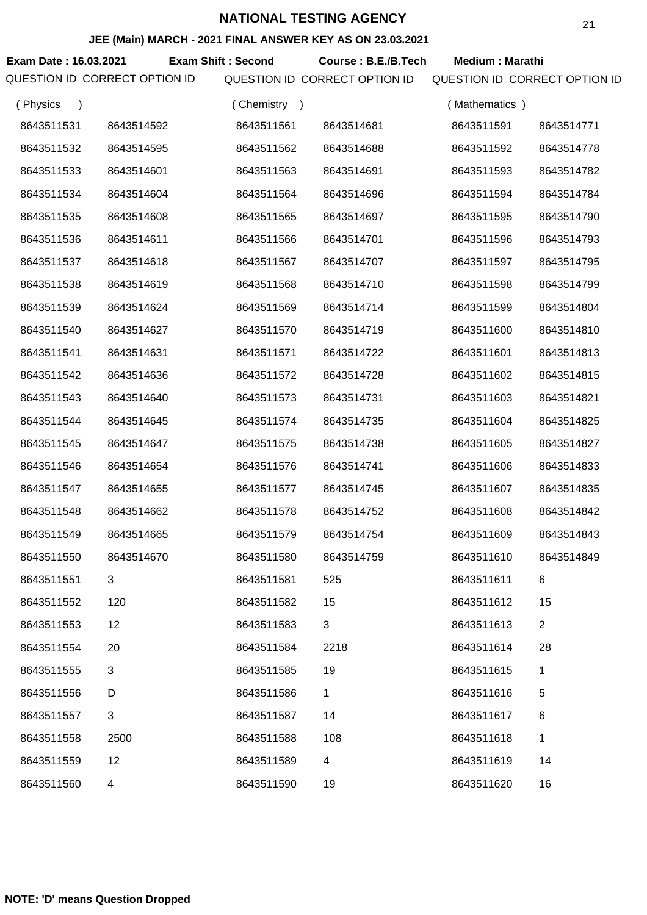#### **JEE (Main) MARCH - 2021 FINAL ANSWER KEY AS ON 23.03.2021**

**Exam Date : 16.03.2021 Course : B.E./B.Tech Medium : Marathi Exam Shift : Second** QUESTION ID CORRECT OPTION ID QUESTION ID CORRECT OPTION ID QUESTION ID CORRECT OPTION ID

| (Physics   |              | (Chemistry<br>$\rightarrow$ |              | (Mathematics) |                |
|------------|--------------|-----------------------------|--------------|---------------|----------------|
| 8643511531 | 8643514592   | 8643511561                  | 8643514681   | 8643511591    | 8643514771     |
| 8643511532 | 8643514595   | 8643511562                  | 8643514688   | 8643511592    | 8643514778     |
| 8643511533 | 8643514601   | 8643511563                  | 8643514691   | 8643511593    | 8643514782     |
| 8643511534 | 8643514604   | 8643511564                  | 8643514696   | 8643511594    | 8643514784     |
| 8643511535 | 8643514608   | 8643511565                  | 8643514697   | 8643511595    | 8643514790     |
| 8643511536 | 8643514611   | 8643511566                  | 8643514701   | 8643511596    | 8643514793     |
| 8643511537 | 8643514618   | 8643511567                  | 8643514707   | 8643511597    | 8643514795     |
| 8643511538 | 8643514619   | 8643511568                  | 8643514710   | 8643511598    | 8643514799     |
| 8643511539 | 8643514624   | 8643511569                  | 8643514714   | 8643511599    | 8643514804     |
| 8643511540 | 8643514627   | 8643511570                  | 8643514719   | 8643511600    | 8643514810     |
| 8643511541 | 8643514631   | 8643511571                  | 8643514722   | 8643511601    | 8643514813     |
| 8643511542 | 8643514636   | 8643511572                  | 8643514728   | 8643511602    | 8643514815     |
| 8643511543 | 8643514640   | 8643511573                  | 8643514731   | 8643511603    | 8643514821     |
| 8643511544 | 8643514645   | 8643511574                  | 8643514735   | 8643511604    | 8643514825     |
| 8643511545 | 8643514647   | 8643511575                  | 8643514738   | 8643511605    | 8643514827     |
| 8643511546 | 8643514654   | 8643511576                  | 8643514741   | 8643511606    | 8643514833     |
| 8643511547 | 8643514655   | 8643511577                  | 8643514745   | 8643511607    | 8643514835     |
| 8643511548 | 8643514662   | 8643511578                  | 8643514752   | 8643511608    | 8643514842     |
| 8643511549 | 8643514665   | 8643511579                  | 8643514754   | 8643511609    | 8643514843     |
| 8643511550 | 8643514670   | 8643511580                  | 8643514759   | 8643511610    | 8643514849     |
| 8643511551 | 3            | 8643511581                  | 525          | 8643511611    | 6              |
| 8643511552 | 120          | 8643511582                  | 15           | 8643511612    | 15             |
| 8643511553 | 12           | 8643511583                  | 3            | 8643511613    | $\overline{2}$ |
| 8643511554 | 20           | 8643511584                  | 2218         | 8643511614    | 28             |
| 8643511555 | 3            | 8643511585                  | 19           | 8643511615    | 1              |
| 8643511556 | D            | 8643511586                  | $\mathbf{1}$ | 8643511616    | $\,$ 5 $\,$    |
| 8643511557 | $\mathbf{3}$ | 8643511587                  | 14           | 8643511617    | 6              |
| 8643511558 | 2500         | 8643511588                  | 108          | 8643511618    | $\mathbf{1}$   |
| 8643511559 | 12           | 8643511589                  | 4            | 8643511619    | 14             |
| 8643511560 | 4            | 8643511590                  | 19           | 8643511620    | 16             |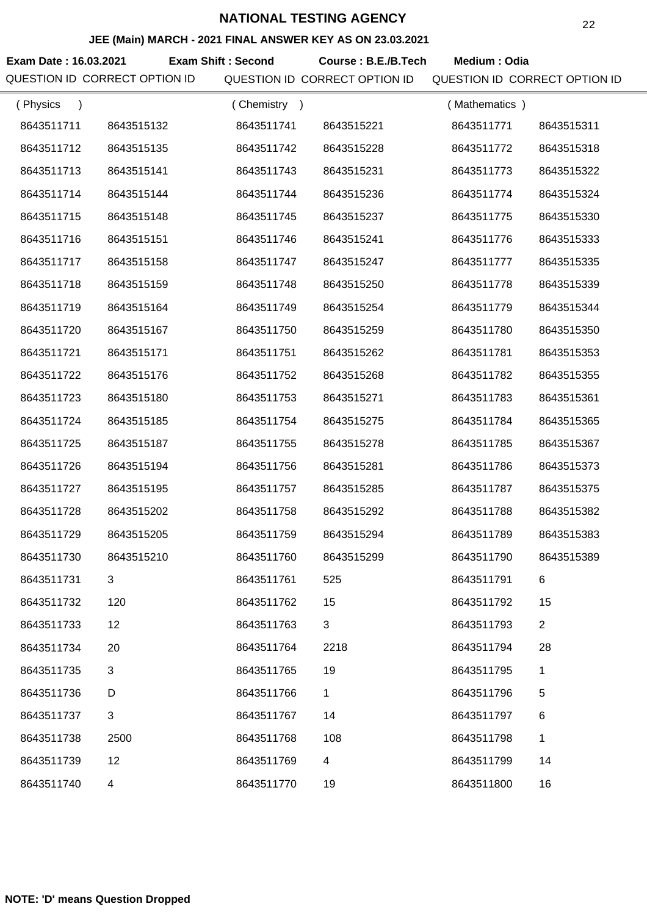#### **JEE (Main) MARCH - 2021 FINAL ANSWER KEY AS ON 23.03.2021**

**Exam Date : 16.03.2021 Exam Shift : Second Course : B.E./B.Tech Medium : Odia** QUESTION ID CORRECT OPTION ID QUESTION ID CORRECT OPTION ID QUESTION ID CORRECT OPTION ID

| (Physics   |                | (Chemistry<br>$\rightarrow$ |              | (Mathematics) |                |
|------------|----------------|-----------------------------|--------------|---------------|----------------|
| 8643511711 | 8643515132     | 8643511741                  | 8643515221   | 8643511771    | 8643515311     |
| 8643511712 | 8643515135     | 8643511742                  | 8643515228   | 8643511772    | 8643515318     |
| 8643511713 | 8643515141     | 8643511743                  | 8643515231   | 8643511773    | 8643515322     |
| 8643511714 | 8643515144     | 8643511744                  | 8643515236   | 8643511774    | 8643515324     |
| 8643511715 | 8643515148     | 8643511745                  | 8643515237   | 8643511775    | 8643515330     |
| 8643511716 | 8643515151     | 8643511746                  | 8643515241   | 8643511776    | 8643515333     |
| 8643511717 | 8643515158     | 8643511747                  | 8643515247   | 8643511777    | 8643515335     |
| 8643511718 | 8643515159     | 8643511748                  | 8643515250   | 8643511778    | 8643515339     |
| 8643511719 | 8643515164     | 8643511749                  | 8643515254   | 8643511779    | 8643515344     |
| 8643511720 | 8643515167     | 8643511750                  | 8643515259   | 8643511780    | 8643515350     |
| 8643511721 | 8643515171     | 8643511751                  | 8643515262   | 8643511781    | 8643515353     |
| 8643511722 | 8643515176     | 8643511752                  | 8643515268   | 8643511782    | 8643515355     |
| 8643511723 | 8643515180     | 8643511753                  | 8643515271   | 8643511783    | 8643515361     |
| 8643511724 | 8643515185     | 8643511754                  | 8643515275   | 8643511784    | 8643515365     |
| 8643511725 | 8643515187     | 8643511755                  | 8643515278   | 8643511785    | 8643515367     |
| 8643511726 | 8643515194     | 8643511756                  | 8643515281   | 8643511786    | 8643515373     |
| 8643511727 | 8643515195     | 8643511757                  | 8643515285   | 8643511787    | 8643515375     |
| 8643511728 | 8643515202     | 8643511758                  | 8643515292   | 8643511788    | 8643515382     |
| 8643511729 | 8643515205     | 8643511759                  | 8643515294   | 8643511789    | 8643515383     |
| 8643511730 | 8643515210     | 8643511760                  | 8643515299   | 8643511790    | 8643515389     |
| 8643511731 | 3              | 8643511761                  | 525          | 8643511791    | 6              |
| 8643511732 | 120            | 8643511762                  | 15           | 8643511792    | 15             |
| 8643511733 | 12             | 8643511763                  | 3            | 8643511793    | $\overline{2}$ |
| 8643511734 | 20             | 8643511764                  | 2218         | 8643511794    | 28             |
| 8643511735 | 3              | 8643511765                  | 19           | 8643511795    | 1              |
| 8643511736 | D              | 8643511766                  | $\mathbf{1}$ | 8643511796    | 5              |
| 8643511737 | $\mathfrak{S}$ | 8643511767                  | 14           | 8643511797    | 6              |
| 8643511738 | 2500           | 8643511768                  | 108          | 8643511798    | $\mathbf{1}$   |
| 8643511739 | 12             | 8643511769                  | 4            | 8643511799    | 14             |
| 8643511740 | $\overline{4}$ | 8643511770                  | 19           | 8643511800    | 16             |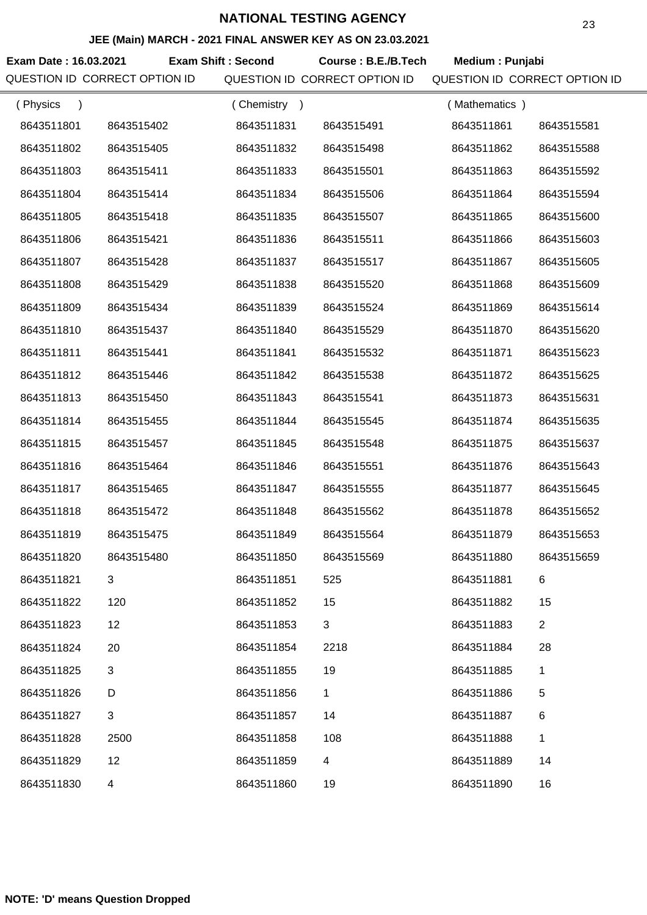#### **JEE (Main) MARCH - 2021 FINAL ANSWER KEY AS ON 23.03.2021**

**Exam Date : 16.03.2021 Course : B.E./B.Tech Medium : Punjabi Exam Shift : Second** QUESTION ID CORRECT OPTION ID QUESTION ID CORRECT OPTION ID QUESTION ID CORRECT OPTION ID

| (Physics   |            | (Chemistry) |            | (Mathematics) |                |
|------------|------------|-------------|------------|---------------|----------------|
| 8643511801 | 8643515402 | 8643511831  | 8643515491 | 8643511861    | 8643515581     |
| 8643511802 | 8643515405 | 8643511832  | 8643515498 | 8643511862    | 8643515588     |
| 8643511803 | 8643515411 | 8643511833  | 8643515501 | 8643511863    | 8643515592     |
| 8643511804 | 8643515414 | 8643511834  | 8643515506 | 8643511864    | 8643515594     |
| 8643511805 | 8643515418 | 8643511835  | 8643515507 | 8643511865    | 8643515600     |
| 8643511806 | 8643515421 | 8643511836  | 8643515511 | 8643511866    | 8643515603     |
| 8643511807 | 8643515428 | 8643511837  | 8643515517 | 8643511867    | 8643515605     |
| 8643511808 | 8643515429 | 8643511838  | 8643515520 | 8643511868    | 8643515609     |
| 8643511809 | 8643515434 | 8643511839  | 8643515524 | 8643511869    | 8643515614     |
| 8643511810 | 8643515437 | 8643511840  | 8643515529 | 8643511870    | 8643515620     |
| 8643511811 | 8643515441 | 8643511841  | 8643515532 | 8643511871    | 8643515623     |
| 8643511812 | 8643515446 | 8643511842  | 8643515538 | 8643511872    | 8643515625     |
| 8643511813 | 8643515450 | 8643511843  | 8643515541 | 8643511873    | 8643515631     |
| 8643511814 | 8643515455 | 8643511844  | 8643515545 | 8643511874    | 8643515635     |
| 8643511815 | 8643515457 | 8643511845  | 8643515548 | 8643511875    | 8643515637     |
| 8643511816 | 8643515464 | 8643511846  | 8643515551 | 8643511876    | 8643515643     |
| 8643511817 | 8643515465 | 8643511847  | 8643515555 | 8643511877    | 8643515645     |
| 8643511818 | 8643515472 | 8643511848  | 8643515562 | 8643511878    | 8643515652     |
| 8643511819 | 8643515475 | 8643511849  | 8643515564 | 8643511879    | 8643515653     |
| 8643511820 | 8643515480 | 8643511850  | 8643515569 | 8643511880    | 8643515659     |
| 8643511821 | 3          | 8643511851  | 525        | 8643511881    | 6.             |
| 8643511822 | 120        | 8643511852  | 15         | 8643511882    | 15             |
| 8643511823 | 12         | 8643511853  | 3          | 8643511883    | $\overline{2}$ |
| 8643511824 | 20         | 8643511854  | 2218       | 8643511884    | 28             |
| 8643511825 | 3          | 8643511855  | 19         | 8643511885    | 1              |
| 8643511826 | D          | 8643511856  | 1          | 8643511886    | 5              |
| 8643511827 | 3          | 8643511857  | 14         | 8643511887    | 6              |
| 8643511828 | 2500       | 8643511858  | 108        | 8643511888    | 1              |
| 8643511829 | 12         | 8643511859  | 4          | 8643511889    | 14             |
| 8643511830 | 4          | 8643511860  | 19         | 8643511890    | 16             |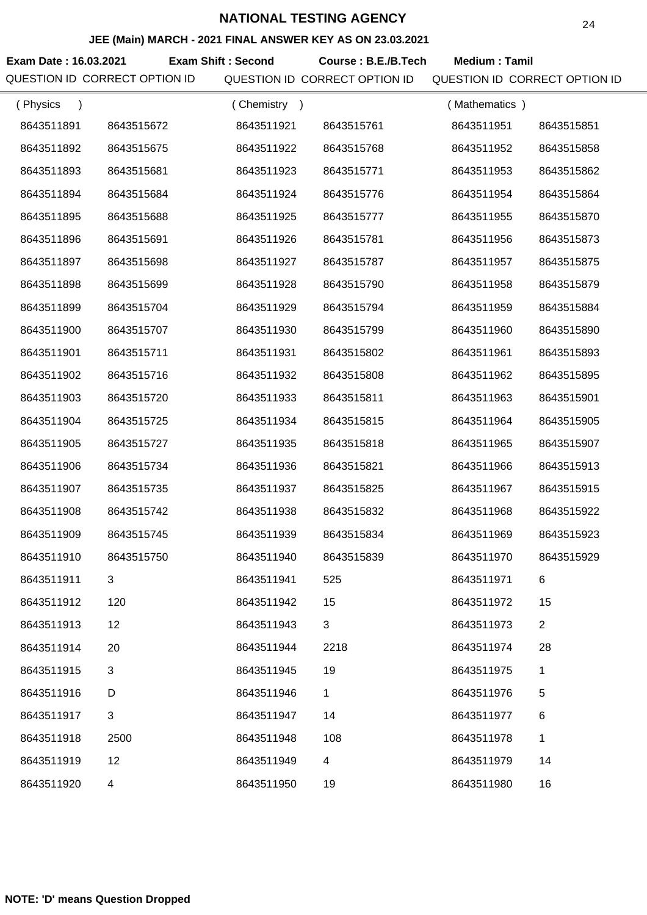#### **JEE (Main) MARCH - 2021 FINAL ANSWER KEY AS ON 23.03.2021**

**Exam Date : 16.03.2021 Exam Shift : Second Course : B.E./B.Tech Medium : Tamil** QUESTION ID CORRECT OPTION ID QUESTION ID CORRECT OPTION ID QUESTION ID CORRECT OPTION ID

| (Physics   |            | Chemistry<br>$\rightarrow$ |            | (Mathematics) |                |
|------------|------------|----------------------------|------------|---------------|----------------|
| 8643511891 | 8643515672 | 8643511921                 | 8643515761 | 8643511951    | 8643515851     |
| 8643511892 | 8643515675 | 8643511922                 | 8643515768 | 8643511952    | 8643515858     |
| 8643511893 | 8643515681 | 8643511923                 | 8643515771 | 8643511953    | 8643515862     |
| 8643511894 | 8643515684 | 8643511924                 | 8643515776 | 8643511954    | 8643515864     |
| 8643511895 | 8643515688 | 8643511925                 | 8643515777 | 8643511955    | 8643515870     |
| 8643511896 | 8643515691 | 8643511926                 | 8643515781 | 8643511956    | 8643515873     |
| 8643511897 | 8643515698 | 8643511927                 | 8643515787 | 8643511957    | 8643515875     |
| 8643511898 | 8643515699 | 8643511928                 | 8643515790 | 8643511958    | 8643515879     |
| 8643511899 | 8643515704 | 8643511929                 | 8643515794 | 8643511959    | 8643515884     |
| 8643511900 | 8643515707 | 8643511930                 | 8643515799 | 8643511960    | 8643515890     |
| 8643511901 | 8643515711 | 8643511931                 | 8643515802 | 8643511961    | 8643515893     |
| 8643511902 | 8643515716 | 8643511932                 | 8643515808 | 8643511962    | 8643515895     |
| 8643511903 | 8643515720 | 8643511933                 | 8643515811 | 8643511963    | 8643515901     |
| 8643511904 | 8643515725 | 8643511934                 | 8643515815 | 8643511964    | 8643515905     |
| 8643511905 | 8643515727 | 8643511935                 | 8643515818 | 8643511965    | 8643515907     |
| 8643511906 | 8643515734 | 8643511936                 | 8643515821 | 8643511966    | 8643515913     |
| 8643511907 | 8643515735 | 8643511937                 | 8643515825 | 8643511967    | 8643515915     |
| 8643511908 | 8643515742 | 8643511938                 | 8643515832 | 8643511968    | 8643515922     |
| 8643511909 | 8643515745 | 8643511939                 | 8643515834 | 8643511969    | 8643515923     |
| 8643511910 | 8643515750 | 8643511940                 | 8643515839 | 8643511970    | 8643515929     |
| 8643511911 |            | 8643511941                 | 525        | 8643511971    | 6              |
| 8643511912 | 120        | 8643511942                 | 15         | 8643511972    | 15             |
| 8643511913 | 12         | 8643511943                 | 3          | 8643511973    | $\overline{2}$ |
| 8643511914 | 20         | 8643511944                 | 2218       | 8643511974    | 28             |
| 8643511915 | 3          | 8643511945                 | 19         | 8643511975    | 1              |
| 8643511916 | D          | 8643511946                 | 1          | 8643511976    | 5              |
| 8643511917 | 3          | 8643511947                 | 14         | 8643511977    | 6              |
| 8643511918 | 2500       | 8643511948                 | 108        | 8643511978    | 1              |
| 8643511919 | 12         | 8643511949                 | 4          | 8643511979    | 14             |
| 8643511920 | 4          | 8643511950                 | 19         | 8643511980    | 16             |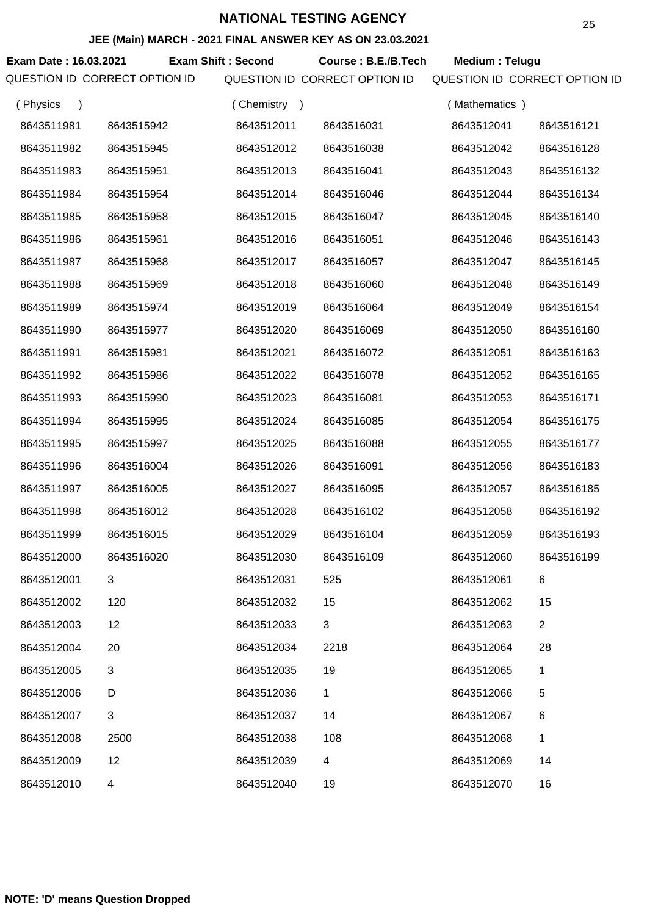#### **JEE (Main) MARCH - 2021 FINAL ANSWER KEY AS ON 23.03.2021**

**Exam Date : 16.03.2021 Course : B.E./B.Tech Medium : Telugu Exam Shift : Second** QUESTION ID CORRECT OPTION ID QUESTION ID CORRECT OPTION ID QUESTION ID CORRECT OPTION ID

| (Physics   |            | (Chemistry<br>$\rightarrow$ |              | (Mathematics) |                |
|------------|------------|-----------------------------|--------------|---------------|----------------|
| 8643511981 | 8643515942 | 8643512011                  | 8643516031   | 8643512041    | 8643516121     |
| 8643511982 | 8643515945 | 8643512012                  | 8643516038   | 8643512042    | 8643516128     |
| 8643511983 | 8643515951 | 8643512013                  | 8643516041   | 8643512043    | 8643516132     |
| 8643511984 | 8643515954 | 8643512014                  | 8643516046   | 8643512044    | 8643516134     |
| 8643511985 | 8643515958 | 8643512015                  | 8643516047   | 8643512045    | 8643516140     |
| 8643511986 | 8643515961 | 8643512016                  | 8643516051   | 8643512046    | 8643516143     |
| 8643511987 | 8643515968 | 8643512017                  | 8643516057   | 8643512047    | 8643516145     |
| 8643511988 | 8643515969 | 8643512018                  | 8643516060   | 8643512048    | 8643516149     |
| 8643511989 | 8643515974 | 8643512019                  | 8643516064   | 8643512049    | 8643516154     |
| 8643511990 | 8643515977 | 8643512020                  | 8643516069   | 8643512050    | 8643516160     |
| 8643511991 | 8643515981 | 8643512021                  | 8643516072   | 8643512051    | 8643516163     |
| 8643511992 | 8643515986 | 8643512022                  | 8643516078   | 8643512052    | 8643516165     |
| 8643511993 | 8643515990 | 8643512023                  | 8643516081   | 8643512053    | 8643516171     |
| 8643511994 | 8643515995 | 8643512024                  | 8643516085   | 8643512054    | 8643516175     |
| 8643511995 | 8643515997 | 8643512025                  | 8643516088   | 8643512055    | 8643516177     |
| 8643511996 | 8643516004 | 8643512026                  | 8643516091   | 8643512056    | 8643516183     |
| 8643511997 | 8643516005 | 8643512027                  | 8643516095   | 8643512057    | 8643516185     |
| 8643511998 | 8643516012 | 8643512028                  | 8643516102   | 8643512058    | 8643516192     |
| 8643511999 | 8643516015 | 8643512029                  | 8643516104   | 8643512059    | 8643516193     |
| 8643512000 | 8643516020 | 8643512030                  | 8643516109   | 8643512060    | 8643516199     |
| 8643512001 | 3          | 8643512031                  | 525          | 8643512061    | 6              |
| 8643512002 | 120        | 8643512032                  | 15           | 8643512062    | 15             |
| 8643512003 | 12         | 8643512033                  | 3            | 8643512063    | $\overline{2}$ |
| 8643512004 | 20         | 8643512034                  | 2218         | 8643512064    | 28             |
| 8643512005 | 3          | 8643512035                  | 19           | 8643512065    | 1              |
| 8643512006 | D          | 8643512036                  | $\mathbf{1}$ | 8643512066    | 5              |
| 8643512007 | 3          | 8643512037                  | 14           | 8643512067    | 6              |
| 8643512008 | 2500       | 8643512038                  | 108          | 8643512068    | 1              |
| 8643512009 | 12         | 8643512039                  | 4            | 8643512069    | 14             |
| 8643512010 | 4          | 8643512040                  | 19           | 8643512070    | 16             |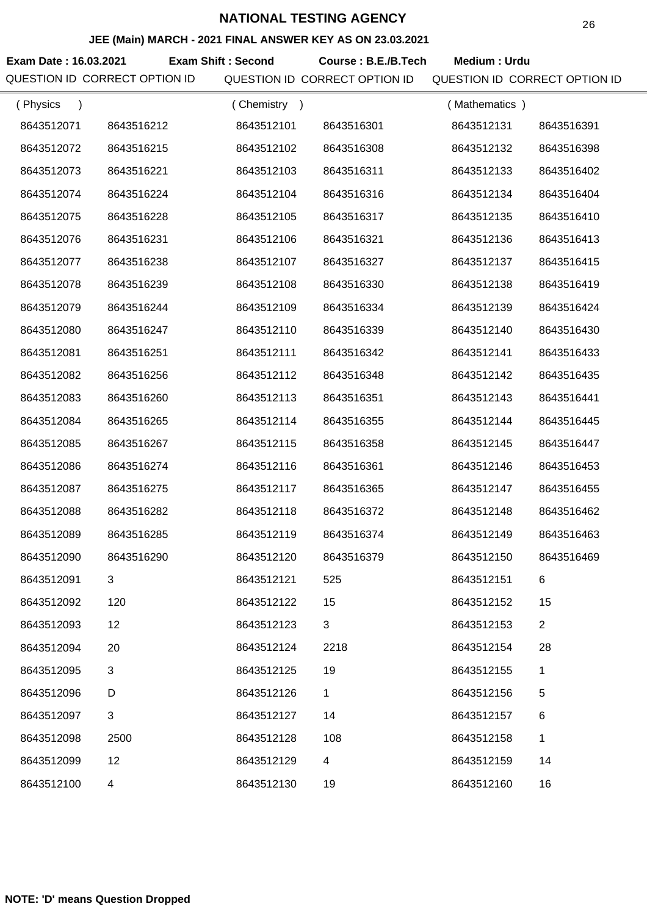#### **JEE (Main) MARCH - 2021 FINAL ANSWER KEY AS ON 23.03.2021**

**Exam Date : 16.03.2021 Exam Shift : Second Course : B.E./B.Tech Medium : Urdu** QUESTION ID CORRECT OPTION ID QUESTION ID CORRECT OPTION ID QUESTION ID CORRECT OPTION ID

| (Physics<br>$\lambda$ |                         | (Chemistry) |            | (Mathematics) |                |
|-----------------------|-------------------------|-------------|------------|---------------|----------------|
| 8643512071            | 8643516212              | 8643512101  | 8643516301 | 8643512131    | 8643516391     |
| 8643512072            | 8643516215              | 8643512102  | 8643516308 | 8643512132    | 8643516398     |
| 8643512073            | 8643516221              | 8643512103  | 8643516311 | 8643512133    | 8643516402     |
| 8643512074            | 8643516224              | 8643512104  | 8643516316 | 8643512134    | 8643516404     |
| 8643512075            | 8643516228              | 8643512105  | 8643516317 | 8643512135    | 8643516410     |
| 8643512076            | 8643516231              | 8643512106  | 8643516321 | 8643512136    | 8643516413     |
| 8643512077            | 8643516238              | 8643512107  | 8643516327 | 8643512137    | 8643516415     |
| 8643512078            | 8643516239              | 8643512108  | 8643516330 | 8643512138    | 8643516419     |
| 8643512079            | 8643516244              | 8643512109  | 8643516334 | 8643512139    | 8643516424     |
| 8643512080            | 8643516247              | 8643512110  | 8643516339 | 8643512140    | 8643516430     |
| 8643512081            | 8643516251              | 8643512111  | 8643516342 | 8643512141    | 8643516433     |
| 8643512082            | 8643516256              | 8643512112  | 8643516348 | 8643512142    | 8643516435     |
| 8643512083            | 8643516260              | 8643512113  | 8643516351 | 8643512143    | 8643516441     |
| 8643512084            | 8643516265              | 8643512114  | 8643516355 | 8643512144    | 8643516445     |
| 8643512085            | 8643516267              | 8643512115  | 8643516358 | 8643512145    | 8643516447     |
| 8643512086            | 8643516274              | 8643512116  | 8643516361 | 8643512146    | 8643516453     |
| 8643512087            | 8643516275              | 8643512117  | 8643516365 | 8643512147    | 8643516455     |
| 8643512088            | 8643516282              | 8643512118  | 8643516372 | 8643512148    | 8643516462     |
| 8643512089            | 8643516285              | 8643512119  | 8643516374 | 8643512149    | 8643516463     |
| 8643512090            | 8643516290              | 8643512120  | 8643516379 | 8643512150    | 8643516469     |
| 8643512091            | 3                       | 8643512121  | 525        | 8643512151    | 6              |
| 8643512092            | 120                     | 8643512122  | 15         | 8643512152    | 15             |
| 8643512093            | 12                      | 8643512123  | 3          | 8643512153    | $\overline{2}$ |
| 8643512094            | 20                      | 8643512124  | 2218       | 8643512154    | 28             |
| 8643512095            | 3                       | 8643512125  | 19         | 8643512155    | 1              |
| 8643512096            | D                       | 8643512126  | 1          | 8643512156    | 5              |
| 8643512097            | $\sqrt{3}$              | 8643512127  | 14         | 8643512157    | 6              |
| 8643512098            | 2500                    | 8643512128  | 108        | 8643512158    | 1              |
| 8643512099            | 12                      | 8643512129  | 4          | 8643512159    | 14             |
| 8643512100            | $\overline{\mathbf{4}}$ | 8643512130  | 19         | 8643512160    | 16             |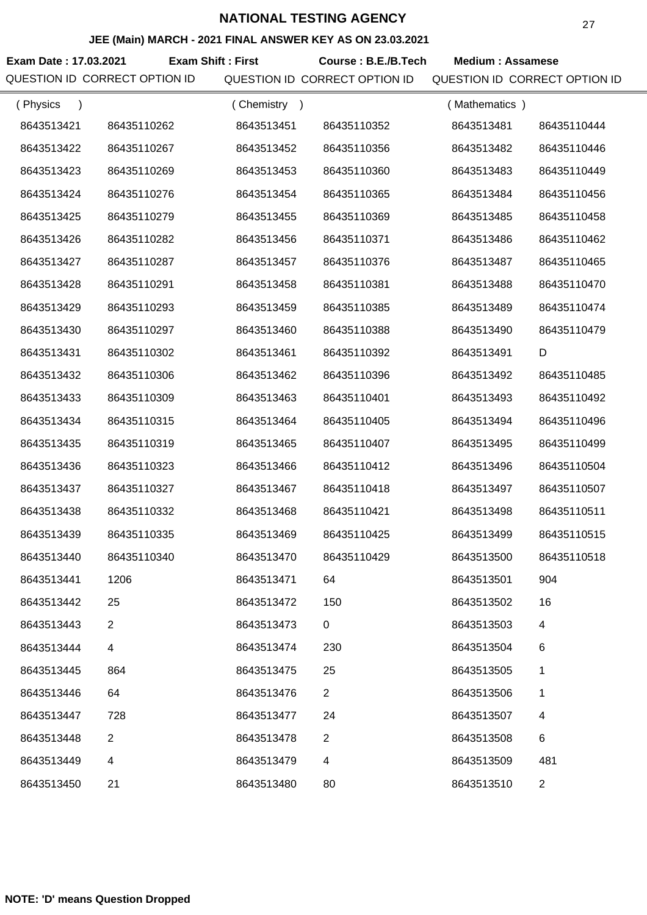#### **JEE (Main) MARCH - 2021 FINAL ANSWER KEY AS ON 23.03.2021**

**Exam Date : 17.03.2021 Course : B.E./B.Tech Medium : Assamese Exam Shift : First** QUESTION ID CORRECT OPTION ID QUESTION ID CORRECT OPTION ID QUESTION ID CORRECT OPTION ID

| (Physics<br>$\lambda$ |                | (Chemistry<br>$\rightarrow$ |                | (Mathematics) |                |
|-----------------------|----------------|-----------------------------|----------------|---------------|----------------|
| 8643513421            | 86435110262    | 8643513451                  | 86435110352    | 8643513481    | 86435110444    |
| 8643513422            | 86435110267    | 8643513452                  | 86435110356    | 8643513482    | 86435110446    |
| 8643513423            | 86435110269    | 8643513453                  | 86435110360    | 8643513483    | 86435110449    |
| 8643513424            | 86435110276    | 8643513454                  | 86435110365    | 8643513484    | 86435110456    |
| 8643513425            | 86435110279    | 8643513455                  | 86435110369    | 8643513485    | 86435110458    |
| 8643513426            | 86435110282    | 8643513456                  | 86435110371    | 8643513486    | 86435110462    |
| 8643513427            | 86435110287    | 8643513457                  | 86435110376    | 8643513487    | 86435110465    |
| 8643513428            | 86435110291    | 8643513458                  | 86435110381    | 8643513488    | 86435110470    |
| 8643513429            | 86435110293    | 8643513459                  | 86435110385    | 8643513489    | 86435110474    |
| 8643513430            | 86435110297    | 8643513460                  | 86435110388    | 8643513490    | 86435110479    |
| 8643513431            | 86435110302    | 8643513461                  | 86435110392    | 8643513491    | D              |
| 8643513432            | 86435110306    | 8643513462                  | 86435110396    | 8643513492    | 86435110485    |
| 8643513433            | 86435110309    | 8643513463                  | 86435110401    | 8643513493    | 86435110492    |
| 8643513434            | 86435110315    | 8643513464                  | 86435110405    | 8643513494    | 86435110496    |
| 8643513435            | 86435110319    | 8643513465                  | 86435110407    | 8643513495    | 86435110499    |
| 8643513436            | 86435110323    | 8643513466                  | 86435110412    | 8643513496    | 86435110504    |
| 8643513437            | 86435110327    | 8643513467                  | 86435110418    | 8643513497    | 86435110507    |
| 8643513438            | 86435110332    | 8643513468                  | 86435110421    | 8643513498    | 86435110511    |
| 8643513439            | 86435110335    | 8643513469                  | 86435110425    | 8643513499    | 86435110515    |
| 8643513440            | 86435110340    | 8643513470                  | 86435110429    | 8643513500    | 86435110518    |
| 8643513441            | 1206           | 8643513471                  | 64             | 8643513501    | 904            |
| 8643513442            | 25             | 8643513472                  | 150            | 8643513502    | 16             |
| 8643513443            | $\overline{2}$ | 8643513473                  | 0              | 8643513503    | 4              |
| 8643513444            | 4              | 8643513474                  | 230            | 8643513504    | 6              |
| 8643513445            | 864            | 8643513475                  | 25             | 8643513505    | 1              |
| 8643513446            | 64             | 8643513476                  | $\overline{2}$ | 8643513506    | 1              |
| 8643513447            | 728            | 8643513477                  | 24             | 8643513507    | 4              |
| 8643513448            | $\overline{2}$ | 8643513478                  | $\overline{2}$ | 8643513508    | 6              |
| 8643513449            | 4              | 8643513479                  | 4              | 8643513509    | 481            |
| 8643513450            | 21             | 8643513480                  | 80             | 8643513510    | $\overline{c}$ |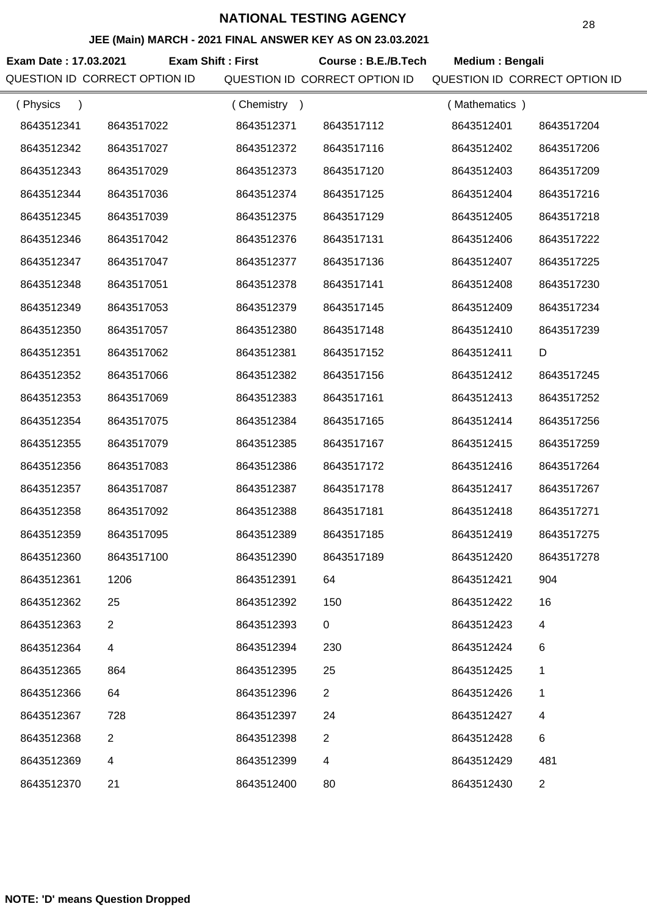#### **JEE (Main) MARCH - 2021 FINAL ANSWER KEY AS ON 23.03.2021**

**Exam Date : 17.03.2021 Course : B.E./B.Tech Medium : Bengali Exam Shift : First** QUESTION ID CORRECT OPTION ID QUESTION ID CORRECT OPTION ID QUESTION ID CORRECT OPTION ID

| (Physics   |            | (Chemistry<br>$\rightarrow$ |                | (Mathematics) |                |
|------------|------------|-----------------------------|----------------|---------------|----------------|
| 8643512341 | 8643517022 | 8643512371                  | 8643517112     | 8643512401    | 8643517204     |
| 8643512342 | 8643517027 | 8643512372                  | 8643517116     | 8643512402    | 8643517206     |
| 8643512343 | 8643517029 | 8643512373                  | 8643517120     | 8643512403    | 8643517209     |
| 8643512344 | 8643517036 | 8643512374                  | 8643517125     | 8643512404    | 8643517216     |
| 8643512345 | 8643517039 | 8643512375                  | 8643517129     | 8643512405    | 8643517218     |
| 8643512346 | 8643517042 | 8643512376                  | 8643517131     | 8643512406    | 8643517222     |
| 8643512347 | 8643517047 | 8643512377                  | 8643517136     | 8643512407    | 8643517225     |
| 8643512348 | 8643517051 | 8643512378                  | 8643517141     | 8643512408    | 8643517230     |
| 8643512349 | 8643517053 | 8643512379                  | 8643517145     | 8643512409    | 8643517234     |
| 8643512350 | 8643517057 | 8643512380                  | 8643517148     | 8643512410    | 8643517239     |
| 8643512351 | 8643517062 | 8643512381                  | 8643517152     | 8643512411    | D              |
| 8643512352 | 8643517066 | 8643512382                  | 8643517156     | 8643512412    | 8643517245     |
| 8643512353 | 8643517069 | 8643512383                  | 8643517161     | 8643512413    | 8643517252     |
| 8643512354 | 8643517075 | 8643512384                  | 8643517165     | 8643512414    | 8643517256     |
| 8643512355 | 8643517079 | 8643512385                  | 8643517167     | 8643512415    | 8643517259     |
| 8643512356 | 8643517083 | 8643512386                  | 8643517172     | 8643512416    | 8643517264     |
| 8643512357 | 8643517087 | 8643512387                  | 8643517178     | 8643512417    | 8643517267     |
| 8643512358 | 8643517092 | 8643512388                  | 8643517181     | 8643512418    | 8643517271     |
| 8643512359 | 8643517095 | 8643512389                  | 8643517185     | 8643512419    | 8643517275     |
| 8643512360 | 8643517100 | 8643512390                  | 8643517189     | 8643512420    | 8643517278     |
| 8643512361 | 1206       | 8643512391                  | 64             | 8643512421    | 904            |
| 8643512362 | 25         | 8643512392                  | 150            | 8643512422    | 16             |
| 8643512363 | 2          | 8643512393                  | 0              | 8643512423    | 4              |
| 8643512364 | 4          | 8643512394                  | 230            | 8643512424    | 6              |
| 8643512365 | 864        | 8643512395                  | 25             | 8643512425    | 1              |
| 8643512366 | 64         | 8643512396                  | $\overline{2}$ | 8643512426    | 1              |
| 8643512367 | 728        | 8643512397                  | 24             | 8643512427    | 4              |
| 8643512368 | 2          | 8643512398                  | $\overline{2}$ | 8643512428    | 6              |
| 8643512369 | 4          | 8643512399                  | 4              | 8643512429    | 481            |
| 8643512370 | 21         | 8643512400                  | 80             | 8643512430    | $\overline{2}$ |
|            |            |                             |                |               |                |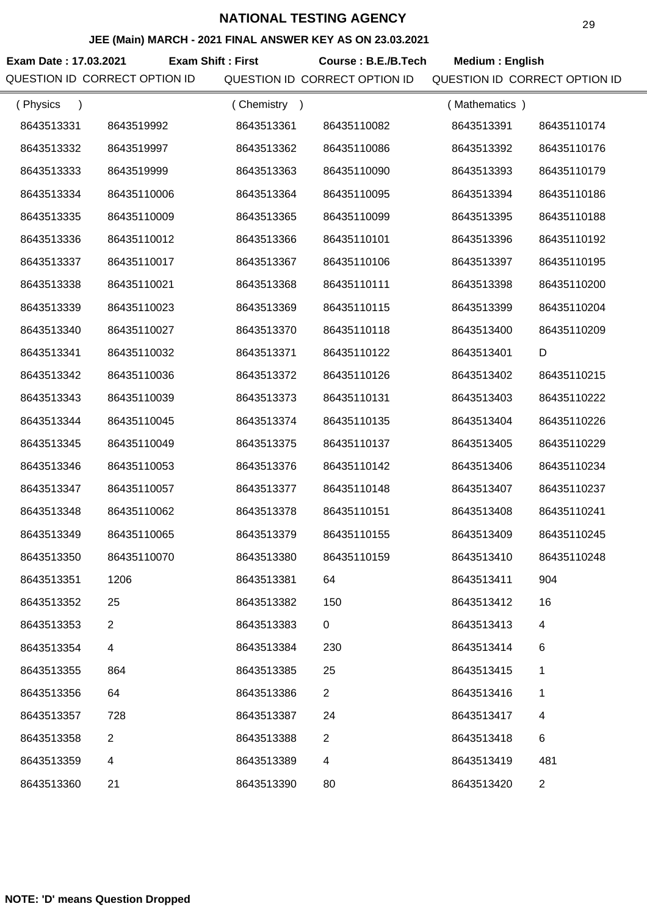#### **JEE (Main) MARCH - 2021 FINAL ANSWER KEY AS ON 23.03.2021**

**Exam Date : 17.03.2021 Course : B.E./B.Tech Medium : English Exam Shift : First** QUESTION ID CORRECT OPTION ID QUESTION ID CORRECT OPTION ID QUESTION ID CORRECT OPTION ID

| (Physics   |                         | (Chemistry<br>$\rightarrow$ |                | (Mathematics) |                |
|------------|-------------------------|-----------------------------|----------------|---------------|----------------|
| 8643513331 | 8643519992              | 8643513361                  | 86435110082    | 8643513391    | 86435110174    |
| 8643513332 | 8643519997              | 8643513362                  | 86435110086    | 8643513392    | 86435110176    |
| 8643513333 | 8643519999              | 8643513363                  | 86435110090    | 8643513393    | 86435110179    |
| 8643513334 | 86435110006             | 8643513364                  | 86435110095    | 8643513394    | 86435110186    |
| 8643513335 | 86435110009             | 8643513365                  | 86435110099    | 8643513395    | 86435110188    |
| 8643513336 | 86435110012             | 8643513366                  | 86435110101    | 8643513396    | 86435110192    |
| 8643513337 | 86435110017             | 8643513367                  | 86435110106    | 8643513397    | 86435110195    |
| 8643513338 | 86435110021             | 8643513368                  | 86435110111    | 8643513398    | 86435110200    |
| 8643513339 | 86435110023             | 8643513369                  | 86435110115    | 8643513399    | 86435110204    |
| 8643513340 | 86435110027             | 8643513370                  | 86435110118    | 8643513400    | 86435110209    |
| 8643513341 | 86435110032             | 8643513371                  | 86435110122    | 8643513401    | D              |
| 8643513342 | 86435110036             | 8643513372                  | 86435110126    | 8643513402    | 86435110215    |
| 8643513343 | 86435110039             | 8643513373                  | 86435110131    | 8643513403    | 86435110222    |
| 8643513344 | 86435110045             | 8643513374                  | 86435110135    | 8643513404    | 86435110226    |
| 8643513345 | 86435110049             | 8643513375                  | 86435110137    | 8643513405    | 86435110229    |
| 8643513346 | 86435110053             | 8643513376                  | 86435110142    | 8643513406    | 86435110234    |
| 8643513347 | 86435110057             | 8643513377                  | 86435110148    | 8643513407    | 86435110237    |
| 8643513348 | 86435110062             | 8643513378                  | 86435110151    | 8643513408    | 86435110241    |
| 8643513349 | 86435110065             | 8643513379                  | 86435110155    | 8643513409    | 86435110245    |
| 8643513350 | 86435110070             | 8643513380                  | 86435110159    | 8643513410    | 86435110248    |
| 8643513351 | 1206                    | 8643513381                  | 64             | 8643513411    | 904            |
| 8643513352 | 25                      | 8643513382                  | 150            | 8643513412    | 16             |
| 8643513353 | $\overline{2}$          | 8643513383                  | $\mathbf 0$    | 8643513413    | 4              |
| 8643513354 | $\overline{\mathbf{4}}$ | 8643513384                  | 230            | 8643513414    | 6              |
| 8643513355 | 864                     | 8643513385                  | 25             | 8643513415    | 1              |
| 8643513356 | 64                      | 8643513386                  | $\overline{2}$ | 8643513416    | 1              |
| 8643513357 | 728                     | 8643513387                  | 24             | 8643513417    | 4              |
| 8643513358 | $\overline{2}$          | 8643513388                  | $\overline{2}$ | 8643513418    | 6              |
| 8643513359 | 4                       | 8643513389                  | 4              | 8643513419    | 481            |
| 8643513360 | 21                      | 8643513390                  | 80             | 8643513420    | $\overline{2}$ |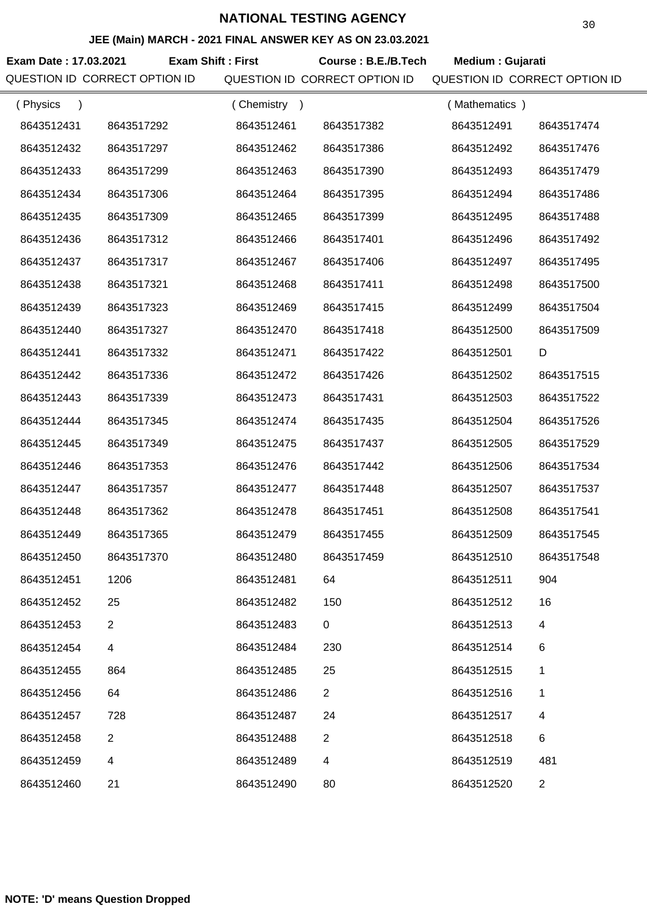#### **JEE (Main) MARCH - 2021 FINAL ANSWER KEY AS ON 23.03.2021**

**Exam Date : 17.03.2021 Exam Shift : First Course : B.E./B.Tech Medium : Gujarati** QUESTION ID CORRECT OPTION ID QUESTION ID CORRECT OPTION ID QUESTION ID CORRECT OPTION ID

| (Physics<br>$\lambda$ |                | (Chemistry) |                | (Mathematics) |                |
|-----------------------|----------------|-------------|----------------|---------------|----------------|
| 8643512431            | 8643517292     | 8643512461  | 8643517382     | 8643512491    | 8643517474     |
| 8643512432            | 8643517297     | 8643512462  | 8643517386     | 8643512492    | 8643517476     |
| 8643512433            | 8643517299     | 8643512463  | 8643517390     | 8643512493    | 8643517479     |
| 8643512434            | 8643517306     | 8643512464  | 8643517395     | 8643512494    | 8643517486     |
| 8643512435            | 8643517309     | 8643512465  | 8643517399     | 8643512495    | 8643517488     |
| 8643512436            | 8643517312     | 8643512466  | 8643517401     | 8643512496    | 8643517492     |
| 8643512437            | 8643517317     | 8643512467  | 8643517406     | 8643512497    | 8643517495     |
| 8643512438            | 8643517321     | 8643512468  | 8643517411     | 8643512498    | 8643517500     |
| 8643512439            | 8643517323     | 8643512469  | 8643517415     | 8643512499    | 8643517504     |
| 8643512440            | 8643517327     | 8643512470  | 8643517418     | 8643512500    | 8643517509     |
| 8643512441            | 8643517332     | 8643512471  | 8643517422     | 8643512501    | D              |
| 8643512442            | 8643517336     | 8643512472  | 8643517426     | 8643512502    | 8643517515     |
| 8643512443            | 8643517339     | 8643512473  | 8643517431     | 8643512503    | 8643517522     |
| 8643512444            | 8643517345     | 8643512474  | 8643517435     | 8643512504    | 8643517526     |
| 8643512445            | 8643517349     | 8643512475  | 8643517437     | 8643512505    | 8643517529     |
| 8643512446            | 8643517353     | 8643512476  | 8643517442     | 8643512506    | 8643517534     |
| 8643512447            | 8643517357     | 8643512477  | 8643517448     | 8643512507    | 8643517537     |
| 8643512448            | 8643517362     | 8643512478  | 8643517451     | 8643512508    | 8643517541     |
| 8643512449            | 8643517365     | 8643512479  | 8643517455     | 8643512509    | 8643517545     |
| 8643512450            | 8643517370     | 8643512480  | 8643517459     | 8643512510    | 8643517548     |
| 8643512451            | 1206           | 8643512481  | 64             | 8643512511    | 904            |
| 8643512452            | 25             | 8643512482  | 150            | 8643512512    | 16             |
| 8643512453            | $\overline{2}$ | 8643512483  | 0              | 8643512513    | 4              |
| 8643512454            | 4              | 8643512484  | 230            | 8643512514    | 6              |
| 8643512455            | 864            | 8643512485  | 25             | 8643512515    | 1              |
| 8643512456            | 64             | 8643512486  | $\overline{2}$ | 8643512516    | 1              |
| 8643512457            | 728            | 8643512487  | 24             | 8643512517    | 4              |
| 8643512458            | 2              | 8643512488  | $\overline{2}$ | 8643512518    | 6              |
| 8643512459            | 4              | 8643512489  | 4              | 8643512519    | 481            |
| 8643512460            | 21             | 8643512490  | 80             | 8643512520    | $\overline{2}$ |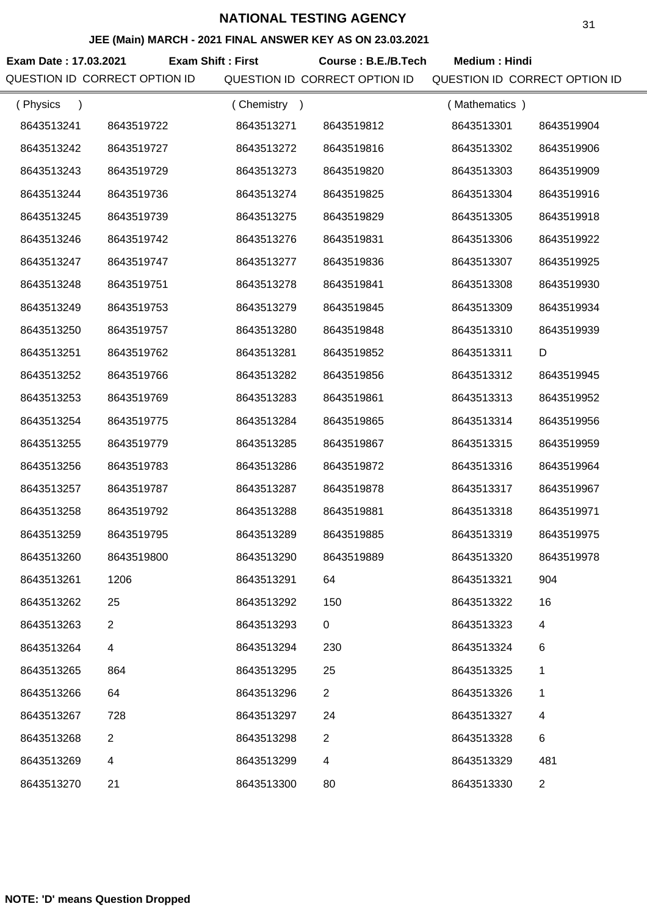#### **JEE (Main) MARCH - 2021 FINAL ANSWER KEY AS ON 23.03.2021**

**Exam Date : 17.03.2021 Course : B.E./B.Tech Medium : Hindi Exam Shift : First**

QUESTION ID CORRECT OPTION ID QUESTION ID CORRECT OPTION ID QUESTION ID CORRECT OPTION ID

| (Physics   |                | (Chemistry<br>$\rightarrow$ |                | (Mathematics) |                |
|------------|----------------|-----------------------------|----------------|---------------|----------------|
| 8643513241 | 8643519722     | 8643513271                  | 8643519812     | 8643513301    | 8643519904     |
| 8643513242 | 8643519727     | 8643513272                  | 8643519816     | 8643513302    | 8643519906     |
| 8643513243 | 8643519729     | 8643513273                  | 8643519820     | 8643513303    | 8643519909     |
| 8643513244 | 8643519736     | 8643513274                  | 8643519825     | 8643513304    | 8643519916     |
| 8643513245 | 8643519739     | 8643513275                  | 8643519829     | 8643513305    | 8643519918     |
| 8643513246 | 8643519742     | 8643513276                  | 8643519831     | 8643513306    | 8643519922     |
| 8643513247 | 8643519747     | 8643513277                  | 8643519836     | 8643513307    | 8643519925     |
| 8643513248 | 8643519751     | 8643513278                  | 8643519841     | 8643513308    | 8643519930     |
| 8643513249 | 8643519753     | 8643513279                  | 8643519845     | 8643513309    | 8643519934     |
| 8643513250 | 8643519757     | 8643513280                  | 8643519848     | 8643513310    | 8643519939     |
| 8643513251 | 8643519762     | 8643513281                  | 8643519852     | 8643513311    | D              |
| 8643513252 | 8643519766     | 8643513282                  | 8643519856     | 8643513312    | 8643519945     |
| 8643513253 | 8643519769     | 8643513283                  | 8643519861     | 8643513313    | 8643519952     |
| 8643513254 | 8643519775     | 8643513284                  | 8643519865     | 8643513314    | 8643519956     |
| 8643513255 | 8643519779     | 8643513285                  | 8643519867     | 8643513315    | 8643519959     |
| 8643513256 | 8643519783     | 8643513286                  | 8643519872     | 8643513316    | 8643519964     |
| 8643513257 | 8643519787     | 8643513287                  | 8643519878     | 8643513317    | 8643519967     |
| 8643513258 | 8643519792     | 8643513288                  | 8643519881     | 8643513318    | 8643519971     |
| 8643513259 | 8643519795     | 8643513289                  | 8643519885     | 8643513319    | 8643519975     |
| 8643513260 | 8643519800     | 8643513290                  | 8643519889     | 8643513320    | 8643519978     |
| 8643513261 | 1206           | 8643513291                  | 64             | 8643513321    | 904            |
| 8643513262 | 25             | 8643513292                  | 150            | 8643513322    | 16             |
| 8643513263 | $\overline{2}$ | 8643513293                  | $\mathbf 0$    | 8643513323    | 4              |
| 8643513264 | 4              | 8643513294                  | 230            | 8643513324    | 6              |
| 8643513265 | 864            | 8643513295                  | 25             | 8643513325    | 1              |
| 8643513266 | 64             | 8643513296                  | $\overline{2}$ | 8643513326    | 1              |
| 8643513267 | 728            | 8643513297                  | 24             | 8643513327    | 4              |
| 8643513268 | $\overline{2}$ | 8643513298                  | $\overline{2}$ | 8643513328    | $\,6$          |
| 8643513269 | 4              | 8643513299                  | 4              | 8643513329    | 481            |
| 8643513270 | 21             | 8643513300                  | 80             | 8643513330    | $\overline{2}$ |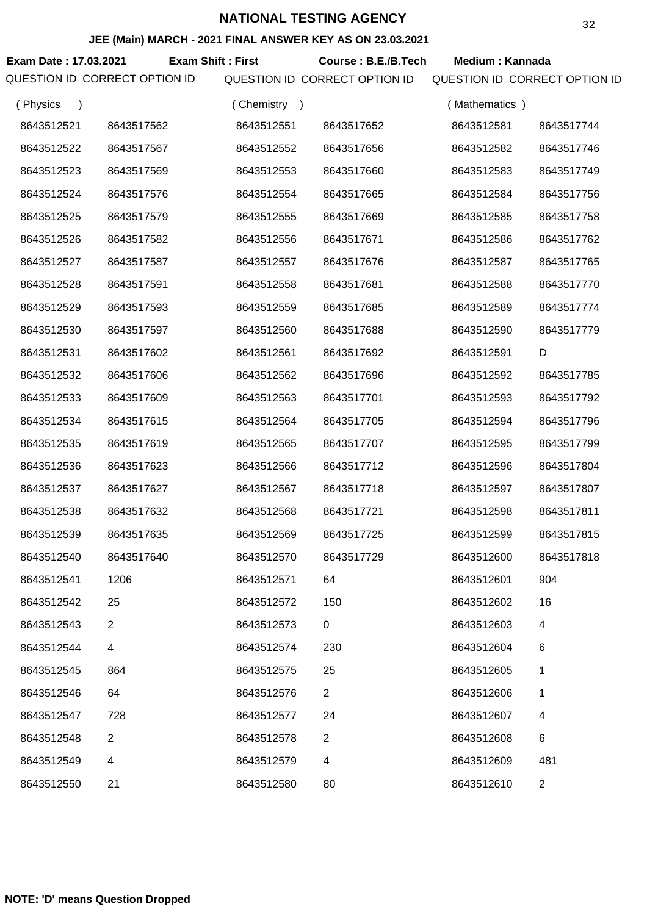#### **JEE (Main) MARCH - 2021 FINAL ANSWER KEY AS ON 23.03.2021**

Exam Date : 17.03.2021 Exam Shift : First Course : B.E./B.Tech Medium : Kannada QUESTION ID CORRECT OPTION ID QUESTION ID CORRECT OPTION ID QUESTION ID CORRECT OPTION ID

| (Physics<br>$\lambda$ |                | (Chemistry) |                | (Mathematics) |              |
|-----------------------|----------------|-------------|----------------|---------------|--------------|
| 8643512521            | 8643517562     | 8643512551  | 8643517652     | 8643512581    | 8643517744   |
| 8643512522            | 8643517567     | 8643512552  | 8643517656     | 8643512582    | 8643517746   |
| 8643512523            | 8643517569     | 8643512553  | 8643517660     | 8643512583    | 8643517749   |
| 8643512524            | 8643517576     | 8643512554  | 8643517665     | 8643512584    | 8643517756   |
| 8643512525            | 8643517579     | 8643512555  | 8643517669     | 8643512585    | 8643517758   |
| 8643512526            | 8643517582     | 8643512556  | 8643517671     | 8643512586    | 8643517762   |
| 8643512527            | 8643517587     | 8643512557  | 8643517676     | 8643512587    | 8643517765   |
| 8643512528            | 8643517591     | 8643512558  | 8643517681     | 8643512588    | 8643517770   |
| 8643512529            | 8643517593     | 8643512559  | 8643517685     | 8643512589    | 8643517774   |
| 8643512530            | 8643517597     | 8643512560  | 8643517688     | 8643512590    | 8643517779   |
| 8643512531            | 8643517602     | 8643512561  | 8643517692     | 8643512591    | D            |
| 8643512532            | 8643517606     | 8643512562  | 8643517696     | 8643512592    | 8643517785   |
| 8643512533            | 8643517609     | 8643512563  | 8643517701     | 8643512593    | 8643517792   |
| 8643512534            | 8643517615     | 8643512564  | 8643517705     | 8643512594    | 8643517796   |
| 8643512535            | 8643517619     | 8643512565  | 8643517707     | 8643512595    | 8643517799   |
| 8643512536            | 8643517623     | 8643512566  | 8643517712     | 8643512596    | 8643517804   |
| 8643512537            | 8643517627     | 8643512567  | 8643517718     | 8643512597    | 8643517807   |
| 8643512538            | 8643517632     | 8643512568  | 8643517721     | 8643512598    | 8643517811   |
| 8643512539            | 8643517635     | 8643512569  | 8643517725     | 8643512599    | 8643517815   |
| 8643512540            | 8643517640     | 8643512570  | 8643517729     | 8643512600    | 8643517818   |
| 8643512541            | 1206           | 8643512571  | 64             | 8643512601    | 904          |
| 8643512542            | 25             | 8643512572  | 150            | 8643512602    | 16           |
| 8643512543            | $\overline{2}$ | 8643512573  | 0              | 8643512603    | 4            |
| 8643512544            | 4              | 8643512574  | 230            | 8643512604    | 6            |
| 8643512545            | 864            | 8643512575  | 25             | 8643512605    | 1            |
| 8643512546            | 64             | 8643512576  | $\overline{2}$ | 8643512606    | 1            |
| 8643512547            | 728            | 8643512577  | 24             | 8643512607    | 4            |
| 8643512548            | $\overline{2}$ | 8643512578  | $\overline{2}$ | 8643512608    | 6            |
| 8643512549            | 4              | 8643512579  | 4              | 8643512609    | 481          |
| 8643512550            | 21             | 8643512580  | 80             | 8643512610    | $\mathbf{2}$ |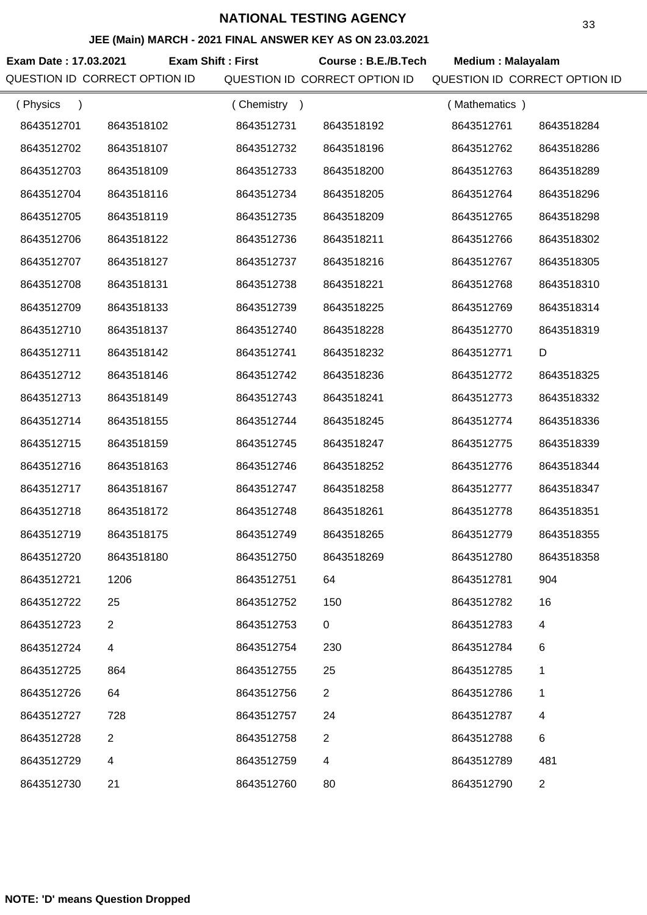#### **JEE (Main) MARCH - 2021 FINAL ANSWER KEY AS ON 23.03.2021**

**Exam Date : 17.03.2021 Course : B.E./B.Tech Medium : Malayalam Exam Shift : First** QUESTION ID CORRECT OPTION ID QUESTION ID CORRECT OPTION ID QUESTION ID CORRECT OPTION ID

| (Physics   |                | (Chemistry<br>$\rightarrow$ |                | (Mathematics) |                |
|------------|----------------|-----------------------------|----------------|---------------|----------------|
| 8643512701 | 8643518102     | 8643512731                  | 8643518192     | 8643512761    | 8643518284     |
| 8643512702 | 8643518107     | 8643512732                  | 8643518196     | 8643512762    | 8643518286     |
| 8643512703 | 8643518109     | 8643512733                  | 8643518200     | 8643512763    | 8643518289     |
| 8643512704 | 8643518116     | 8643512734                  | 8643518205     | 8643512764    | 8643518296     |
| 8643512705 | 8643518119     | 8643512735                  | 8643518209     | 8643512765    | 8643518298     |
| 8643512706 | 8643518122     | 8643512736                  | 8643518211     | 8643512766    | 8643518302     |
| 8643512707 | 8643518127     | 8643512737                  | 8643518216     | 8643512767    | 8643518305     |
| 8643512708 | 8643518131     | 8643512738                  | 8643518221     | 8643512768    | 8643518310     |
| 8643512709 | 8643518133     | 8643512739                  | 8643518225     | 8643512769    | 8643518314     |
| 8643512710 | 8643518137     | 8643512740                  | 8643518228     | 8643512770    | 8643518319     |
| 8643512711 | 8643518142     | 8643512741                  | 8643518232     | 8643512771    | D              |
| 8643512712 | 8643518146     | 8643512742                  | 8643518236     | 8643512772    | 8643518325     |
| 8643512713 | 8643518149     | 8643512743                  | 8643518241     | 8643512773    | 8643518332     |
| 8643512714 | 8643518155     | 8643512744                  | 8643518245     | 8643512774    | 8643518336     |
| 8643512715 | 8643518159     | 8643512745                  | 8643518247     | 8643512775    | 8643518339     |
| 8643512716 | 8643518163     | 8643512746                  | 8643518252     | 8643512776    | 8643518344     |
| 8643512717 | 8643518167     | 8643512747                  | 8643518258     | 8643512777    | 8643518347     |
| 8643512718 | 8643518172     | 8643512748                  | 8643518261     | 8643512778    | 8643518351     |
| 8643512719 | 8643518175     | 8643512749                  | 8643518265     | 8643512779    | 8643518355     |
| 8643512720 | 8643518180     | 8643512750                  | 8643518269     | 8643512780    | 8643518358     |
| 8643512721 | 1206           | 8643512751                  | 64             | 8643512781    | 904            |
| 8643512722 | 25             | 8643512752                  | 150            | 8643512782    | 16             |
| 8643512723 | $\overline{2}$ | 8643512753                  | 0              | 8643512783    | 4              |
| 8643512724 | 4              | 8643512754                  | 230            | 8643512784    | 6              |
| 8643512725 | 864            | 8643512755                  | 25             | 8643512785    | 1              |
| 8643512726 | 64             | 8643512756                  | $\overline{2}$ | 8643512786    | 1              |
| 8643512727 | 728            | 8643512757                  | 24             | 8643512787    | 4              |
| 8643512728 | 2              | 8643512758                  | $\overline{2}$ | 8643512788    | 6              |
| 8643512729 | 4              | 8643512759                  | 4              | 8643512789    | 481            |
| 8643512730 | 21             | 8643512760                  | 80             | 8643512790    | $\overline{2}$ |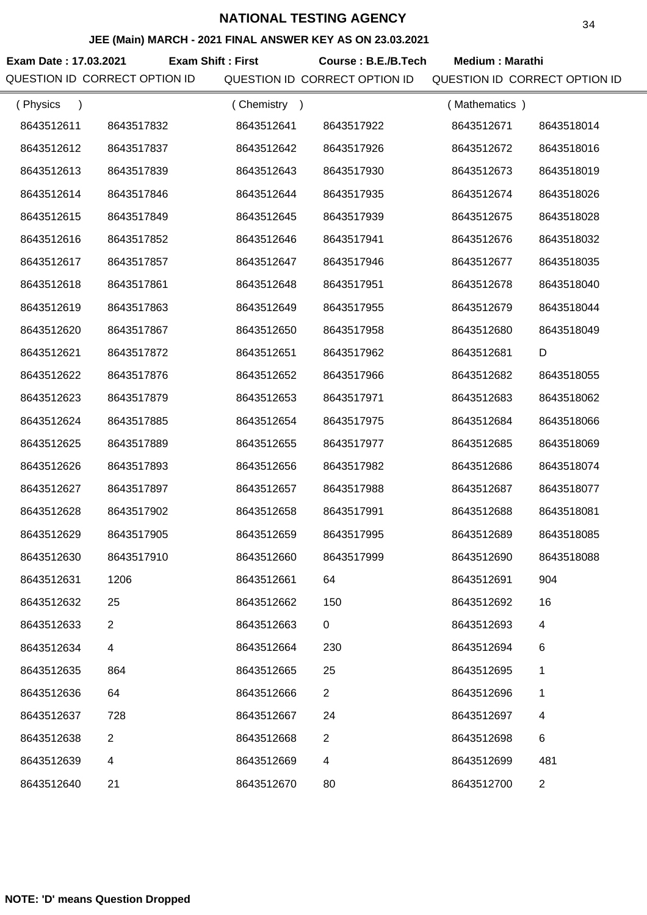#### **JEE (Main) MARCH - 2021 FINAL ANSWER KEY AS ON 23.03.2021**

**Exam Date : 17.03.2021 Course : B.E./B.Tech Medium : Marathi Exam Shift : First** QUESTION ID CORRECT OPTION ID QUESTION ID CORRECT OPTION ID QUESTION ID CORRECT OPTION ID

| (Physics   |                | Chemistry<br>$\rightarrow$ |                | (Mathematics) |                |
|------------|----------------|----------------------------|----------------|---------------|----------------|
| 8643512611 | 8643517832     | 8643512641                 | 8643517922     | 8643512671    | 8643518014     |
| 8643512612 | 8643517837     | 8643512642                 | 8643517926     | 8643512672    | 8643518016     |
| 8643512613 | 8643517839     | 8643512643                 | 8643517930     | 8643512673    | 8643518019     |
| 8643512614 | 8643517846     | 8643512644                 | 8643517935     | 8643512674    | 8643518026     |
| 8643512615 | 8643517849     | 8643512645                 | 8643517939     | 8643512675    | 8643518028     |
| 8643512616 | 8643517852     | 8643512646                 | 8643517941     | 8643512676    | 8643518032     |
| 8643512617 | 8643517857     | 8643512647                 | 8643517946     | 8643512677    | 8643518035     |
| 8643512618 | 8643517861     | 8643512648                 | 8643517951     | 8643512678    | 8643518040     |
| 8643512619 | 8643517863     | 8643512649                 | 8643517955     | 8643512679    | 8643518044     |
| 8643512620 | 8643517867     | 8643512650                 | 8643517958     | 8643512680    | 8643518049     |
| 8643512621 | 8643517872     | 8643512651                 | 8643517962     | 8643512681    | D              |
| 8643512622 | 8643517876     | 8643512652                 | 8643517966     | 8643512682    | 8643518055     |
| 8643512623 | 8643517879     | 8643512653                 | 8643517971     | 8643512683    | 8643518062     |
| 8643512624 | 8643517885     | 8643512654                 | 8643517975     | 8643512684    | 8643518066     |
| 8643512625 | 8643517889     | 8643512655                 | 8643517977     | 8643512685    | 8643518069     |
| 8643512626 | 8643517893     | 8643512656                 | 8643517982     | 8643512686    | 8643518074     |
| 8643512627 | 8643517897     | 8643512657                 | 8643517988     | 8643512687    | 8643518077     |
| 8643512628 | 8643517902     | 8643512658                 | 8643517991     | 8643512688    | 8643518081     |
| 8643512629 | 8643517905     | 8643512659                 | 8643517995     | 8643512689    | 8643518085     |
| 8643512630 | 8643517910     | 8643512660                 | 8643517999     | 8643512690    | 8643518088     |
| 8643512631 | 1206           | 8643512661                 | 64             | 8643512691    | 904            |
| 8643512632 | 25             | 8643512662                 | 150            | 8643512692    | 16             |
| 8643512633 | 2              | 8643512663                 | $\pmb{0}$      | 8643512693    | 4              |
| 8643512634 | 4              | 8643512664                 | 230            | 8643512694    | 6              |
| 8643512635 | 864            | 8643512665                 | 25             | 8643512695    | 1              |
| 8643512636 | 64             | 8643512666                 | $\overline{2}$ | 8643512696    | 1              |
| 8643512637 | 728            | 8643512667                 | 24             | 8643512697    | 4              |
| 8643512638 | $\overline{c}$ | 8643512668                 | $\overline{2}$ | 8643512698    | 6              |
| 8643512639 | 4              | 8643512669                 | 4              | 8643512699    | 481            |
| 8643512640 | 21             | 8643512670                 | 80             | 8643512700    | $\overline{2}$ |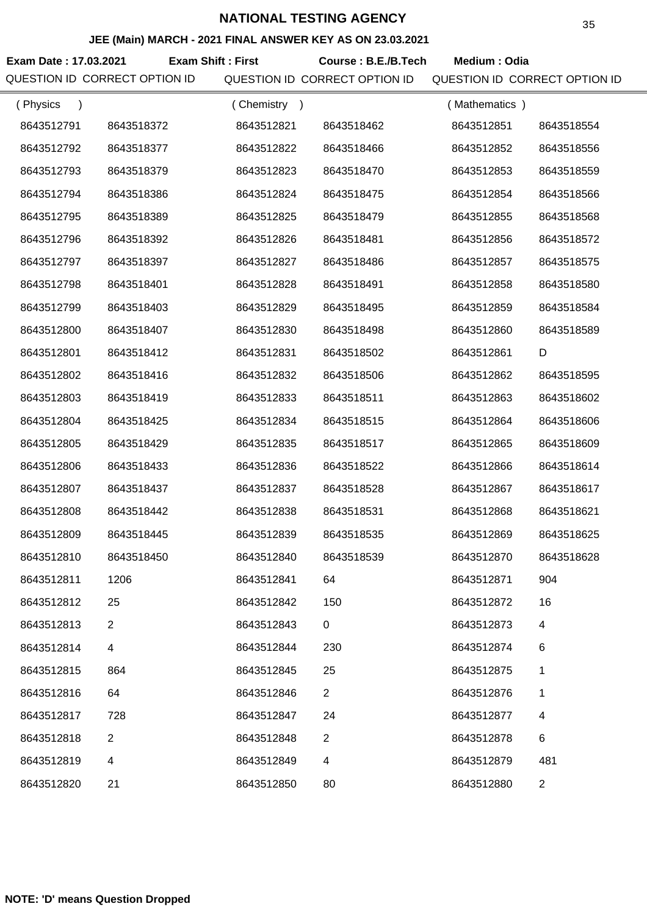#### **JEE (Main) MARCH - 2021 FINAL ANSWER KEY AS ON 23.03.2021**

**Exam Date : 17.03.2021 Course : B.E./B.Tech Medium : Odia Exam Shift : First** QUESTION ID CORRECT OPTION ID QUESTION ID CORRECT OPTION ID QUESTION ID CORRECT OPTION ID

| (Physics   |                | (Chemistry<br>$\rightarrow$ |                | (Mathematics) |                |
|------------|----------------|-----------------------------|----------------|---------------|----------------|
| 8643512791 | 8643518372     | 8643512821                  | 8643518462     | 8643512851    | 8643518554     |
| 8643512792 | 8643518377     | 8643512822                  | 8643518466     | 8643512852    | 8643518556     |
| 8643512793 | 8643518379     | 8643512823                  | 8643518470     | 8643512853    | 8643518559     |
| 8643512794 | 8643518386     | 8643512824                  | 8643518475     | 8643512854    | 8643518566     |
| 8643512795 | 8643518389     | 8643512825                  | 8643518479     | 8643512855    | 8643518568     |
| 8643512796 | 8643518392     | 8643512826                  | 8643518481     | 8643512856    | 8643518572     |
| 8643512797 | 8643518397     | 8643512827                  | 8643518486     | 8643512857    | 8643518575     |
| 8643512798 | 8643518401     | 8643512828                  | 8643518491     | 8643512858    | 8643518580     |
| 8643512799 | 8643518403     | 8643512829                  | 8643518495     | 8643512859    | 8643518584     |
| 8643512800 | 8643518407     | 8643512830                  | 8643518498     | 8643512860    | 8643518589     |
| 8643512801 | 8643518412     | 8643512831                  | 8643518502     | 8643512861    | D              |
| 8643512802 | 8643518416     | 8643512832                  | 8643518506     | 8643512862    | 8643518595     |
| 8643512803 | 8643518419     | 8643512833                  | 8643518511     | 8643512863    | 8643518602     |
| 8643512804 | 8643518425     | 8643512834                  | 8643518515     | 8643512864    | 8643518606     |
| 8643512805 | 8643518429     | 8643512835                  | 8643518517     | 8643512865    | 8643518609     |
| 8643512806 | 8643518433     | 8643512836                  | 8643518522     | 8643512866    | 8643518614     |
| 8643512807 | 8643518437     | 8643512837                  | 8643518528     | 8643512867    | 8643518617     |
| 8643512808 | 8643518442     | 8643512838                  | 8643518531     | 8643512868    | 8643518621     |
| 8643512809 | 8643518445     | 8643512839                  | 8643518535     | 8643512869    | 8643518625     |
| 8643512810 | 8643518450     | 8643512840                  | 8643518539     | 8643512870    | 8643518628     |
| 8643512811 | 1206           | 8643512841                  | 64             | 8643512871    | 904            |
| 8643512812 | 25             | 8643512842                  | 150            | 8643512872    | 16             |
| 8643512813 | 2              | 8643512843                  | 0              | 8643512873    | 4              |
| 8643512814 | 4              | 8643512844                  | 230            | 8643512874    | 6              |
| 8643512815 | 864            | 8643512845                  | 25             | 8643512875    | 1              |
| 8643512816 | 64             | 8643512846                  | $\overline{2}$ | 8643512876    | 1              |
| 8643512817 | 728            | 8643512847                  | 24             | 8643512877    | 4              |
| 8643512818 | $\overline{2}$ | 8643512848                  | $\overline{2}$ | 8643512878    | 6              |
| 8643512819 | 4              | 8643512849                  | 4              | 8643512879    | 481            |
| 8643512820 | 21             | 8643512850                  | 80             | 8643512880    | $\overline{2}$ |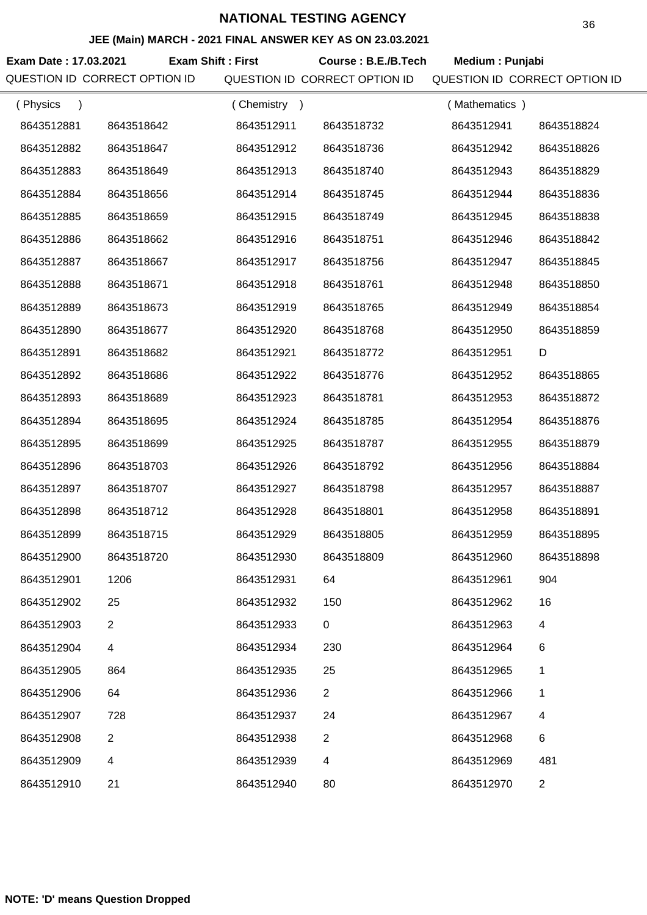#### **JEE (Main) MARCH - 2021 FINAL ANSWER KEY AS ON 23.03.2021**

**Exam Date : 17.03.2021 Course : B.E./B.Tech Medium : Punjabi Exam Shift : First** QUESTION ID CORRECT OPTION ID QUESTION ID CORRECT OPTION ID QUESTION ID CORRECT OPTION ID

| (Physics<br>$\lambda$ |                | Chemistry<br>$\rightarrow$ |                | (Mathematics) |                |
|-----------------------|----------------|----------------------------|----------------|---------------|----------------|
| 8643512881            | 8643518642     | 8643512911                 | 8643518732     | 8643512941    | 8643518824     |
| 8643512882            | 8643518647     | 8643512912                 | 8643518736     | 8643512942    | 8643518826     |
| 8643512883            | 8643518649     | 8643512913                 | 8643518740     | 8643512943    | 8643518829     |
| 8643512884            | 8643518656     | 8643512914                 | 8643518745     | 8643512944    | 8643518836     |
| 8643512885            | 8643518659     | 8643512915                 | 8643518749     | 8643512945    | 8643518838     |
| 8643512886            | 8643518662     | 8643512916                 | 8643518751     | 8643512946    | 8643518842     |
| 8643512887            | 8643518667     | 8643512917                 | 8643518756     | 8643512947    | 8643518845     |
| 8643512888            | 8643518671     | 8643512918                 | 8643518761     | 8643512948    | 8643518850     |
| 8643512889            | 8643518673     | 8643512919                 | 8643518765     | 8643512949    | 8643518854     |
| 8643512890            | 8643518677     | 8643512920                 | 8643518768     | 8643512950    | 8643518859     |
| 8643512891            | 8643518682     | 8643512921                 | 8643518772     | 8643512951    | D              |
| 8643512892            | 8643518686     | 8643512922                 | 8643518776     | 8643512952    | 8643518865     |
| 8643512893            | 8643518689     | 8643512923                 | 8643518781     | 8643512953    | 8643518872     |
| 8643512894            | 8643518695     | 8643512924                 | 8643518785     | 8643512954    | 8643518876     |
| 8643512895            | 8643518699     | 8643512925                 | 8643518787     | 8643512955    | 8643518879     |
| 8643512896            | 8643518703     | 8643512926                 | 8643518792     | 8643512956    | 8643518884     |
| 8643512897            | 8643518707     | 8643512927                 | 8643518798     | 8643512957    | 8643518887     |
| 8643512898            | 8643518712     | 8643512928                 | 8643518801     | 8643512958    | 8643518891     |
| 8643512899            | 8643518715     | 8643512929                 | 8643518805     | 8643512959    | 8643518895     |
| 8643512900            | 8643518720     | 8643512930                 | 8643518809     | 8643512960    | 8643518898     |
| 8643512901            | 1206           | 8643512931                 | 64             | 8643512961    | 904            |
| 8643512902            | 25             | 8643512932                 | 150            | 8643512962    | 16             |
| 8643512903            | $\overline{2}$ | 8643512933                 | 0              | 8643512963    | 4              |
| 8643512904            | 4              | 8643512934                 | 230            | 8643512964    | 6              |
| 8643512905            | 864            | 8643512935                 | 25             | 8643512965    | 1              |
| 8643512906            | 64             | 8643512936                 | $\overline{2}$ | 8643512966    | 1              |
| 8643512907            | 728            | 8643512937                 | 24             | 8643512967    | 4              |
| 8643512908            | 2              | 8643512938                 | $\overline{2}$ | 8643512968    | 6              |
| 8643512909            | 4              | 8643512939                 | 4              | 8643512969    | 481            |
| 8643512910            | 21             | 8643512940                 | 80             | 8643512970    | $\overline{2}$ |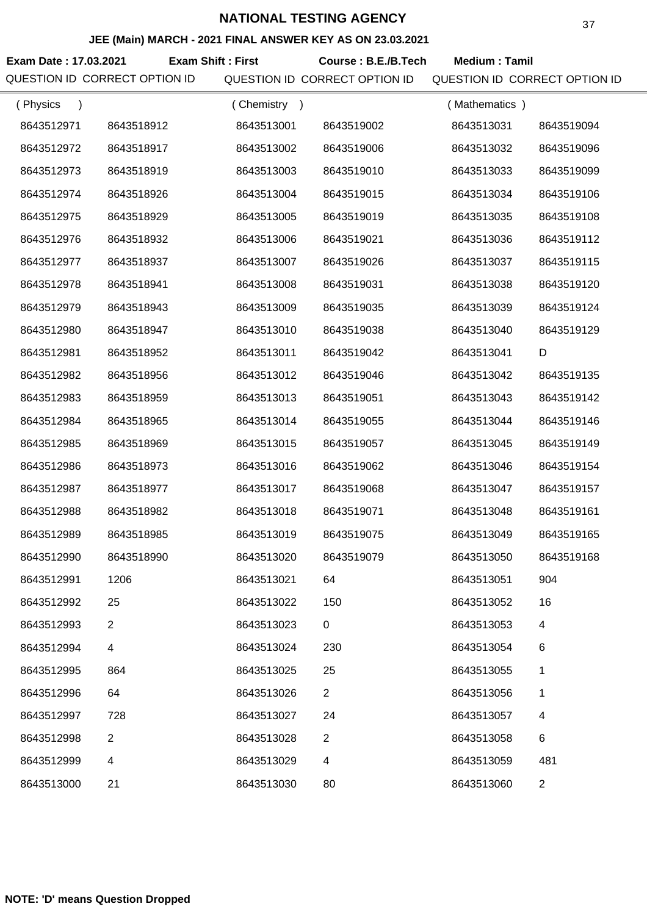### **JEE (Main) MARCH - 2021 FINAL ANSWER KEY AS ON 23.03.2021**

**Exam Date : 17.03.2021 Course : B.E./B.Tech Medium : Tamil Exam Shift : First** QUESTION ID CORRECT OPTION ID QUESTION ID CORRECT OPTION ID QUESTION ID CORRECT OPTION ID

| (Physics<br>$\lambda$ |                | Chemistry<br>$\rightarrow$ |                | (Mathematics) |                |
|-----------------------|----------------|----------------------------|----------------|---------------|----------------|
| 8643512971            | 8643518912     | 8643513001                 | 8643519002     | 8643513031    | 8643519094     |
| 8643512972            | 8643518917     | 8643513002                 | 8643519006     | 8643513032    | 8643519096     |
| 8643512973            | 8643518919     | 8643513003                 | 8643519010     | 8643513033    | 8643519099     |
| 8643512974            | 8643518926     | 8643513004                 | 8643519015     | 8643513034    | 8643519106     |
| 8643512975            | 8643518929     | 8643513005                 | 8643519019     | 8643513035    | 8643519108     |
| 8643512976            | 8643518932     | 8643513006                 | 8643519021     | 8643513036    | 8643519112     |
| 8643512977            | 8643518937     | 8643513007                 | 8643519026     | 8643513037    | 8643519115     |
| 8643512978            | 8643518941     | 8643513008                 | 8643519031     | 8643513038    | 8643519120     |
| 8643512979            | 8643518943     | 8643513009                 | 8643519035     | 8643513039    | 8643519124     |
| 8643512980            | 8643518947     | 8643513010                 | 8643519038     | 8643513040    | 8643519129     |
| 8643512981            | 8643518952     | 8643513011                 | 8643519042     | 8643513041    | D              |
| 8643512982            | 8643518956     | 8643513012                 | 8643519046     | 8643513042    | 8643519135     |
| 8643512983            | 8643518959     | 8643513013                 | 8643519051     | 8643513043    | 8643519142     |
| 8643512984            | 8643518965     | 8643513014                 | 8643519055     | 8643513044    | 8643519146     |
| 8643512985            | 8643518969     | 8643513015                 | 8643519057     | 8643513045    | 8643519149     |
| 8643512986            | 8643518973     | 8643513016                 | 8643519062     | 8643513046    | 8643519154     |
| 8643512987            | 8643518977     | 8643513017                 | 8643519068     | 8643513047    | 8643519157     |
| 8643512988            | 8643518982     | 8643513018                 | 8643519071     | 8643513048    | 8643519161     |
| 8643512989            | 8643518985     | 8643513019                 | 8643519075     | 8643513049    | 8643519165     |
| 8643512990            | 8643518990     | 8643513020                 | 8643519079     | 8643513050    | 8643519168     |
| 8643512991            | 1206           | 8643513021                 | 64             | 8643513051    | 904            |
| 8643512992            | 25             | 8643513022                 | 150            | 8643513052    | 16             |
| 8643512993            | $\overline{2}$ | 8643513023                 | $\mathbf 0$    | 8643513053    | 4              |
| 8643512994            | 4              | 8643513024                 | 230            | 8643513054    | 6              |
| 8643512995            | 864            | 8643513025                 | 25             | 8643513055    | 1              |
| 8643512996            | 64             | 8643513026                 | $\overline{2}$ | 8643513056    | 1              |
| 8643512997            | 728            | 8643513027                 | 24             | 8643513057    | 4              |
| 8643512998            | 2              | 8643513028                 | $\overline{2}$ | 8643513058    | 6              |
| 8643512999            | 4              | 8643513029                 | 4              | 8643513059    | 481            |
| 8643513000            | 21             | 8643513030                 | 80             | 8643513060    | $\overline{c}$ |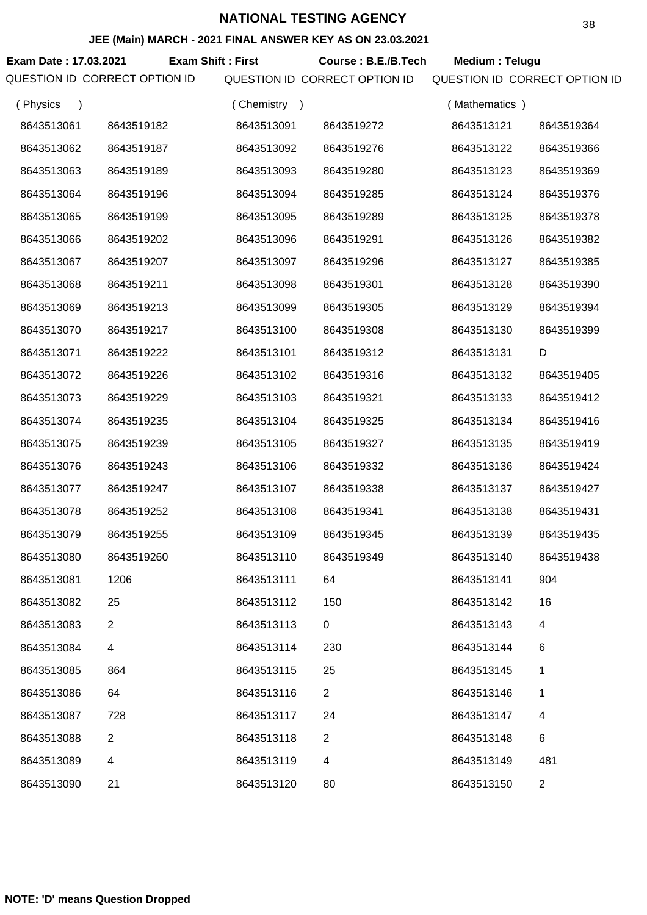## **JEE (Main) MARCH - 2021 FINAL ANSWER KEY AS ON 23.03.2021**

**Exam Date : 17.03.2021 Course : B.E./B.Tech Medium : Telugu Exam Shift : First** QUESTION ID CORRECT OPTION ID QUESTION ID CORRECT OPTION ID QUESTION ID CORRECT OPTION ID

| (Physics   |                | (Chemistry<br>$\rightarrow$ |                | (Mathematics) |                |
|------------|----------------|-----------------------------|----------------|---------------|----------------|
| 8643513061 | 8643519182     | 8643513091                  | 8643519272     | 8643513121    | 8643519364     |
| 8643513062 | 8643519187     | 8643513092                  | 8643519276     | 8643513122    | 8643519366     |
| 8643513063 | 8643519189     | 8643513093                  | 8643519280     | 8643513123    | 8643519369     |
| 8643513064 | 8643519196     | 8643513094                  | 8643519285     | 8643513124    | 8643519376     |
| 8643513065 | 8643519199     | 8643513095                  | 8643519289     | 8643513125    | 8643519378     |
| 8643513066 | 8643519202     | 8643513096                  | 8643519291     | 8643513126    | 8643519382     |
| 8643513067 | 8643519207     | 8643513097                  | 8643519296     | 8643513127    | 8643519385     |
| 8643513068 | 8643519211     | 8643513098                  | 8643519301     | 8643513128    | 8643519390     |
| 8643513069 | 8643519213     | 8643513099                  | 8643519305     | 8643513129    | 8643519394     |
| 8643513070 | 8643519217     | 8643513100                  | 8643519308     | 8643513130    | 8643519399     |
| 8643513071 | 8643519222     | 8643513101                  | 8643519312     | 8643513131    | D              |
| 8643513072 | 8643519226     | 8643513102                  | 8643519316     | 8643513132    | 8643519405     |
| 8643513073 | 8643519229     | 8643513103                  | 8643519321     | 8643513133    | 8643519412     |
| 8643513074 | 8643519235     | 8643513104                  | 8643519325     | 8643513134    | 8643519416     |
| 8643513075 | 8643519239     | 8643513105                  | 8643519327     | 8643513135    | 8643519419     |
| 8643513076 | 8643519243     | 8643513106                  | 8643519332     | 8643513136    | 8643519424     |
| 8643513077 | 8643519247     | 8643513107                  | 8643519338     | 8643513137    | 8643519427     |
| 8643513078 | 8643519252     | 8643513108                  | 8643519341     | 8643513138    | 8643519431     |
| 8643513079 | 8643519255     | 8643513109                  | 8643519345     | 8643513139    | 8643519435     |
| 8643513080 | 8643519260     | 8643513110                  | 8643519349     | 8643513140    | 8643519438     |
| 8643513081 | 1206           | 8643513111                  | 64             | 8643513141    | 904            |
| 8643513082 | 25             | 8643513112                  | 150            | 8643513142    | 16             |
| 8643513083 | $\overline{2}$ | 8643513113                  | 0              | 8643513143    | 4              |
| 8643513084 | 4              | 8643513114                  | 230            | 8643513144    | 6              |
| 8643513085 | 864            | 8643513115                  | 25             | 8643513145    | 1              |
| 8643513086 | 64             | 8643513116                  | $\overline{2}$ | 8643513146    | 1              |
| 8643513087 | 728            | 8643513117                  | 24             | 8643513147    | 4              |
| 8643513088 | $\overline{2}$ | 8643513118                  | $\overline{2}$ | 8643513148    | 6              |
| 8643513089 | 4              | 8643513119                  | 4              | 8643513149    | 481            |
| 8643513090 | 21             | 8643513120                  | 80             | 8643513150    | $\overline{2}$ |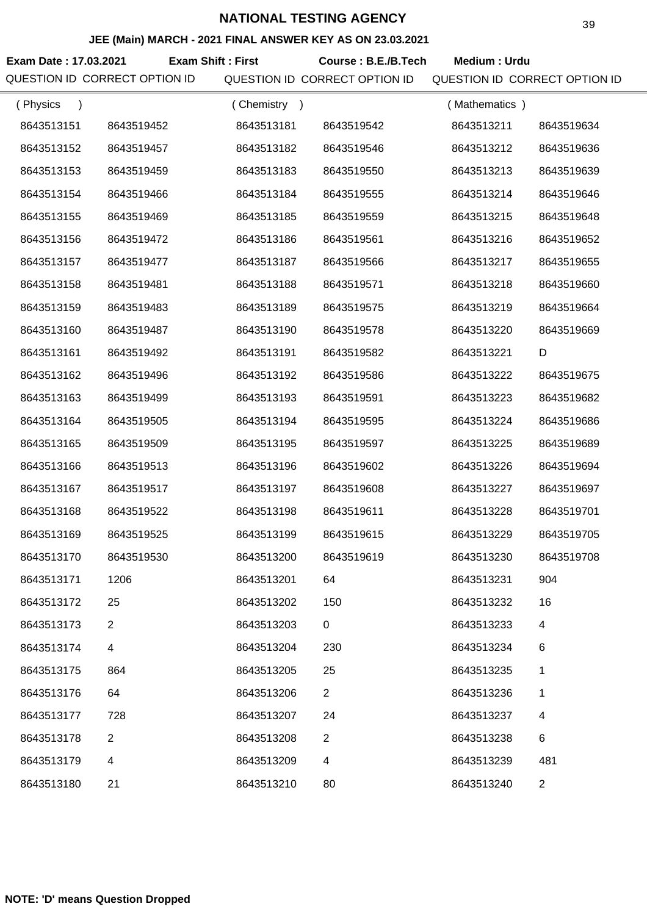### **JEE (Main) MARCH - 2021 FINAL ANSWER KEY AS ON 23.03.2021**

**Exam Date : 17.03.2021 Course : B.E./B.Tech Medium : Urdu Exam Shift : First**

QUESTION ID CORRECT OPTION ID QUESTION ID CORRECT OPTION ID QUESTION ID CORRECT OPTION ID

| (Physics<br>$\lambda$ |                | (Chemistry<br>$\rightarrow$ |                | (Mathematics) |                |
|-----------------------|----------------|-----------------------------|----------------|---------------|----------------|
| 8643513151            | 8643519452     | 8643513181                  | 8643519542     | 8643513211    | 8643519634     |
| 8643513152            | 8643519457     | 8643513182                  | 8643519546     | 8643513212    | 8643519636     |
| 8643513153            | 8643519459     | 8643513183                  | 8643519550     | 8643513213    | 8643519639     |
| 8643513154            | 8643519466     | 8643513184                  | 8643519555     | 8643513214    | 8643519646     |
| 8643513155            | 8643519469     | 8643513185                  | 8643519559     | 8643513215    | 8643519648     |
| 8643513156            | 8643519472     | 8643513186                  | 8643519561     | 8643513216    | 8643519652     |
| 8643513157            | 8643519477     | 8643513187                  | 8643519566     | 8643513217    | 8643519655     |
| 8643513158            | 8643519481     | 8643513188                  | 8643519571     | 8643513218    | 8643519660     |
| 8643513159            | 8643519483     | 8643513189                  | 8643519575     | 8643513219    | 8643519664     |
| 8643513160            | 8643519487     | 8643513190                  | 8643519578     | 8643513220    | 8643519669     |
| 8643513161            | 8643519492     | 8643513191                  | 8643519582     | 8643513221    | D              |
| 8643513162            | 8643519496     | 8643513192                  | 8643519586     | 8643513222    | 8643519675     |
| 8643513163            | 8643519499     | 8643513193                  | 8643519591     | 8643513223    | 8643519682     |
| 8643513164            | 8643519505     | 8643513194                  | 8643519595     | 8643513224    | 8643519686     |
| 8643513165            | 8643519509     | 8643513195                  | 8643519597     | 8643513225    | 8643519689     |
| 8643513166            | 8643519513     | 8643513196                  | 8643519602     | 8643513226    | 8643519694     |
| 8643513167            | 8643519517     | 8643513197                  | 8643519608     | 8643513227    | 8643519697     |
| 8643513168            | 8643519522     | 8643513198                  | 8643519611     | 8643513228    | 8643519701     |
| 8643513169            | 8643519525     | 8643513199                  | 8643519615     | 8643513229    | 8643519705     |
| 8643513170            | 8643519530     | 8643513200                  | 8643519619     | 8643513230    | 8643519708     |
| 8643513171            | 1206           | 8643513201                  | 64             | 8643513231    | 904            |
| 8643513172            | 25             | 8643513202                  | 150            | 8643513232    | 16             |
| 8643513173            | $\overline{2}$ | 8643513203                  | 0              | 8643513233    | 4              |
| 8643513174            | 4              | 8643513204                  | 230            | 8643513234    | 6              |
| 8643513175            | 864            | 8643513205                  | 25             | 8643513235    | 1              |
| 8643513176            | 64             | 8643513206                  | $\overline{2}$ | 8643513236    | 1              |
| 8643513177            | 728            | 8643513207                  | 24             | 8643513237    | 4              |
| 8643513178            | $\overline{2}$ | 8643513208                  | $\overline{2}$ | 8643513238    | $\,6$          |
| 8643513179            | 4              | 8643513209                  | 4              | 8643513239    | 481            |
| 8643513180            | 21             | 8643513210                  | 80             | 8643513240    | $\overline{2}$ |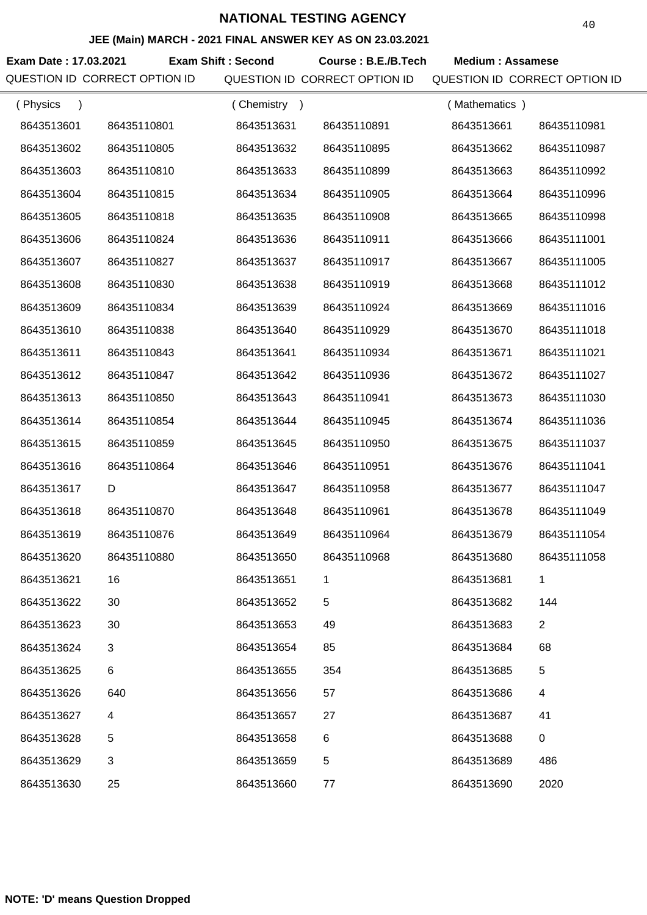### **JEE (Main) MARCH - 2021 FINAL ANSWER KEY AS ON 23.03.2021**

**Exam Date : 17.03.2021 Exam Shift : Second Course : B.E./B.Tech Medium : Assamese** QUESTION ID CORRECT OPTION ID QUESTION ID CORRECT OPTION ID QUESTION ID CORRECT OPTION ID

| (Physics<br>$\lambda$ |             | (Chemistry |             | (Mathematics) |                |
|-----------------------|-------------|------------|-------------|---------------|----------------|
| 8643513601            | 86435110801 | 8643513631 | 86435110891 | 8643513661    | 86435110981    |
| 8643513602            | 86435110805 | 8643513632 | 86435110895 | 8643513662    | 86435110987    |
| 8643513603            | 86435110810 | 8643513633 | 86435110899 | 8643513663    | 86435110992    |
| 8643513604            | 86435110815 | 8643513634 | 86435110905 | 8643513664    | 86435110996    |
| 8643513605            | 86435110818 | 8643513635 | 86435110908 | 8643513665    | 86435110998    |
| 8643513606            | 86435110824 | 8643513636 | 86435110911 | 8643513666    | 86435111001    |
| 8643513607            | 86435110827 | 8643513637 | 86435110917 | 8643513667    | 86435111005    |
| 8643513608            | 86435110830 | 8643513638 | 86435110919 | 8643513668    | 86435111012    |
| 8643513609            | 86435110834 | 8643513639 | 86435110924 | 8643513669    | 86435111016    |
| 8643513610            | 86435110838 | 8643513640 | 86435110929 | 8643513670    | 86435111018    |
| 8643513611            | 86435110843 | 8643513641 | 86435110934 | 8643513671    | 86435111021    |
| 8643513612            | 86435110847 | 8643513642 | 86435110936 | 8643513672    | 86435111027    |
| 8643513613            | 86435110850 | 8643513643 | 86435110941 | 8643513673    | 86435111030    |
| 8643513614            | 86435110854 | 8643513644 | 86435110945 | 8643513674    | 86435111036    |
| 8643513615            | 86435110859 | 8643513645 | 86435110950 | 8643513675    | 86435111037    |
| 8643513616            | 86435110864 | 8643513646 | 86435110951 | 8643513676    | 86435111041    |
| 8643513617            | D           | 8643513647 | 86435110958 | 8643513677    | 86435111047    |
| 8643513618            | 86435110870 | 8643513648 | 86435110961 | 8643513678    | 86435111049    |
| 8643513619            | 86435110876 | 8643513649 | 86435110964 | 8643513679    | 86435111054    |
| 8643513620            | 86435110880 | 8643513650 | 86435110968 | 8643513680    | 86435111058    |
| 8643513621            | 16          | 8643513651 | 1           | 8643513681    | 1              |
| 8643513622            | 30          | 8643513652 | 5           | 8643513682    | 144            |
| 8643513623            | 30          | 8643513653 | 49          | 8643513683    | $\overline{2}$ |
| 8643513624            | 3           | 8643513654 | 85          | 8643513684    | 68             |
| 8643513625            | 6           | 8643513655 | 354         | 8643513685    | 5              |
| 8643513626            | 640         | 8643513656 | 57          | 8643513686    | 4              |
| 8643513627            | 4           | 8643513657 | 27          | 8643513687    | 41             |
| 8643513628            | 5           | 8643513658 | 6           | 8643513688    | $\mathbf 0$    |
| 8643513629            | 3           | 8643513659 | 5           | 8643513689    | 486            |
| 8643513630            | 25          | 8643513660 | 77          | 8643513690    | 2020           |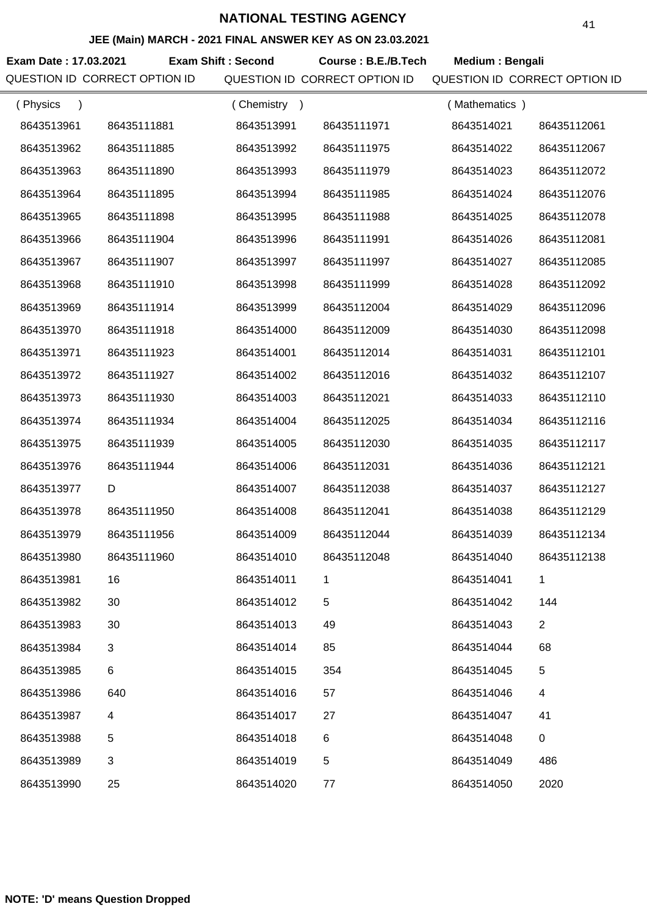## **JEE (Main) MARCH - 2021 FINAL ANSWER KEY AS ON 23.03.2021**

**Exam Date : 17.03.2021 Course : B.E./B.Tech Medium : Bengali Exam Shift : Second** QUESTION ID CORRECT OPTION ID QUESTION ID CORRECT OPTION ID QUESTION ID CORRECT OPTION ID

| (Physics   |             | (Chemistry) |             | (Mathematics) |                |
|------------|-------------|-------------|-------------|---------------|----------------|
| 8643513961 | 86435111881 | 8643513991  | 86435111971 | 8643514021    | 86435112061    |
| 8643513962 | 86435111885 | 8643513992  | 86435111975 | 8643514022    | 86435112067    |
| 8643513963 | 86435111890 | 8643513993  | 86435111979 | 8643514023    | 86435112072    |
| 8643513964 | 86435111895 | 8643513994  | 86435111985 | 8643514024    | 86435112076    |
| 8643513965 | 86435111898 | 8643513995  | 86435111988 | 8643514025    | 86435112078    |
| 8643513966 | 86435111904 | 8643513996  | 86435111991 | 8643514026    | 86435112081    |
| 8643513967 | 86435111907 | 8643513997  | 86435111997 | 8643514027    | 86435112085    |
| 8643513968 | 86435111910 | 8643513998  | 86435111999 | 8643514028    | 86435112092    |
| 8643513969 | 86435111914 | 8643513999  | 86435112004 | 8643514029    | 86435112096    |
| 8643513970 | 86435111918 | 8643514000  | 86435112009 | 8643514030    | 86435112098    |
| 8643513971 | 86435111923 | 8643514001  | 86435112014 | 8643514031    | 86435112101    |
| 8643513972 | 86435111927 | 8643514002  | 86435112016 | 8643514032    | 86435112107    |
| 8643513973 | 86435111930 | 8643514003  | 86435112021 | 8643514033    | 86435112110    |
| 8643513974 | 86435111934 | 8643514004  | 86435112025 | 8643514034    | 86435112116    |
| 8643513975 | 86435111939 | 8643514005  | 86435112030 | 8643514035    | 86435112117    |
| 8643513976 | 86435111944 | 8643514006  | 86435112031 | 8643514036    | 86435112121    |
| 8643513977 | D           | 8643514007  | 86435112038 | 8643514037    | 86435112127    |
| 8643513978 | 86435111950 | 8643514008  | 86435112041 | 8643514038    | 86435112129    |
| 8643513979 | 86435111956 | 8643514009  | 86435112044 | 8643514039    | 86435112134    |
| 8643513980 | 86435111960 | 8643514010  | 86435112048 | 8643514040    | 86435112138    |
| 8643513981 | 16          | 8643514011  | 1.          | 8643514041    |                |
| 8643513982 | 30          | 8643514012  | 5           | 8643514042    | 144            |
| 8643513983 | 30          | 8643514013  | 49          | 8643514043    | $\overline{2}$ |
| 8643513984 | 3           | 8643514014  | 85          | 8643514044    | 68             |
| 8643513985 | 6           | 8643514015  | 354         | 8643514045    | 5              |
| 8643513986 | 640         | 8643514016  | 57          | 8643514046    | 4              |
| 8643513987 | 4           | 8643514017  | 27          | 8643514047    | 41             |
| 8643513988 | 5           | 8643514018  | 6           | 8643514048    | $\mathbf 0$    |
| 8643513989 | 3           | 8643514019  | 5           | 8643514049    | 486            |
| 8643513990 | 25          | 8643514020  | 77          | 8643514050    | 2020           |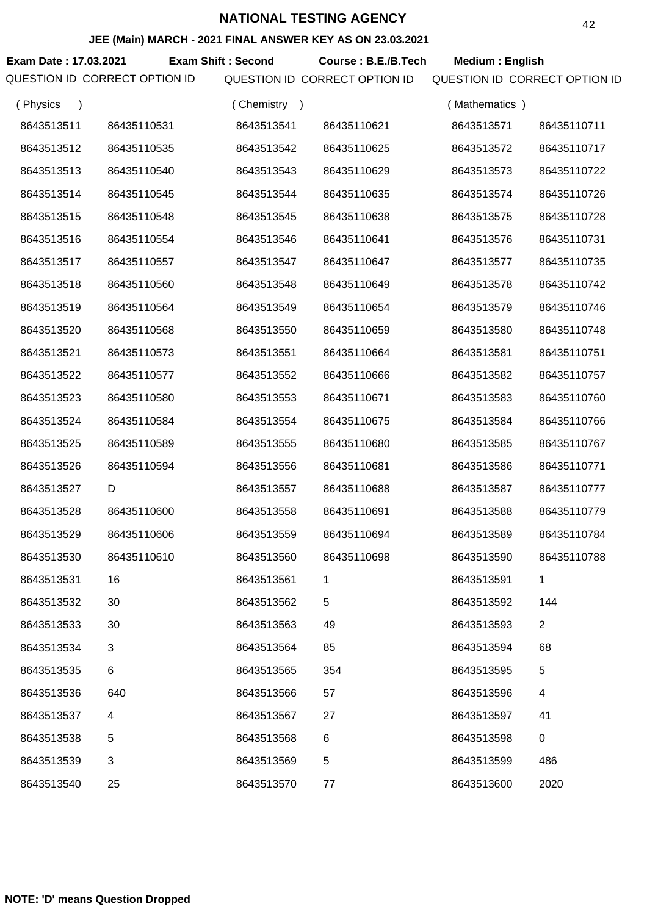## **JEE (Main) MARCH - 2021 FINAL ANSWER KEY AS ON 23.03.2021**

**Exam Date : 17.03.2021 Course : B.E./B.Tech Medium : English Exam Shift : Second** QUESTION ID CORRECT OPTION ID QUESTION ID CORRECT OPTION ID QUESTION ID CORRECT OPTION ID

| (Physics<br>$\lambda$ |             | (Chemistry) |             | (Mathematics) |                |
|-----------------------|-------------|-------------|-------------|---------------|----------------|
| 8643513511            | 86435110531 | 8643513541  | 86435110621 | 8643513571    | 86435110711    |
| 8643513512            | 86435110535 | 8643513542  | 86435110625 | 8643513572    | 86435110717    |
| 8643513513            | 86435110540 | 8643513543  | 86435110629 | 8643513573    | 86435110722    |
| 8643513514            | 86435110545 | 8643513544  | 86435110635 | 8643513574    | 86435110726    |
| 8643513515            | 86435110548 | 8643513545  | 86435110638 | 8643513575    | 86435110728    |
| 8643513516            | 86435110554 | 8643513546  | 86435110641 | 8643513576    | 86435110731    |
| 8643513517            | 86435110557 | 8643513547  | 86435110647 | 8643513577    | 86435110735    |
| 8643513518            | 86435110560 | 8643513548  | 86435110649 | 8643513578    | 86435110742    |
| 8643513519            | 86435110564 | 8643513549  | 86435110654 | 8643513579    | 86435110746    |
| 8643513520            | 86435110568 | 8643513550  | 86435110659 | 8643513580    | 86435110748    |
| 8643513521            | 86435110573 | 8643513551  | 86435110664 | 8643513581    | 86435110751    |
| 8643513522            | 86435110577 | 8643513552  | 86435110666 | 8643513582    | 86435110757    |
| 8643513523            | 86435110580 | 8643513553  | 86435110671 | 8643513583    | 86435110760    |
| 8643513524            | 86435110584 | 8643513554  | 86435110675 | 8643513584    | 86435110766    |
| 8643513525            | 86435110589 | 8643513555  | 86435110680 | 8643513585    | 86435110767    |
| 8643513526            | 86435110594 | 8643513556  | 86435110681 | 8643513586    | 86435110771    |
| 8643513527            | D           | 8643513557  | 86435110688 | 8643513587    | 86435110777    |
| 8643513528            | 86435110600 | 8643513558  | 86435110691 | 8643513588    | 86435110779    |
| 8643513529            | 86435110606 | 8643513559  | 86435110694 | 8643513589    | 86435110784    |
| 8643513530            | 86435110610 | 8643513560  | 86435110698 | 8643513590    | 86435110788    |
| 8643513531            | 16          | 8643513561  | 1           | 8643513591    | 1              |
| 8643513532            | 30          | 8643513562  | 5           | 8643513592    | 144            |
| 8643513533            | 30          | 8643513563  | 49          | 8643513593    | $\overline{2}$ |
| 8643513534            | 3           | 8643513564  | 85          | 8643513594    | 68             |
| 8643513535            | 6           | 8643513565  | 354         | 8643513595    | 5              |
| 8643513536            | 640         | 8643513566  | 57          | 8643513596    | 4              |
| 8643513537            | 4           | 8643513567  | 27          | 8643513597    | 41             |
| 8643513538            | 5           | 8643513568  | 6           | 8643513598    | 0              |
| 8643513539            | 3           | 8643513569  | 5           | 8643513599    | 486            |
| 8643513540            | 25          | 8643513570  | 77          | 8643513600    | 2020           |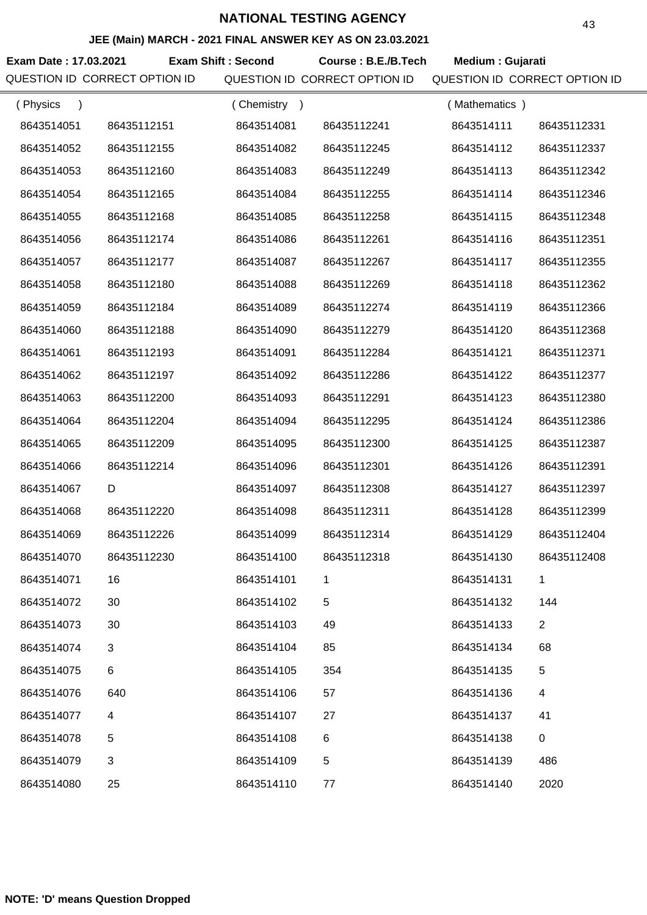## **JEE (Main) MARCH - 2021 FINAL ANSWER KEY AS ON 23.03.2021**

**Exam Date : 17.03.2021 Exam Shift : Second Course : B.E./B.Tech Medium : Gujarati** QUESTION ID CORRECT OPTION ID QUESTION ID CORRECT OPTION ID QUESTION ID CORRECT OPTION ID

| (Physics<br>$\lambda$ |             | (Chemistry<br>$\rightarrow$ |             | (Mathematics) |                |
|-----------------------|-------------|-----------------------------|-------------|---------------|----------------|
| 8643514051            | 86435112151 | 8643514081                  | 86435112241 | 8643514111    | 86435112331    |
| 8643514052            | 86435112155 | 8643514082                  | 86435112245 | 8643514112    | 86435112337    |
| 8643514053            | 86435112160 | 8643514083                  | 86435112249 | 8643514113    | 86435112342    |
| 8643514054            | 86435112165 | 8643514084                  | 86435112255 | 8643514114    | 86435112346    |
| 8643514055            | 86435112168 | 8643514085                  | 86435112258 | 8643514115    | 86435112348    |
| 8643514056            | 86435112174 | 8643514086                  | 86435112261 | 8643514116    | 86435112351    |
| 8643514057            | 86435112177 | 8643514087                  | 86435112267 | 8643514117    | 86435112355    |
| 8643514058            | 86435112180 | 8643514088                  | 86435112269 | 8643514118    | 86435112362    |
| 8643514059            | 86435112184 | 8643514089                  | 86435112274 | 8643514119    | 86435112366    |
| 8643514060            | 86435112188 | 8643514090                  | 86435112279 | 8643514120    | 86435112368    |
| 8643514061            | 86435112193 | 8643514091                  | 86435112284 | 8643514121    | 86435112371    |
| 8643514062            | 86435112197 | 8643514092                  | 86435112286 | 8643514122    | 86435112377    |
| 8643514063            | 86435112200 | 8643514093                  | 86435112291 | 8643514123    | 86435112380    |
| 8643514064            | 86435112204 | 8643514094                  | 86435112295 | 8643514124    | 86435112386    |
| 8643514065            | 86435112209 | 8643514095                  | 86435112300 | 8643514125    | 86435112387    |
| 8643514066            | 86435112214 | 8643514096                  | 86435112301 | 8643514126    | 86435112391    |
| 8643514067            | D           | 8643514097                  | 86435112308 | 8643514127    | 86435112397    |
| 8643514068            | 86435112220 | 8643514098                  | 86435112311 | 8643514128    | 86435112399    |
| 8643514069            | 86435112226 | 8643514099                  | 86435112314 | 8643514129    | 86435112404    |
| 8643514070            | 86435112230 | 8643514100                  | 86435112318 | 8643514130    | 86435112408    |
| 8643514071            | 16          | 8643514101                  | 1           | 8643514131    | 1              |
| 8643514072            | 30          | 8643514102                  | 5           | 8643514132    | 144            |
| 8643514073            | 30          | 8643514103                  | 49          | 8643514133    | $\overline{2}$ |
| 8643514074            | 3           | 8643514104                  | 85          | 8643514134    | 68             |
| 8643514075            | 6           | 8643514105                  | 354         | 8643514135    | 5              |
| 8643514076            | 640         | 8643514106                  | 57          | 8643514136    | 4              |
| 8643514077            | 4           | 8643514107                  | 27          | 8643514137    | 41             |
| 8643514078            | 5           | 8643514108                  | 6           | 8643514138    | $\pmb{0}$      |
| 8643514079            | 3           | 8643514109                  | 5           | 8643514139    | 486            |
| 8643514080            | 25          | 8643514110                  | 77          | 8643514140    | 2020           |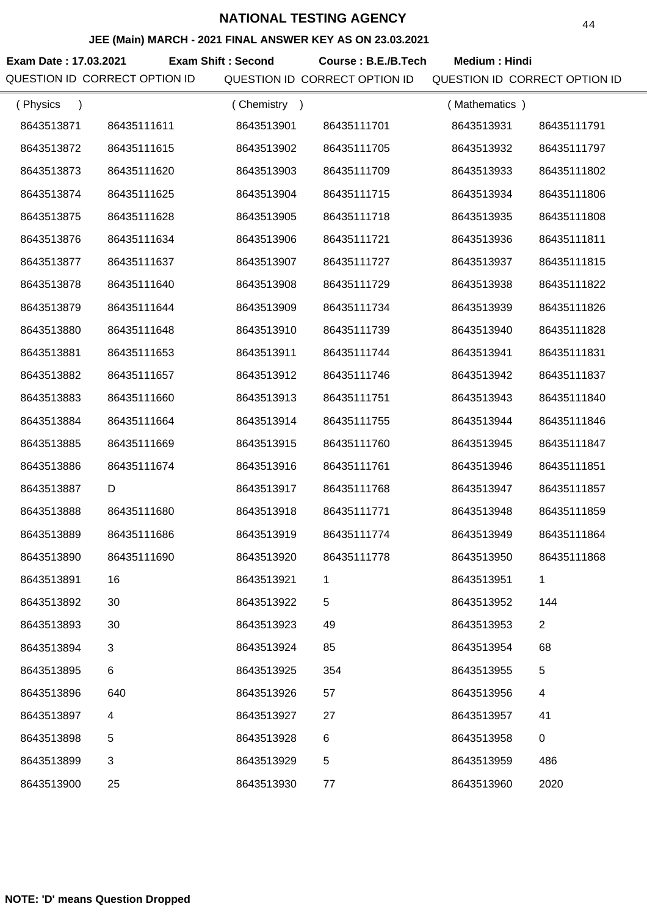## **JEE (Main) MARCH - 2021 FINAL ANSWER KEY AS ON 23.03.2021**

**Exam Date : 17.03.2021 Exam Shift : Second Course : B.E./B.Tech Medium : Hindi** 

QUESTION ID CORRECT OPTION ID QUESTION ID CORRECT OPTION ID QUESTION ID CORRECT OPTION ID

| (Physics   |             | (Chemistry<br>$\rightarrow$ |             | (Mathematics) |                |
|------------|-------------|-----------------------------|-------------|---------------|----------------|
| 8643513871 | 86435111611 | 8643513901                  | 86435111701 | 8643513931    | 86435111791    |
| 8643513872 | 86435111615 | 8643513902                  | 86435111705 | 8643513932    | 86435111797    |
| 8643513873 | 86435111620 | 8643513903                  | 86435111709 | 8643513933    | 86435111802    |
| 8643513874 | 86435111625 | 8643513904                  | 86435111715 | 8643513934    | 86435111806    |
| 8643513875 | 86435111628 | 8643513905                  | 86435111718 | 8643513935    | 86435111808    |
| 8643513876 | 86435111634 | 8643513906                  | 86435111721 | 8643513936    | 86435111811    |
| 8643513877 | 86435111637 | 8643513907                  | 86435111727 | 8643513937    | 86435111815    |
| 8643513878 | 86435111640 | 8643513908                  | 86435111729 | 8643513938    | 86435111822    |
| 8643513879 | 86435111644 | 8643513909                  | 86435111734 | 8643513939    | 86435111826    |
| 8643513880 | 86435111648 | 8643513910                  | 86435111739 | 8643513940    | 86435111828    |
| 8643513881 | 86435111653 | 8643513911                  | 86435111744 | 8643513941    | 86435111831    |
| 8643513882 | 86435111657 | 8643513912                  | 86435111746 | 8643513942    | 86435111837    |
| 8643513883 | 86435111660 | 8643513913                  | 86435111751 | 8643513943    | 86435111840    |
| 8643513884 | 86435111664 | 8643513914                  | 86435111755 | 8643513944    | 86435111846    |
| 8643513885 | 86435111669 | 8643513915                  | 86435111760 | 8643513945    | 86435111847    |
| 8643513886 | 86435111674 | 8643513916                  | 86435111761 | 8643513946    | 86435111851    |
| 8643513887 | D           | 8643513917                  | 86435111768 | 8643513947    | 86435111857    |
| 8643513888 | 86435111680 | 8643513918                  | 86435111771 | 8643513948    | 86435111859    |
| 8643513889 | 86435111686 | 8643513919                  | 86435111774 | 8643513949    | 86435111864    |
| 8643513890 | 86435111690 | 8643513920                  | 86435111778 | 8643513950    | 86435111868    |
| 8643513891 | 16          | 8643513921                  |             | 8643513951    |                |
| 8643513892 | 30          | 8643513922                  | 5           | 8643513952    | 144            |
| 8643513893 | 30          | 8643513923                  | 49          | 8643513953    | $\overline{2}$ |
| 8643513894 | 3           | 8643513924                  | 85          | 8643513954    | 68             |
| 8643513895 | 6           | 8643513925                  | 354         | 8643513955    | 5              |
| 8643513896 | 640         | 8643513926                  | 57          | 8643513956    | 4              |
| 8643513897 | 4           | 8643513927                  | 27          | 8643513957    | 41             |
| 8643513898 | 5           | 8643513928                  | 6           | 8643513958    | $\mathbf 0$    |
| 8643513899 | 3           | 8643513929                  | 5           | 8643513959    | 486            |
| 8643513900 | 25          | 8643513930                  | 77          | 8643513960    | 2020           |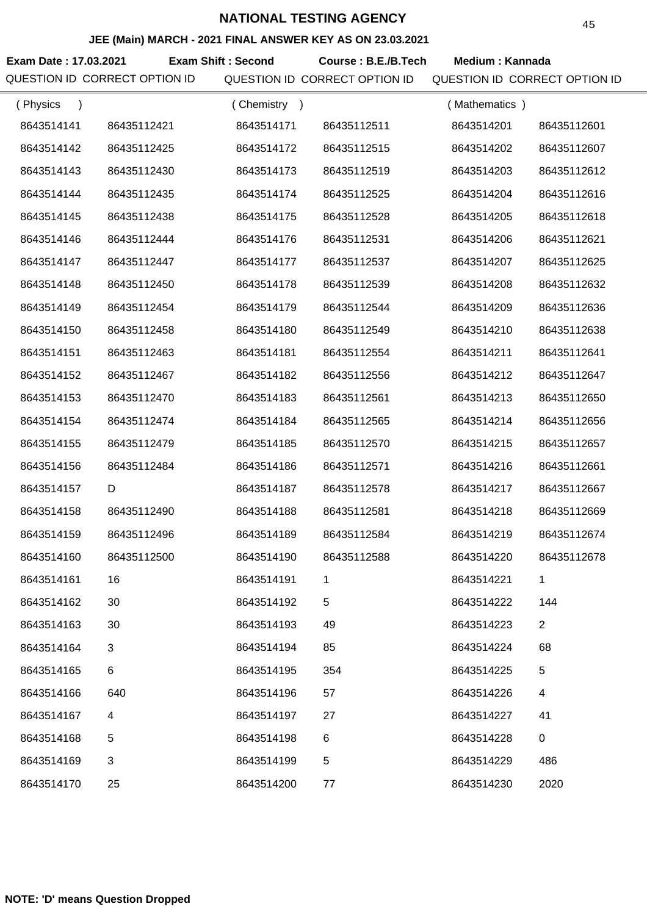### **JEE (Main) MARCH - 2021 FINAL ANSWER KEY AS ON 23.03.2021**

Exam Date : 17.03.2021 Exam Shift : Second Course : B.E./B.Tech Medium : Kannada QUESTION ID CORRECT OPTION ID QUESTION ID CORRECT OPTION ID QUESTION ID CORRECT OPTION ID

| (Physics<br>$\lambda$ |             | (Chemistry<br>$\rightarrow$ |             | (Mathematics) |                |
|-----------------------|-------------|-----------------------------|-------------|---------------|----------------|
| 8643514141            | 86435112421 | 8643514171                  | 86435112511 | 8643514201    | 86435112601    |
| 8643514142            | 86435112425 | 8643514172                  | 86435112515 | 8643514202    | 86435112607    |
| 8643514143            | 86435112430 | 8643514173                  | 86435112519 | 8643514203    | 86435112612    |
| 8643514144            | 86435112435 | 8643514174                  | 86435112525 | 8643514204    | 86435112616    |
| 8643514145            | 86435112438 | 8643514175                  | 86435112528 | 8643514205    | 86435112618    |
| 8643514146            | 86435112444 | 8643514176                  | 86435112531 | 8643514206    | 86435112621    |
| 8643514147            | 86435112447 | 8643514177                  | 86435112537 | 8643514207    | 86435112625    |
| 8643514148            | 86435112450 | 8643514178                  | 86435112539 | 8643514208    | 86435112632    |
| 8643514149            | 86435112454 | 8643514179                  | 86435112544 | 8643514209    | 86435112636    |
| 8643514150            | 86435112458 | 8643514180                  | 86435112549 | 8643514210    | 86435112638    |
| 8643514151            | 86435112463 | 8643514181                  | 86435112554 | 8643514211    | 86435112641    |
| 8643514152            | 86435112467 | 8643514182                  | 86435112556 | 8643514212    | 86435112647    |
| 8643514153            | 86435112470 | 8643514183                  | 86435112561 | 8643514213    | 86435112650    |
| 8643514154            | 86435112474 | 8643514184                  | 86435112565 | 8643514214    | 86435112656    |
| 8643514155            | 86435112479 | 8643514185                  | 86435112570 | 8643514215    | 86435112657    |
| 8643514156            | 86435112484 | 8643514186                  | 86435112571 | 8643514216    | 86435112661    |
| 8643514157            | D           | 8643514187                  | 86435112578 | 8643514217    | 86435112667    |
| 8643514158            | 86435112490 | 8643514188                  | 86435112581 | 8643514218    | 86435112669    |
| 8643514159            | 86435112496 | 8643514189                  | 86435112584 | 8643514219    | 86435112674    |
| 8643514160            | 86435112500 | 8643514190                  | 86435112588 | 8643514220    | 86435112678    |
| 8643514161            | 16          | 8643514191                  | 1           | 8643514221    | 1              |
| 8643514162            | 30          | 8643514192                  | 5           | 8643514222    | 144            |
| 8643514163            | 30          | 8643514193                  | 49          | 8643514223    | $\overline{2}$ |
| 8643514164            | 3           | 8643514194                  | 85          | 8643514224    | 68             |
| 8643514165            | 6           | 8643514195                  | 354         | 8643514225    | 5              |
| 8643514166            | 640         | 8643514196                  | 57          | 8643514226    | 4              |
| 8643514167            | 4           | 8643514197                  | 27          | 8643514227    | 41             |
| 8643514168            | 5           | 8643514198                  | 6           | 8643514228    | $\mathbf 0$    |
| 8643514169            | 3           | 8643514199                  | 5           | 8643514229    | 486            |
| 8643514170            | 25          | 8643514200                  | 77          | 8643514230    | 2020           |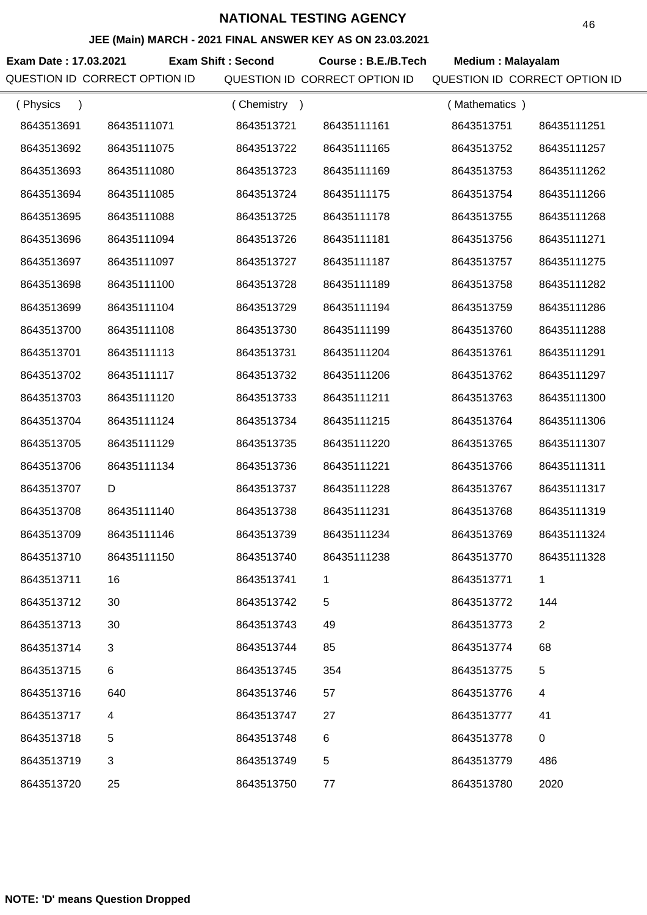### **JEE (Main) MARCH - 2021 FINAL ANSWER KEY AS ON 23.03.2021**

**Exam Date : 17.03.2021 Exam Shift : Second Course : B.E./B.Tech Medium : Malayalam** QUESTION ID CORRECT OPTION ID QUESTION ID CORRECT OPTION ID QUESTION ID CORRECT OPTION ID

| (Physics<br>$\lambda$ |             | (Chemistry<br>$\rightarrow$ |             | (Mathematics) |                |
|-----------------------|-------------|-----------------------------|-------------|---------------|----------------|
| 8643513691            | 86435111071 | 8643513721                  | 86435111161 | 8643513751    | 86435111251    |
| 8643513692            | 86435111075 | 8643513722                  | 86435111165 | 8643513752    | 86435111257    |
| 8643513693            | 86435111080 | 8643513723                  | 86435111169 | 8643513753    | 86435111262    |
| 8643513694            | 86435111085 | 8643513724                  | 86435111175 | 8643513754    | 86435111266    |
| 8643513695            | 86435111088 | 8643513725                  | 86435111178 | 8643513755    | 86435111268    |
| 8643513696            | 86435111094 | 8643513726                  | 86435111181 | 8643513756    | 86435111271    |
| 8643513697            | 86435111097 | 8643513727                  | 86435111187 | 8643513757    | 86435111275    |
| 8643513698            | 86435111100 | 8643513728                  | 86435111189 | 8643513758    | 86435111282    |
| 8643513699            | 86435111104 | 8643513729                  | 86435111194 | 8643513759    | 86435111286    |
| 8643513700            | 86435111108 | 8643513730                  | 86435111199 | 8643513760    | 86435111288    |
| 8643513701            | 86435111113 | 8643513731                  | 86435111204 | 8643513761    | 86435111291    |
| 8643513702            | 86435111117 | 8643513732                  | 86435111206 | 8643513762    | 86435111297    |
| 8643513703            | 86435111120 | 8643513733                  | 86435111211 | 8643513763    | 86435111300    |
| 8643513704            | 86435111124 | 8643513734                  | 86435111215 | 8643513764    | 86435111306    |
| 8643513705            | 86435111129 | 8643513735                  | 86435111220 | 8643513765    | 86435111307    |
| 8643513706            | 86435111134 | 8643513736                  | 86435111221 | 8643513766    | 86435111311    |
| 8643513707            | D           | 8643513737                  | 86435111228 | 8643513767    | 86435111317    |
| 8643513708            | 86435111140 | 8643513738                  | 86435111231 | 8643513768    | 86435111319    |
| 8643513709            | 86435111146 | 8643513739                  | 86435111234 | 8643513769    | 86435111324    |
| 8643513710            | 86435111150 | 8643513740                  | 86435111238 | 8643513770    | 86435111328    |
| 8643513711            | 16          | 8643513741                  | 1           | 8643513771    | 1              |
| 8643513712            | 30          | 8643513742                  | 5           | 8643513772    | 144            |
| 8643513713            | 30          | 8643513743                  | 49          | 8643513773    | $\overline{2}$ |
| 8643513714            | 3           | 8643513744                  | 85          | 8643513774    | 68             |
| 8643513715            | 6           | 8643513745                  | 354         | 8643513775    | 5              |
| 8643513716            | 640         | 8643513746                  | 57          | 8643513776    | 4              |
| 8643513717            | 4           | 8643513747                  | 27          | 8643513777    | 41             |
| 8643513718            | 5           | 8643513748                  | $\,6$       | 8643513778    | $\mathbf 0$    |
| 8643513719            | 3           | 8643513749                  | 5           | 8643513779    | 486            |
| 8643513720            | 25          | 8643513750                  | 77          | 8643513780    | 2020           |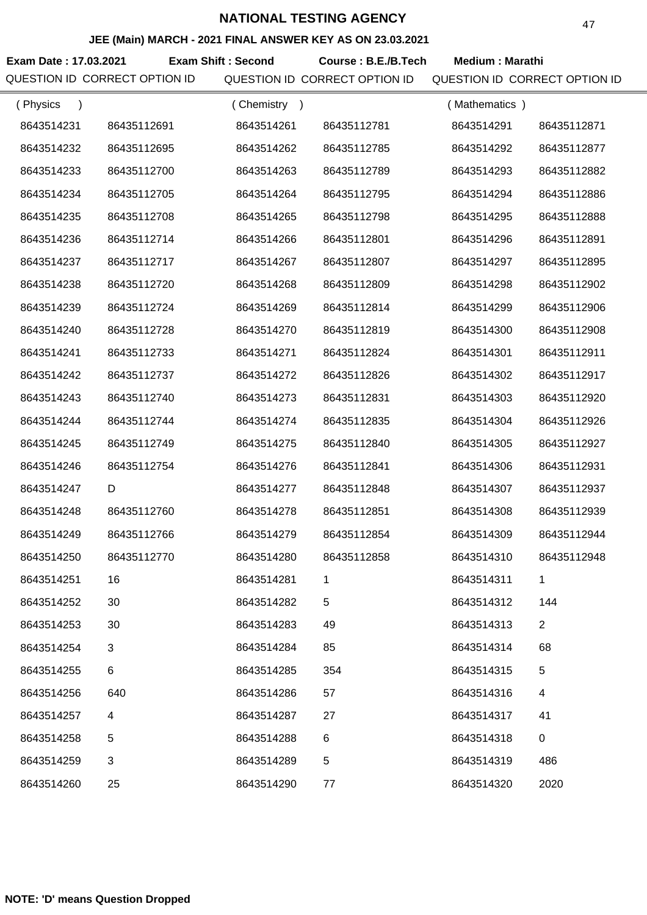### **JEE (Main) MARCH - 2021 FINAL ANSWER KEY AS ON 23.03.2021**

**Exam Date : 17.03.2021 Course : B.E./B.Tech Medium : Marathi Exam Shift : Second** QUESTION ID CORRECT OPTION ID QUESTION ID CORRECT OPTION ID QUESTION ID CORRECT OPTION ID

| (Physics<br>$\lambda$ |             | (Chemistry)<br>$\rightarrow$ |             | (Mathematics) |                |
|-----------------------|-------------|------------------------------|-------------|---------------|----------------|
| 8643514231            | 86435112691 | 8643514261                   | 86435112781 | 8643514291    | 86435112871    |
| 8643514232            | 86435112695 | 8643514262                   | 86435112785 | 8643514292    | 86435112877    |
| 8643514233            | 86435112700 | 8643514263                   | 86435112789 | 8643514293    | 86435112882    |
| 8643514234            | 86435112705 | 8643514264                   | 86435112795 | 8643514294    | 86435112886    |
| 8643514235            | 86435112708 | 8643514265                   | 86435112798 | 8643514295    | 86435112888    |
| 8643514236            | 86435112714 | 8643514266                   | 86435112801 | 8643514296    | 86435112891    |
| 8643514237            | 86435112717 | 8643514267                   | 86435112807 | 8643514297    | 86435112895    |
| 8643514238            | 86435112720 | 8643514268                   | 86435112809 | 8643514298    | 86435112902    |
| 8643514239            | 86435112724 | 8643514269                   | 86435112814 | 8643514299    | 86435112906    |
| 8643514240            | 86435112728 | 8643514270                   | 86435112819 | 8643514300    | 86435112908    |
| 8643514241            | 86435112733 | 8643514271                   | 86435112824 | 8643514301    | 86435112911    |
| 8643514242            | 86435112737 | 8643514272                   | 86435112826 | 8643514302    | 86435112917    |
| 8643514243            | 86435112740 | 8643514273                   | 86435112831 | 8643514303    | 86435112920    |
| 8643514244            | 86435112744 | 8643514274                   | 86435112835 | 8643514304    | 86435112926    |
| 8643514245            | 86435112749 | 8643514275                   | 86435112840 | 8643514305    | 86435112927    |
| 8643514246            | 86435112754 | 8643514276                   | 86435112841 | 8643514306    | 86435112931    |
| 8643514247            | D           | 8643514277                   | 86435112848 | 8643514307    | 86435112937    |
| 8643514248            | 86435112760 | 8643514278                   | 86435112851 | 8643514308    | 86435112939    |
| 8643514249            | 86435112766 | 8643514279                   | 86435112854 | 8643514309    | 86435112944    |
| 8643514250            | 86435112770 | 8643514280                   | 86435112858 | 8643514310    | 86435112948    |
| 8643514251            | 16          | 8643514281                   |             | 8643514311    |                |
| 8643514252            | 30          | 8643514282                   | 5           | 8643514312    | 144            |
| 8643514253            | 30          | 8643514283                   | 49          | 8643514313    | $\overline{2}$ |
| 8643514254            | 3           | 8643514284                   | 85          | 8643514314    | 68             |
| 8643514255            | 6           | 8643514285                   | 354         | 8643514315    | 5              |
| 8643514256            | 640         | 8643514286                   | 57          | 8643514316    | 4              |
| 8643514257            | 4           | 8643514287                   | 27          | 8643514317    | 41             |
| 8643514258            | 5           | 8643514288                   | 6           | 8643514318    | $\pmb{0}$      |
| 8643514259            | 3           | 8643514289                   | 5           | 8643514319    | 486            |
| 8643514260            | 25          | 8643514290                   | 77          | 8643514320    | 2020           |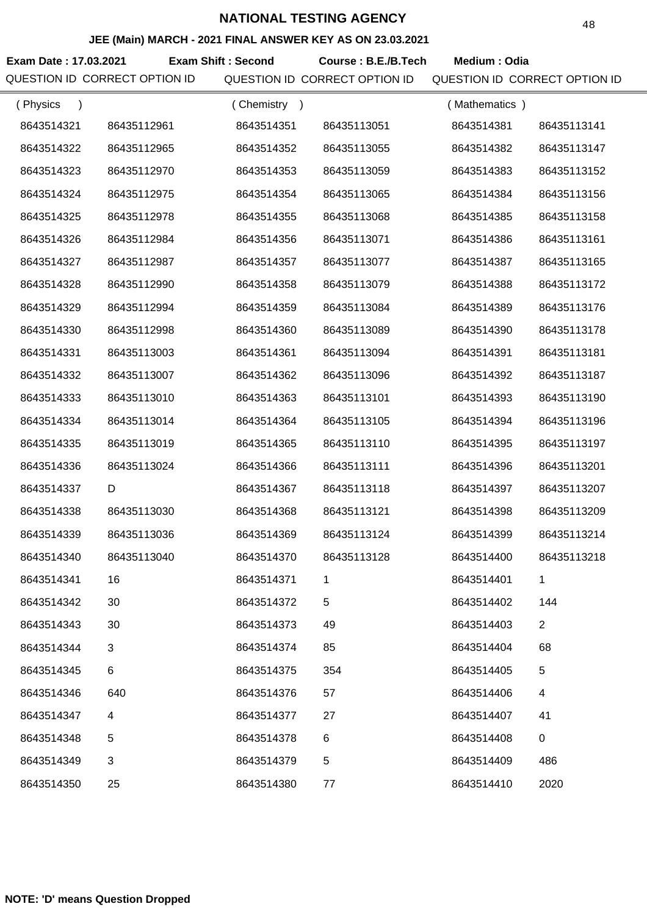### **JEE (Main) MARCH - 2021 FINAL ANSWER KEY AS ON 23.03.2021**

**Exam Date : 17.03.2021 Exam Shift : Second Course : B.E./B.Tech Medium : Odia** 

QUESTION ID CORRECT OPTION ID QUESTION ID CORRECT OPTION ID QUESTION ID CORRECT OPTION ID

| (Physics   |             | (Chemistry)<br>$\rightarrow$ |             | (Mathematics) |                |
|------------|-------------|------------------------------|-------------|---------------|----------------|
| 8643514321 | 86435112961 | 8643514351                   | 86435113051 | 8643514381    | 86435113141    |
| 8643514322 | 86435112965 | 8643514352                   | 86435113055 | 8643514382    | 86435113147    |
| 8643514323 | 86435112970 | 8643514353                   | 86435113059 | 8643514383    | 86435113152    |
| 8643514324 | 86435112975 | 8643514354                   | 86435113065 | 8643514384    | 86435113156    |
| 8643514325 | 86435112978 | 8643514355                   | 86435113068 | 8643514385    | 86435113158    |
| 8643514326 | 86435112984 | 8643514356                   | 86435113071 | 8643514386    | 86435113161    |
| 8643514327 | 86435112987 | 8643514357                   | 86435113077 | 8643514387    | 86435113165    |
| 8643514328 | 86435112990 | 8643514358                   | 86435113079 | 8643514388    | 86435113172    |
| 8643514329 | 86435112994 | 8643514359                   | 86435113084 | 8643514389    | 86435113176    |
| 8643514330 | 86435112998 | 8643514360                   | 86435113089 | 8643514390    | 86435113178    |
| 8643514331 | 86435113003 | 8643514361                   | 86435113094 | 8643514391    | 86435113181    |
| 8643514332 | 86435113007 | 8643514362                   | 86435113096 | 8643514392    | 86435113187    |
| 8643514333 | 86435113010 | 8643514363                   | 86435113101 | 8643514393    | 86435113190    |
| 8643514334 | 86435113014 | 8643514364                   | 86435113105 | 8643514394    | 86435113196    |
| 8643514335 | 86435113019 | 8643514365                   | 86435113110 | 8643514395    | 86435113197    |
| 8643514336 | 86435113024 | 8643514366                   | 86435113111 | 8643514396    | 86435113201    |
| 8643514337 | D           | 8643514367                   | 86435113118 | 8643514397    | 86435113207    |
| 8643514338 | 86435113030 | 8643514368                   | 86435113121 | 8643514398    | 86435113209    |
| 8643514339 | 86435113036 | 8643514369                   | 86435113124 | 8643514399    | 86435113214    |
| 8643514340 | 86435113040 | 8643514370                   | 86435113128 | 8643514400    | 86435113218    |
| 8643514341 | 16          | 8643514371                   |             | 8643514401    |                |
| 8643514342 | 30          | 8643514372                   | 5           | 8643514402    | 144            |
| 8643514343 | 30          | 8643514373                   | 49          | 8643514403    | $\overline{2}$ |
| 8643514344 | 3           | 8643514374                   | 85          | 8643514404    | 68             |
| 8643514345 | 6           | 8643514375                   | 354         | 8643514405    | 5              |
| 8643514346 | 640         | 8643514376                   | 57          | 8643514406    | 4              |
| 8643514347 | 4           | 8643514377                   | 27          | 8643514407    | 41             |
| 8643514348 | 5           | 8643514378                   | 6           | 8643514408    | 0              |
| 8643514349 | 3           | 8643514379                   | 5           | 8643514409    | 486            |
| 8643514350 | 25          | 8643514380                   | 77          | 8643514410    | 2020           |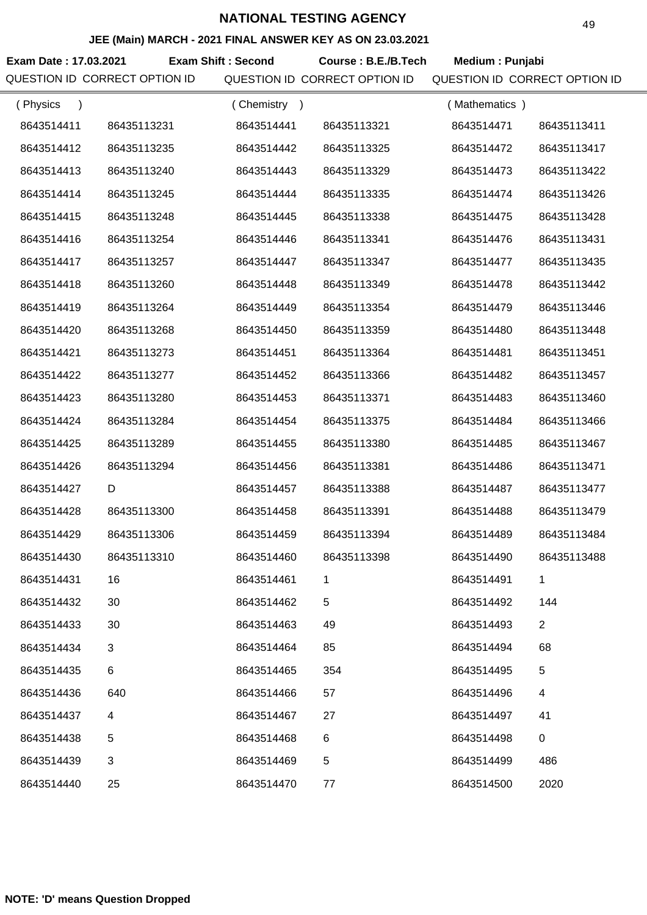## **JEE (Main) MARCH - 2021 FINAL ANSWER KEY AS ON 23.03.2021**

**Exam Date : 17.03.2021 Course : B.E./B.Tech Medium : Punjabi Exam Shift : Second** QUESTION ID CORRECT OPTION ID QUESTION ID CORRECT OPTION ID QUESTION ID CORRECT OPTION ID

| (Physics<br>$\lambda$ |             | (Chemistry) |             | (Mathematics) |                |
|-----------------------|-------------|-------------|-------------|---------------|----------------|
| 8643514411            | 86435113231 | 8643514441  | 86435113321 | 8643514471    | 86435113411    |
| 8643514412            | 86435113235 | 8643514442  | 86435113325 | 8643514472    | 86435113417    |
| 8643514413            | 86435113240 | 8643514443  | 86435113329 | 8643514473    | 86435113422    |
| 8643514414            | 86435113245 | 8643514444  | 86435113335 | 8643514474    | 86435113426    |
| 8643514415            | 86435113248 | 8643514445  | 86435113338 | 8643514475    | 86435113428    |
| 8643514416            | 86435113254 | 8643514446  | 86435113341 | 8643514476    | 86435113431    |
| 8643514417            | 86435113257 | 8643514447  | 86435113347 | 8643514477    | 86435113435    |
| 8643514418            | 86435113260 | 8643514448  | 86435113349 | 8643514478    | 86435113442    |
| 8643514419            | 86435113264 | 8643514449  | 86435113354 | 8643514479    | 86435113446    |
| 8643514420            | 86435113268 | 8643514450  | 86435113359 | 8643514480    | 86435113448    |
| 8643514421            | 86435113273 | 8643514451  | 86435113364 | 8643514481    | 86435113451    |
| 8643514422            | 86435113277 | 8643514452  | 86435113366 | 8643514482    | 86435113457    |
| 8643514423            | 86435113280 | 8643514453  | 86435113371 | 8643514483    | 86435113460    |
| 8643514424            | 86435113284 | 8643514454  | 86435113375 | 8643514484    | 86435113466    |
| 8643514425            | 86435113289 | 8643514455  | 86435113380 | 8643514485    | 86435113467    |
| 8643514426            | 86435113294 | 8643514456  | 86435113381 | 8643514486    | 86435113471    |
| 8643514427            | D           | 8643514457  | 86435113388 | 8643514487    | 86435113477    |
| 8643514428            | 86435113300 | 8643514458  | 86435113391 | 8643514488    | 86435113479    |
| 8643514429            | 86435113306 | 8643514459  | 86435113394 | 8643514489    | 86435113484    |
| 8643514430            | 86435113310 | 8643514460  | 86435113398 | 8643514490    | 86435113488    |
| 8643514431            | 16          | 8643514461  | 1           | 8643514491    | 1              |
| 8643514432            | 30          | 8643514462  | 5           | 8643514492    | 144            |
| 8643514433            | 30          | 8643514463  | 49          | 8643514493    | $\overline{2}$ |
| 8643514434            | 3           | 8643514464  | 85          | 8643514494    | 68             |
| 8643514435            | 6           | 8643514465  | 354         | 8643514495    | 5              |
| 8643514436            | 640         | 8643514466  | 57          | 8643514496    | 4              |
| 8643514437            | 4           | 8643514467  | 27          | 8643514497    | 41             |
| 8643514438            | 5           | 8643514468  | 6           | 8643514498    | 0              |
| 8643514439            | 3           | 8643514469  | 5           | 8643514499    | 486            |
| 8643514440            | 25          | 8643514470  | 77          | 8643514500    | 2020           |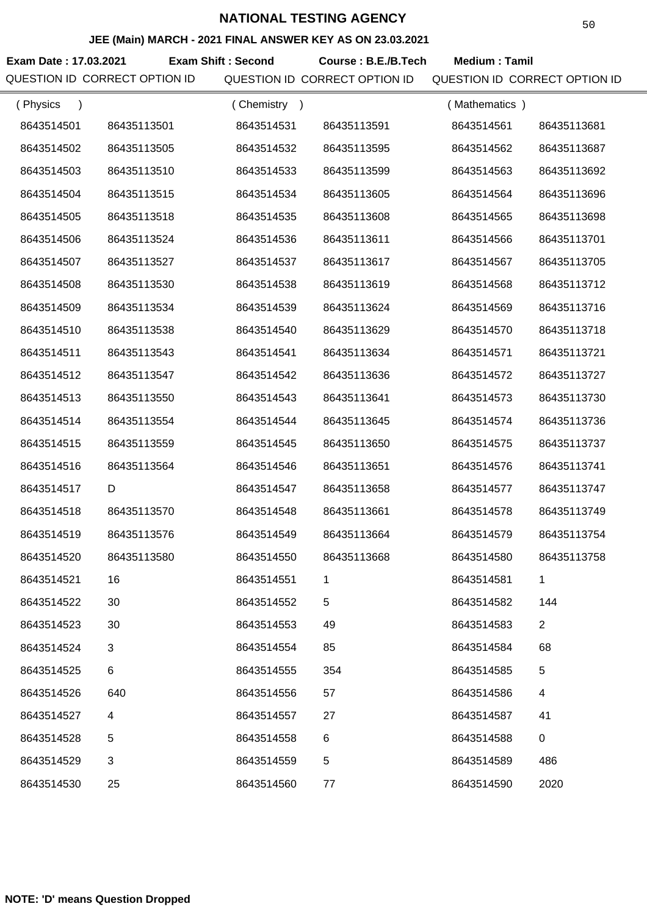### **JEE (Main) MARCH - 2021 FINAL ANSWER KEY AS ON 23.03.2021**

**Exam Date : 17.03.2021 Exam Shift : Second Course : B.E./B.Tech Medium : Tamil** QUESTION ID CORRECT OPTION ID QUESTION ID CORRECT OPTION ID QUESTION ID CORRECT OPTION ID

| (Physics<br>$\lambda$ |             | (Chemistry<br>$\rightarrow$ |             | (Mathematics) |                |
|-----------------------|-------------|-----------------------------|-------------|---------------|----------------|
| 8643514501            | 86435113501 | 8643514531                  | 86435113591 | 8643514561    | 86435113681    |
| 8643514502            | 86435113505 | 8643514532                  | 86435113595 | 8643514562    | 86435113687    |
| 8643514503            | 86435113510 | 8643514533                  | 86435113599 | 8643514563    | 86435113692    |
| 8643514504            | 86435113515 | 8643514534                  | 86435113605 | 8643514564    | 86435113696    |
| 8643514505            | 86435113518 | 8643514535                  | 86435113608 | 8643514565    | 86435113698    |
| 8643514506            | 86435113524 | 8643514536                  | 86435113611 | 8643514566    | 86435113701    |
| 8643514507            | 86435113527 | 8643514537                  | 86435113617 | 8643514567    | 86435113705    |
| 8643514508            | 86435113530 | 8643514538                  | 86435113619 | 8643514568    | 86435113712    |
| 8643514509            | 86435113534 | 8643514539                  | 86435113624 | 8643514569    | 86435113716    |
| 8643514510            | 86435113538 | 8643514540                  | 86435113629 | 8643514570    | 86435113718    |
| 8643514511            | 86435113543 | 8643514541                  | 86435113634 | 8643514571    | 86435113721    |
| 8643514512            | 86435113547 | 8643514542                  | 86435113636 | 8643514572    | 86435113727    |
| 8643514513            | 86435113550 | 8643514543                  | 86435113641 | 8643514573    | 86435113730    |
| 8643514514            | 86435113554 | 8643514544                  | 86435113645 | 8643514574    | 86435113736    |
| 8643514515            | 86435113559 | 8643514545                  | 86435113650 | 8643514575    | 86435113737    |
| 8643514516            | 86435113564 | 8643514546                  | 86435113651 | 8643514576    | 86435113741    |
| 8643514517            | D           | 8643514547                  | 86435113658 | 8643514577    | 86435113747    |
| 8643514518            | 86435113570 | 8643514548                  | 86435113661 | 8643514578    | 86435113749    |
| 8643514519            | 86435113576 | 8643514549                  | 86435113664 | 8643514579    | 86435113754    |
| 8643514520            | 86435113580 | 8643514550                  | 86435113668 | 8643514580    | 86435113758    |
| 8643514521            | 16          | 8643514551                  | 1           | 8643514581    | 1              |
| 8643514522            | 30          | 8643514552                  | 5           | 8643514582    | 144            |
| 8643514523            | 30          | 8643514553                  | 49          | 8643514583    | $\overline{2}$ |
| 8643514524            | 3           | 8643514554                  | 85          | 8643514584    | 68             |
| 8643514525            | 6           | 8643514555                  | 354         | 8643514585    | 5              |
| 8643514526            | 640         | 8643514556                  | 57          | 8643514586    | 4              |
| 8643514527            | 4           | 8643514557                  | 27          | 8643514587    | 41             |
| 8643514528            | 5           | 8643514558                  | 6           | 8643514588    | 0              |
| 8643514529            | 3           | 8643514559                  | 5           | 8643514589    | 486            |
| 8643514530            | 25          | 8643514560                  | 77          | 8643514590    | 2020           |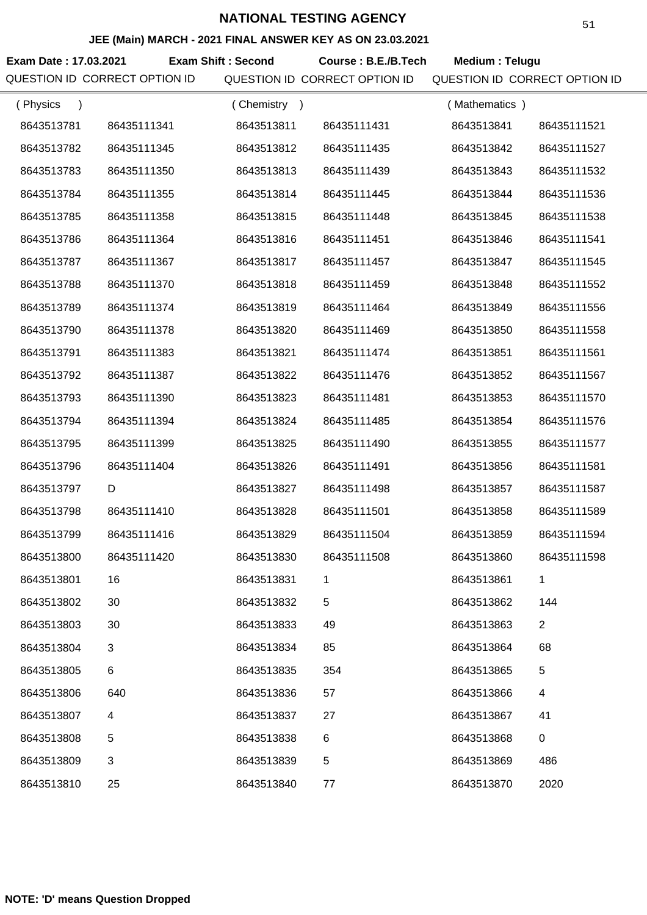## **JEE (Main) MARCH - 2021 FINAL ANSWER KEY AS ON 23.03.2021**

**Exam Date : 17.03.2021 Course : B.E./B.Tech Medium : Telugu Exam Shift : Second** QUESTION ID CORRECT OPTION ID QUESTION ID CORRECT OPTION ID QUESTION ID CORRECT OPTION ID

| (Physics<br>$\lambda$ |             | (Chemistry<br>$\rightarrow$ |             | (Mathematics) |                |
|-----------------------|-------------|-----------------------------|-------------|---------------|----------------|
| 8643513781            | 86435111341 | 8643513811                  | 86435111431 | 8643513841    | 86435111521    |
| 8643513782            | 86435111345 | 8643513812                  | 86435111435 | 8643513842    | 86435111527    |
| 8643513783            | 86435111350 | 8643513813                  | 86435111439 | 8643513843    | 86435111532    |
| 8643513784            | 86435111355 | 8643513814                  | 86435111445 | 8643513844    | 86435111536    |
| 8643513785            | 86435111358 | 8643513815                  | 86435111448 | 8643513845    | 86435111538    |
| 8643513786            | 86435111364 | 8643513816                  | 86435111451 | 8643513846    | 86435111541    |
| 8643513787            | 86435111367 | 8643513817                  | 86435111457 | 8643513847    | 86435111545    |
| 8643513788            | 86435111370 | 8643513818                  | 86435111459 | 8643513848    | 86435111552    |
| 8643513789            | 86435111374 | 8643513819                  | 86435111464 | 8643513849    | 86435111556    |
| 8643513790            | 86435111378 | 8643513820                  | 86435111469 | 8643513850    | 86435111558    |
| 8643513791            | 86435111383 | 8643513821                  | 86435111474 | 8643513851    | 86435111561    |
| 8643513792            | 86435111387 | 8643513822                  | 86435111476 | 8643513852    | 86435111567    |
| 8643513793            | 86435111390 | 8643513823                  | 86435111481 | 8643513853    | 86435111570    |
| 8643513794            | 86435111394 | 8643513824                  | 86435111485 | 8643513854    | 86435111576    |
| 8643513795            | 86435111399 | 8643513825                  | 86435111490 | 8643513855    | 86435111577    |
| 8643513796            | 86435111404 | 8643513826                  | 86435111491 | 8643513856    | 86435111581    |
| 8643513797            | D           | 8643513827                  | 86435111498 | 8643513857    | 86435111587    |
| 8643513798            | 86435111410 | 8643513828                  | 86435111501 | 8643513858    | 86435111589    |
| 8643513799            | 86435111416 | 8643513829                  | 86435111504 | 8643513859    | 86435111594    |
| 8643513800            | 86435111420 | 8643513830                  | 86435111508 | 8643513860    | 86435111598    |
| 8643513801            | 16          | 8643513831                  | 1           | 8643513861    | 1              |
| 8643513802            | 30          | 8643513832                  | 5           | 8643513862    | 144            |
| 8643513803            | 30          | 8643513833                  | 49          | 8643513863    | $\overline{2}$ |
| 8643513804            | 3           | 8643513834                  | 85          | 8643513864    | 68             |
| 8643513805            | 6           | 8643513835                  | 354         | 8643513865    | $\,$ 5 $\,$    |
| 8643513806            | 640         | 8643513836                  | 57          | 8643513866    | 4              |
| 8643513807            | 4           | 8643513837                  | 27          | 8643513867    | 41             |
| 8643513808            | 5           | 8643513838                  | 6           | 8643513868    | 0              |
| 8643513809            | 3           | 8643513839                  | 5           | 8643513869    | 486            |
| 8643513810            | 25          | 8643513840                  | 77          | 8643513870    | 2020           |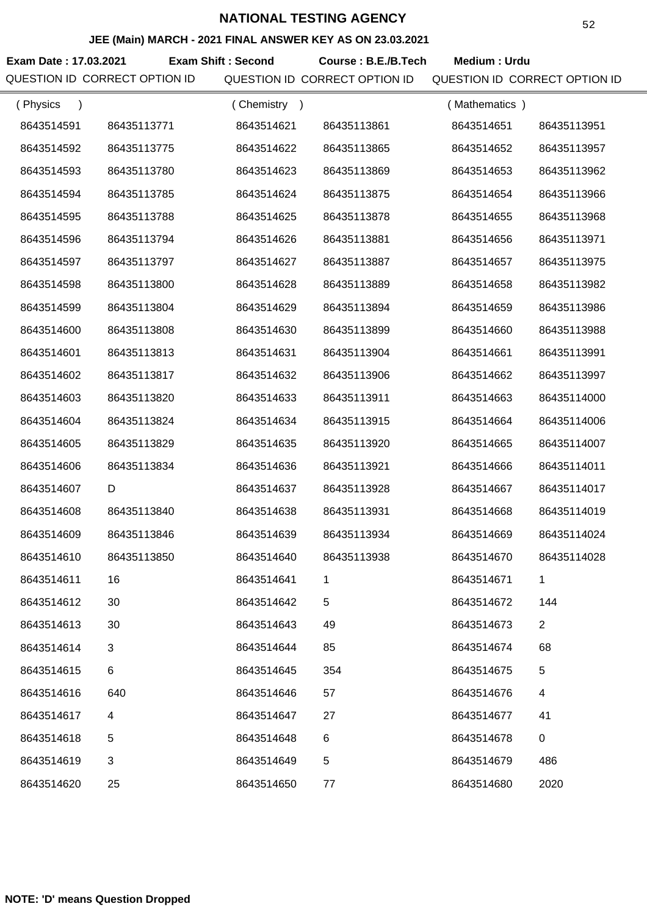### **JEE (Main) MARCH - 2021 FINAL ANSWER KEY AS ON 23.03.2021**

**Exam Date : 17.03.2021 Exam Shift : Second Course : B.E./B.Tech Medium : Urdu** QUESTION ID CORRECT OPTION ID QUESTION ID CORRECT OPTION ID QUESTION ID CORRECT OPTION ID

| (Physics   |             | (Chemistry) |             | (Mathematics) |                |
|------------|-------------|-------------|-------------|---------------|----------------|
| 8643514591 | 86435113771 | 8643514621  | 86435113861 | 8643514651    | 86435113951    |
| 8643514592 | 86435113775 | 8643514622  | 86435113865 | 8643514652    | 86435113957    |
| 8643514593 | 86435113780 | 8643514623  | 86435113869 | 8643514653    | 86435113962    |
| 8643514594 | 86435113785 | 8643514624  | 86435113875 | 8643514654    | 86435113966    |
| 8643514595 | 86435113788 | 8643514625  | 86435113878 | 8643514655    | 86435113968    |
| 8643514596 | 86435113794 | 8643514626  | 86435113881 | 8643514656    | 86435113971    |
| 8643514597 | 86435113797 | 8643514627  | 86435113887 | 8643514657    | 86435113975    |
| 8643514598 | 86435113800 | 8643514628  | 86435113889 | 8643514658    | 86435113982    |
| 8643514599 | 86435113804 | 8643514629  | 86435113894 | 8643514659    | 86435113986    |
| 8643514600 | 86435113808 | 8643514630  | 86435113899 | 8643514660    | 86435113988    |
| 8643514601 | 86435113813 | 8643514631  | 86435113904 | 8643514661    | 86435113991    |
| 8643514602 | 86435113817 | 8643514632  | 86435113906 | 8643514662    | 86435113997    |
| 8643514603 | 86435113820 | 8643514633  | 86435113911 | 8643514663    | 86435114000    |
| 8643514604 | 86435113824 | 8643514634  | 86435113915 | 8643514664    | 86435114006    |
| 8643514605 | 86435113829 | 8643514635  | 86435113920 | 8643514665    | 86435114007    |
| 8643514606 | 86435113834 | 8643514636  | 86435113921 | 8643514666    | 86435114011    |
| 8643514607 | D           | 8643514637  | 86435113928 | 8643514667    | 86435114017    |
| 8643514608 | 86435113840 | 8643514638  | 86435113931 | 8643514668    | 86435114019    |
| 8643514609 | 86435113846 | 8643514639  | 86435113934 | 8643514669    | 86435114024    |
| 8643514610 | 86435113850 | 8643514640  | 86435113938 | 8643514670    | 86435114028    |
| 8643514611 | 16          | 8643514641  |             | 8643514671    |                |
| 8643514612 | 30          | 8643514642  | 5           | 8643514672    | 144            |
| 8643514613 | 30          | 8643514643  | 49          | 8643514673    | $\overline{2}$ |
| 8643514614 | 3           | 8643514644  | 85          | 8643514674    | 68             |
| 8643514615 | 6           | 8643514645  | 354         | 8643514675    | 5              |
| 8643514616 | 640         | 8643514646  | 57          | 8643514676    | 4              |
| 8643514617 | 4           | 8643514647  | 27          | 8643514677    | 41             |
| 8643514618 | 5           | 8643514648  | 6           | 8643514678    | 0              |
| 8643514619 | 3           | 8643514649  | 5           | 8643514679    | 486            |
| 8643514620 | 25          | 8643514650  | 77          | 8643514680    | 2020           |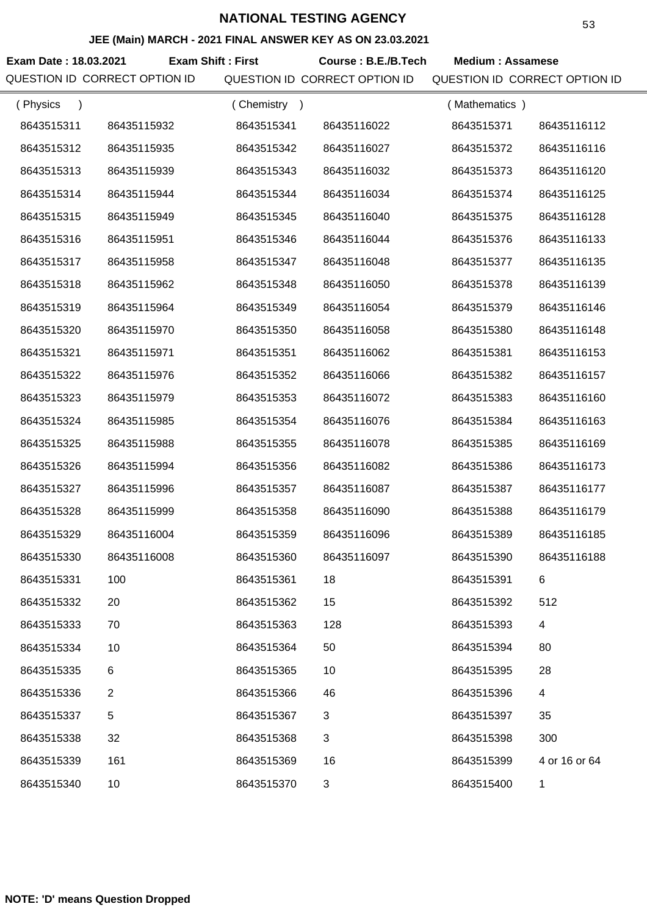### **JEE (Main) MARCH - 2021 FINAL ANSWER KEY AS ON 23.03.2021**

**Exam Date : 18.03.2021 Course : B.E./B.Tech Medium : Assamese Exam Shift : First** QUESTION ID CORRECT OPTION ID QUESTION ID CORRECT OPTION ID QUESTION ID CORRECT OPTION ID

| (Physics   |                | (Chemistry<br>$\rightarrow$ |             | (Mathematics) |                          |
|------------|----------------|-----------------------------|-------------|---------------|--------------------------|
| 8643515311 | 86435115932    | 8643515341                  | 86435116022 | 8643515371    | 86435116112              |
| 8643515312 | 86435115935    | 8643515342                  | 86435116027 | 8643515372    | 86435116116              |
| 8643515313 | 86435115939    | 8643515343                  | 86435116032 | 8643515373    | 86435116120              |
| 8643515314 | 86435115944    | 8643515344                  | 86435116034 | 8643515374    | 86435116125              |
| 8643515315 | 86435115949    | 8643515345                  | 86435116040 | 8643515375    | 86435116128              |
| 8643515316 | 86435115951    | 8643515346                  | 86435116044 | 8643515376    | 86435116133              |
| 8643515317 | 86435115958    | 8643515347                  | 86435116048 | 8643515377    | 86435116135              |
| 8643515318 | 86435115962    | 8643515348                  | 86435116050 | 8643515378    | 86435116139              |
| 8643515319 | 86435115964    | 8643515349                  | 86435116054 | 8643515379    | 86435116146              |
| 8643515320 | 86435115970    | 8643515350                  | 86435116058 | 8643515380    | 86435116148              |
| 8643515321 | 86435115971    | 8643515351                  | 86435116062 | 8643515381    | 86435116153              |
| 8643515322 | 86435115976    | 8643515352                  | 86435116066 | 8643515382    | 86435116157              |
| 8643515323 | 86435115979    | 8643515353                  | 86435116072 | 8643515383    | 86435116160              |
| 8643515324 | 86435115985    | 8643515354                  | 86435116076 | 8643515384    | 86435116163              |
| 8643515325 | 86435115988    | 8643515355                  | 86435116078 | 8643515385    | 86435116169              |
| 8643515326 | 86435115994    | 8643515356                  | 86435116082 | 8643515386    | 86435116173              |
| 8643515327 | 86435115996    | 8643515357                  | 86435116087 | 8643515387    | 86435116177              |
| 8643515328 | 86435115999    | 8643515358                  | 86435116090 | 8643515388    | 86435116179              |
| 8643515329 | 86435116004    | 8643515359                  | 86435116096 | 8643515389    | 86435116185              |
| 8643515330 | 86435116008    | 8643515360                  | 86435116097 | 8643515390    | 86435116188              |
| 8643515331 | 100            | 8643515361                  | 18          | 8643515391    | 6                        |
| 8643515332 | 20             | 8643515362                  | 15          | 8643515392    | 512                      |
| 8643515333 | 70             | 8643515363                  | 128         | 8643515393    | $\overline{\mathcal{A}}$ |
| 8643515334 | 10             | 8643515364                  | 50          | 8643515394    | 80                       |
| 8643515335 | 6              | 8643515365                  | 10          | 8643515395    | 28                       |
| 8643515336 | $\overline{2}$ | 8643515366                  | 46          | 8643515396    | 4                        |
| 8643515337 | 5              | 8643515367                  | 3           | 8643515397    | 35                       |
| 8643515338 | 32             | 8643515368                  | 3           | 8643515398    | 300                      |
| 8643515339 | 161            | 8643515369                  | 16          | 8643515399    | 4 or 16 or 64            |
| 8643515340 | 10             | 8643515370                  | 3           | 8643515400    | 1                        |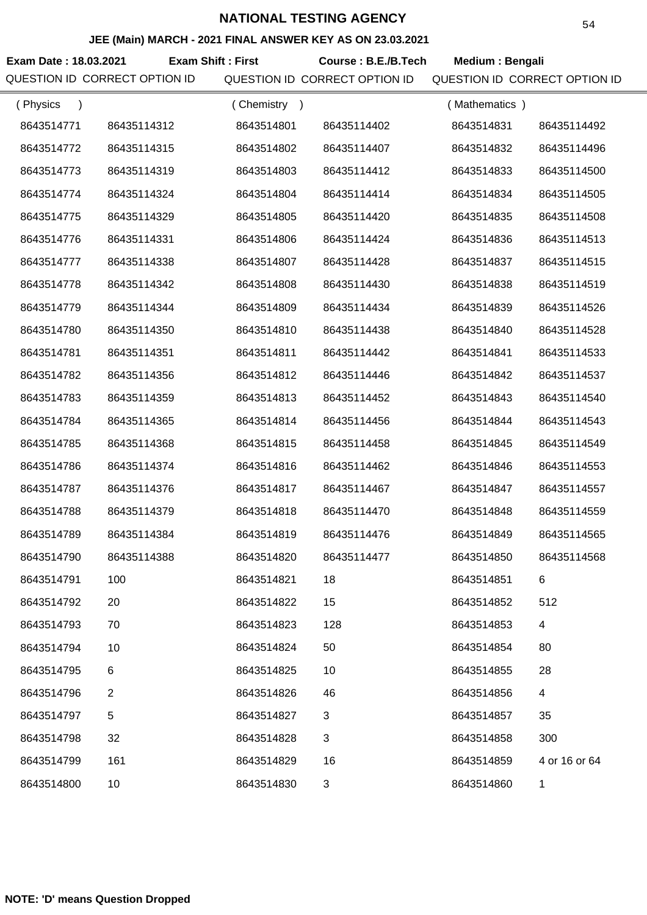### **JEE (Main) MARCH - 2021 FINAL ANSWER KEY AS ON 23.03.2021**

**Exam Date : 18.03.2021 Course : B.E./B.Tech Medium : Bengali Exam Shift : First** QUESTION ID CORRECT OPTION ID QUESTION ID CORRECT OPTION ID QUESTION ID CORRECT OPTION ID

| (Physics<br>$\lambda$ |                | (Chemistry<br>$\rightarrow$ |             | (Mathematics) |               |
|-----------------------|----------------|-----------------------------|-------------|---------------|---------------|
| 8643514771            | 86435114312    | 8643514801                  | 86435114402 | 8643514831    | 86435114492   |
| 8643514772            | 86435114315    | 8643514802                  | 86435114407 | 8643514832    | 86435114496   |
| 8643514773            | 86435114319    | 8643514803                  | 86435114412 | 8643514833    | 86435114500   |
| 8643514774            | 86435114324    | 8643514804                  | 86435114414 | 8643514834    | 86435114505   |
| 8643514775            | 86435114329    | 8643514805                  | 86435114420 | 8643514835    | 86435114508   |
| 8643514776            | 86435114331    | 8643514806                  | 86435114424 | 8643514836    | 86435114513   |
| 8643514777            | 86435114338    | 8643514807                  | 86435114428 | 8643514837    | 86435114515   |
| 8643514778            | 86435114342    | 8643514808                  | 86435114430 | 8643514838    | 86435114519   |
| 8643514779            | 86435114344    | 8643514809                  | 86435114434 | 8643514839    | 86435114526   |
| 8643514780            | 86435114350    | 8643514810                  | 86435114438 | 8643514840    | 86435114528   |
| 8643514781            | 86435114351    | 8643514811                  | 86435114442 | 8643514841    | 86435114533   |
| 8643514782            | 86435114356    | 8643514812                  | 86435114446 | 8643514842    | 86435114537   |
| 8643514783            | 86435114359    | 8643514813                  | 86435114452 | 8643514843    | 86435114540   |
| 8643514784            | 86435114365    | 8643514814                  | 86435114456 | 8643514844    | 86435114543   |
| 8643514785            | 86435114368    | 8643514815                  | 86435114458 | 8643514845    | 86435114549   |
| 8643514786            | 86435114374    | 8643514816                  | 86435114462 | 8643514846    | 86435114553   |
| 8643514787            | 86435114376    | 8643514817                  | 86435114467 | 8643514847    | 86435114557   |
| 8643514788            | 86435114379    | 8643514818                  | 86435114470 | 8643514848    | 86435114559   |
| 8643514789            | 86435114384    | 8643514819                  | 86435114476 | 8643514849    | 86435114565   |
| 8643514790            | 86435114388    | 8643514820                  | 86435114477 | 8643514850    | 86435114568   |
| 8643514791            | 100            | 8643514821                  | 18          | 8643514851    | 6             |
| 8643514792            | 20             | 8643514822                  | 15          | 8643514852    | 512           |
| 8643514793            | 70             | 8643514823                  | 128         | 8643514853    | 4             |
| 8643514794            | 10             | 8643514824                  | 50          | 8643514854    | 80            |
| 8643514795            | 6              | 8643514825                  | 10          | 8643514855    | 28            |
| 8643514796            | $\overline{2}$ | 8643514826                  | 46          | 8643514856    | 4             |
| 8643514797            | 5              | 8643514827                  | 3           | 8643514857    | 35            |
| 8643514798            | 32             | 8643514828                  | 3           | 8643514858    | 300           |
| 8643514799            | 161            | 8643514829                  | 16          | 8643514859    | 4 or 16 or 64 |
| 8643514800            | 10             | 8643514830                  | 3           | 8643514860    | 1             |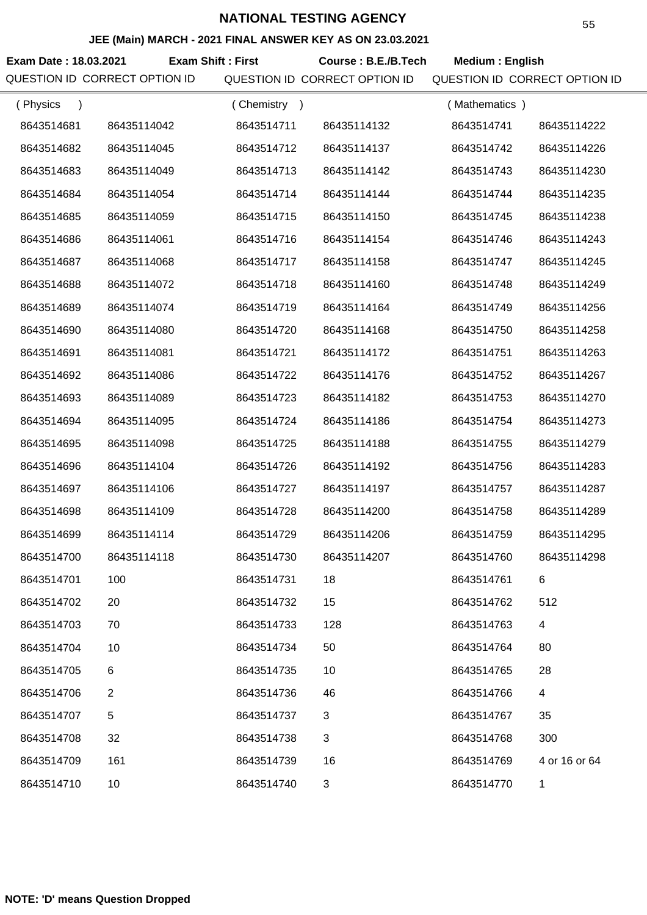# **JEE (Main) MARCH - 2021 FINAL ANSWER KEY AS ON 23.03.2021**

Exam Date : 18.03.2021 **Exam Shift : First** Course : B.E./B.Tech Medium : English QUESTION ID CORRECT OPTION ID QUESTION ID CORRECT OPTION ID QUESTION ID CORRECT OPTION ID **Exam Shift : First** ( Physics ) ( Chemistry ) ( Mathematics )

| 8643514681 | 86435114042 | 8643514711 | 86435114132 | 8643514741 | 86435114222   |
|------------|-------------|------------|-------------|------------|---------------|
| 8643514682 | 86435114045 | 8643514712 | 86435114137 | 8643514742 | 86435114226   |
| 8643514683 | 86435114049 | 8643514713 | 86435114142 | 8643514743 | 86435114230   |
| 8643514684 | 86435114054 | 8643514714 | 86435114144 | 8643514744 | 86435114235   |
| 8643514685 | 86435114059 | 8643514715 | 86435114150 | 8643514745 | 86435114238   |
| 8643514686 | 86435114061 | 8643514716 | 86435114154 | 8643514746 | 86435114243   |
| 8643514687 | 86435114068 | 8643514717 | 86435114158 | 8643514747 | 86435114245   |
| 8643514688 | 86435114072 | 8643514718 | 86435114160 | 8643514748 | 86435114249   |
| 8643514689 | 86435114074 | 8643514719 | 86435114164 | 8643514749 | 86435114256   |
| 8643514690 | 86435114080 | 8643514720 | 86435114168 | 8643514750 | 86435114258   |
| 8643514691 | 86435114081 | 8643514721 | 86435114172 | 8643514751 | 86435114263   |
| 8643514692 | 86435114086 | 8643514722 | 86435114176 | 8643514752 | 86435114267   |
| 8643514693 | 86435114089 | 8643514723 | 86435114182 | 8643514753 | 86435114270   |
| 8643514694 | 86435114095 | 8643514724 | 86435114186 | 8643514754 | 86435114273   |
| 8643514695 | 86435114098 | 8643514725 | 86435114188 | 8643514755 | 86435114279   |
| 8643514696 | 86435114104 | 8643514726 | 86435114192 | 8643514756 | 86435114283   |
| 8643514697 | 86435114106 | 8643514727 | 86435114197 | 8643514757 | 86435114287   |
| 8643514698 | 86435114109 | 8643514728 | 86435114200 | 8643514758 | 86435114289   |
| 8643514699 | 86435114114 | 8643514729 | 86435114206 | 8643514759 | 86435114295   |
| 8643514700 | 86435114118 | 8643514730 | 86435114207 | 8643514760 | 86435114298   |
| 8643514701 | 100         | 8643514731 | 18          | 8643514761 | 6             |
| 8643514702 | 20          | 8643514732 | 15          | 8643514762 | 512           |
| 8643514703 | 70          | 8643514733 | 128         | 8643514763 | 4             |
| 8643514704 | 10          | 8643514734 | 50          | 8643514764 | 80            |
| 8643514705 | 6           | 8643514735 | 10          | 8643514765 | 28            |
| 8643514706 | 2           | 8643514736 | 46          | 8643514766 | 4             |
| 8643514707 | 5           | 8643514737 | 3           | 8643514767 | 35            |
| 8643514708 | 32          | 8643514738 | 3           | 8643514768 | 300           |
| 8643514709 | 161         | 8643514739 | 16          | 8643514769 | 4 or 16 or 64 |
| 8643514710 | 10          | 8643514740 | 3           | 8643514770 | 1             |
|            |             |            |             |            |               |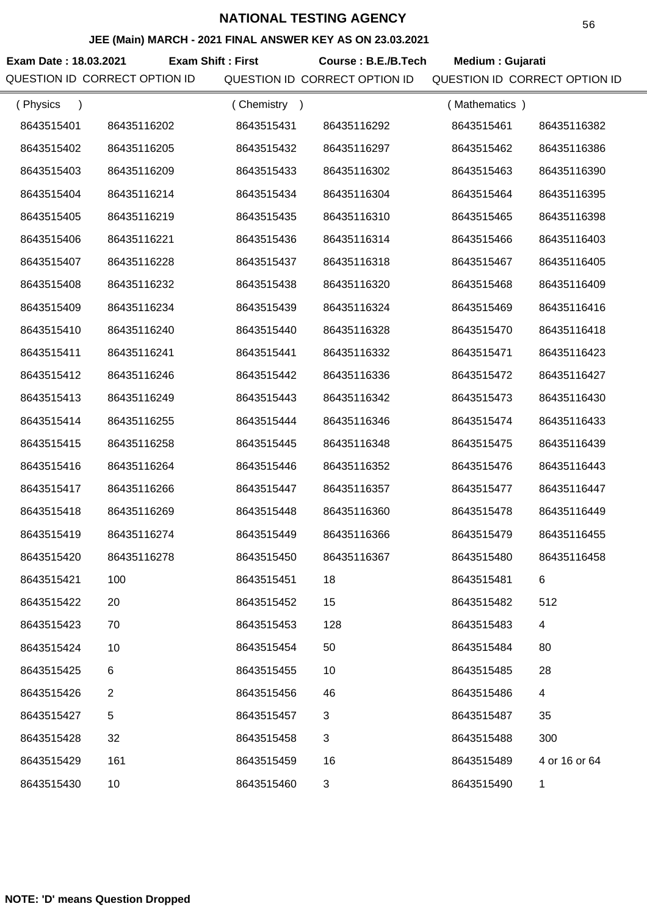## **JEE (Main) MARCH - 2021 FINAL ANSWER KEY AS ON 23.03.2021**

**Exam Date : 18.03.2021 Exam Shift : First Course : B.E./B.Tech Medium : Gujarati** QUESTION ID CORRECT OPTION ID QUESTION ID CORRECT OPTION ID QUESTION ID CORRECT OPTION ID

| (Physics   |                | (Chemistry) |             | (Mathematics) |               |
|------------|----------------|-------------|-------------|---------------|---------------|
| 8643515401 | 86435116202    | 8643515431  | 86435116292 | 8643515461    | 86435116382   |
| 8643515402 | 86435116205    | 8643515432  | 86435116297 | 8643515462    | 86435116386   |
| 8643515403 | 86435116209    | 8643515433  | 86435116302 | 8643515463    | 86435116390   |
| 8643515404 | 86435116214    | 8643515434  | 86435116304 | 8643515464    | 86435116395   |
| 8643515405 | 86435116219    | 8643515435  | 86435116310 | 8643515465    | 86435116398   |
| 8643515406 | 86435116221    | 8643515436  | 86435116314 | 8643515466    | 86435116403   |
| 8643515407 | 86435116228    | 8643515437  | 86435116318 | 8643515467    | 86435116405   |
| 8643515408 | 86435116232    | 8643515438  | 86435116320 | 8643515468    | 86435116409   |
| 8643515409 | 86435116234    | 8643515439  | 86435116324 | 8643515469    | 86435116416   |
| 8643515410 | 86435116240    | 8643515440  | 86435116328 | 8643515470    | 86435116418   |
| 8643515411 | 86435116241    | 8643515441  | 86435116332 | 8643515471    | 86435116423   |
| 8643515412 | 86435116246    | 8643515442  | 86435116336 | 8643515472    | 86435116427   |
| 8643515413 | 86435116249    | 8643515443  | 86435116342 | 8643515473    | 86435116430   |
| 8643515414 | 86435116255    | 8643515444  | 86435116346 | 8643515474    | 86435116433   |
| 8643515415 | 86435116258    | 8643515445  | 86435116348 | 8643515475    | 86435116439   |
| 8643515416 | 86435116264    | 8643515446  | 86435116352 | 8643515476    | 86435116443   |
| 8643515417 | 86435116266    | 8643515447  | 86435116357 | 8643515477    | 86435116447   |
| 8643515418 | 86435116269    | 8643515448  | 86435116360 | 8643515478    | 86435116449   |
| 8643515419 | 86435116274    | 8643515449  | 86435116366 | 8643515479    | 86435116455   |
| 8643515420 | 86435116278    | 8643515450  | 86435116367 | 8643515480    | 86435116458   |
| 8643515421 | 100            | 8643515451  | 18          | 8643515481    | 6             |
| 8643515422 | 20             | 8643515452  | 15          | 8643515482    | 512           |
| 8643515423 | 70             | 8643515453  | 128         | 8643515483    | 4             |
| 8643515424 | 10             | 8643515454  | 50          | 8643515484    | 80            |
| 8643515425 | 6              | 8643515455  | 10          | 8643515485    | 28            |
| 8643515426 | $\overline{2}$ | 8643515456  | 46          | 8643515486    | 4             |
| 8643515427 | 5              | 8643515457  | 3           | 8643515487    | 35            |
| 8643515428 | 32             | 8643515458  | 3           | 8643515488    | 300           |
| 8643515429 | 161            | 8643515459  | 16          | 8643515489    | 4 or 16 or 64 |
| 8643515430 | 10             | 8643515460  | 3           | 8643515490    | 1             |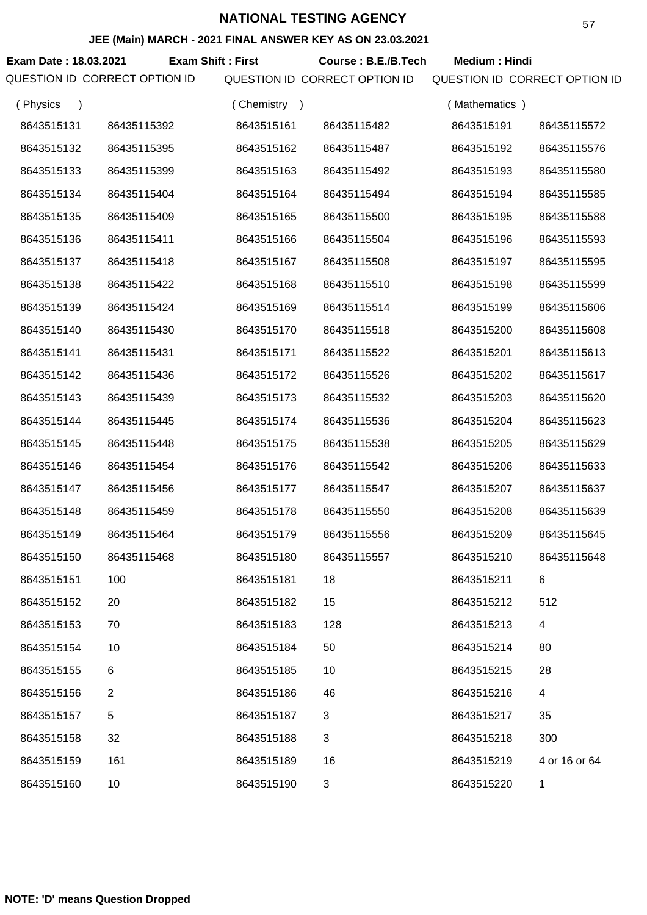### **JEE (Main) MARCH - 2021 FINAL ANSWER KEY AS ON 23.03.2021**

Exam Date : 18.03.2021 Exam Shift : First Course : B.E./B.Tech Medium : Hindi QUESTION ID CORRECT OPTION ID QUESTION ID CORRECT OPTION ID QUESTION ID CORRECT OPTION ID

| (Physics   |                | (Chemistry<br>$\rightarrow$ |             | (Mathematics) |                         |
|------------|----------------|-----------------------------|-------------|---------------|-------------------------|
| 8643515131 | 86435115392    | 8643515161                  | 86435115482 | 8643515191    | 86435115572             |
| 8643515132 | 86435115395    | 8643515162                  | 86435115487 | 8643515192    | 86435115576             |
| 8643515133 | 86435115399    | 8643515163                  | 86435115492 | 8643515193    | 86435115580             |
| 8643515134 | 86435115404    | 8643515164                  | 86435115494 | 8643515194    | 86435115585             |
| 8643515135 | 86435115409    | 8643515165                  | 86435115500 | 8643515195    | 86435115588             |
| 8643515136 | 86435115411    | 8643515166                  | 86435115504 | 8643515196    | 86435115593             |
| 8643515137 | 86435115418    | 8643515167                  | 86435115508 | 8643515197    | 86435115595             |
| 8643515138 | 86435115422    | 8643515168                  | 86435115510 | 8643515198    | 86435115599             |
| 8643515139 | 86435115424    | 8643515169                  | 86435115514 | 8643515199    | 86435115606             |
| 8643515140 | 86435115430    | 8643515170                  | 86435115518 | 8643515200    | 86435115608             |
| 8643515141 | 86435115431    | 8643515171                  | 86435115522 | 8643515201    | 86435115613             |
| 8643515142 | 86435115436    | 8643515172                  | 86435115526 | 8643515202    | 86435115617             |
| 8643515143 | 86435115439    | 8643515173                  | 86435115532 | 8643515203    | 86435115620             |
| 8643515144 | 86435115445    | 8643515174                  | 86435115536 | 8643515204    | 86435115623             |
| 8643515145 | 86435115448    | 8643515175                  | 86435115538 | 8643515205    | 86435115629             |
| 8643515146 | 86435115454    | 8643515176                  | 86435115542 | 8643515206    | 86435115633             |
| 8643515147 | 86435115456    | 8643515177                  | 86435115547 | 8643515207    | 86435115637             |
| 8643515148 | 86435115459    | 8643515178                  | 86435115550 | 8643515208    | 86435115639             |
| 8643515149 | 86435115464    | 8643515179                  | 86435115556 | 8643515209    | 86435115645             |
| 8643515150 | 86435115468    | 8643515180                  | 86435115557 | 8643515210    | 86435115648             |
| 8643515151 | 100            | 8643515181                  | 18          | 8643515211    | 6                       |
| 8643515152 | 20             | 8643515182                  | 15          | 8643515212    | 512                     |
| 8643515153 | 70             | 8643515183                  | 128         | 8643515213    | 4                       |
| 8643515154 | 10             | 8643515184                  | 50          | 8643515214    | 80                      |
| 8643515155 | 6              | 8643515185                  | 10          | 8643515215    | 28                      |
| 8643515156 | $\overline{2}$ | 8643515186                  | 46          | 8643515216    | $\overline{\mathbf{4}}$ |
| 8643515157 | 5              | 8643515187                  | 3           | 8643515217    | 35                      |
| 8643515158 | 32             | 8643515188                  | 3           | 8643515218    | 300                     |
| 8643515159 | 161            | 8643515189                  | 16          | 8643515219    | 4 or 16 or 64           |
| 8643515160 | 10             | 8643515190                  | 3           | 8643515220    | 1                       |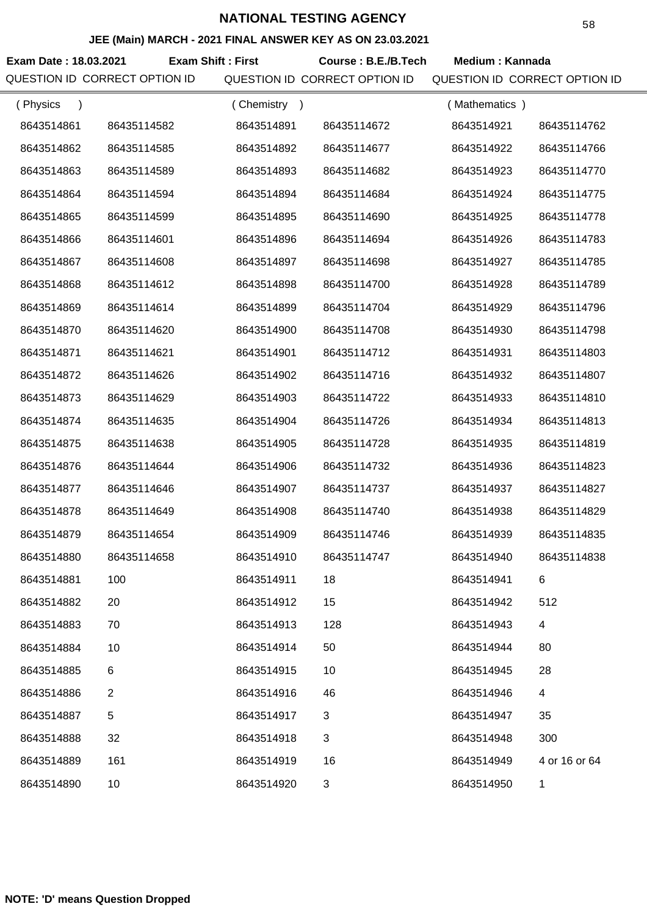### **JEE (Main) MARCH - 2021 FINAL ANSWER KEY AS ON 23.03.2021**

Exam Date : 18.03.2021 Exam Shift : First Course : B.E./B.Tech Medium : Kannada QUESTION ID CORRECT OPTION ID QUESTION ID CORRECT OPTION ID QUESTION ID CORRECT OPTION ID

| (Physics   |                | (Chemistry<br>$\rightarrow$ |             | (Mathematics) |               |
|------------|----------------|-----------------------------|-------------|---------------|---------------|
| 8643514861 | 86435114582    | 8643514891                  | 86435114672 | 8643514921    | 86435114762   |
| 8643514862 | 86435114585    | 8643514892                  | 86435114677 | 8643514922    | 86435114766   |
| 8643514863 | 86435114589    | 8643514893                  | 86435114682 | 8643514923    | 86435114770   |
| 8643514864 | 86435114594    | 8643514894                  | 86435114684 | 8643514924    | 86435114775   |
| 8643514865 | 86435114599    | 8643514895                  | 86435114690 | 8643514925    | 86435114778   |
| 8643514866 | 86435114601    | 8643514896                  | 86435114694 | 8643514926    | 86435114783   |
| 8643514867 | 86435114608    | 8643514897                  | 86435114698 | 8643514927    | 86435114785   |
| 8643514868 | 86435114612    | 8643514898                  | 86435114700 | 8643514928    | 86435114789   |
| 8643514869 | 86435114614    | 8643514899                  | 86435114704 | 8643514929    | 86435114796   |
| 8643514870 | 86435114620    | 8643514900                  | 86435114708 | 8643514930    | 86435114798   |
| 8643514871 | 86435114621    | 8643514901                  | 86435114712 | 8643514931    | 86435114803   |
| 8643514872 | 86435114626    | 8643514902                  | 86435114716 | 8643514932    | 86435114807   |
| 8643514873 | 86435114629    | 8643514903                  | 86435114722 | 8643514933    | 86435114810   |
| 8643514874 | 86435114635    | 8643514904                  | 86435114726 | 8643514934    | 86435114813   |
| 8643514875 | 86435114638    | 8643514905                  | 86435114728 | 8643514935    | 86435114819   |
| 8643514876 | 86435114644    | 8643514906                  | 86435114732 | 8643514936    | 86435114823   |
| 8643514877 | 86435114646    | 8643514907                  | 86435114737 | 8643514937    | 86435114827   |
| 8643514878 | 86435114649    | 8643514908                  | 86435114740 | 8643514938    | 86435114829   |
| 8643514879 | 86435114654    | 8643514909                  | 86435114746 | 8643514939    | 86435114835   |
| 8643514880 | 86435114658    | 8643514910                  | 86435114747 | 8643514940    | 86435114838   |
| 8643514881 | 100            | 8643514911                  | 18          | 8643514941    | 6             |
| 8643514882 | 20             | 8643514912                  | 15          | 8643514942    | 512           |
| 8643514883 | 70             | 8643514913                  | 128         | 8643514943    | 4             |
| 8643514884 | 10             | 8643514914                  | 50          | 8643514944    | 80            |
| 8643514885 | 6              | 8643514915                  | 10          | 8643514945    | 28            |
| 8643514886 | $\overline{2}$ | 8643514916                  | 46          | 8643514946    | 4             |
| 8643514887 | 5              | 8643514917                  | 3           | 8643514947    | 35            |
| 8643514888 | 32             | 8643514918                  | 3           | 8643514948    | 300           |
| 8643514889 | 161            | 8643514919                  | 16          | 8643514949    | 4 or 16 or 64 |
| 8643514890 | 10             | 8643514920                  | 3           | 8643514950    | 1             |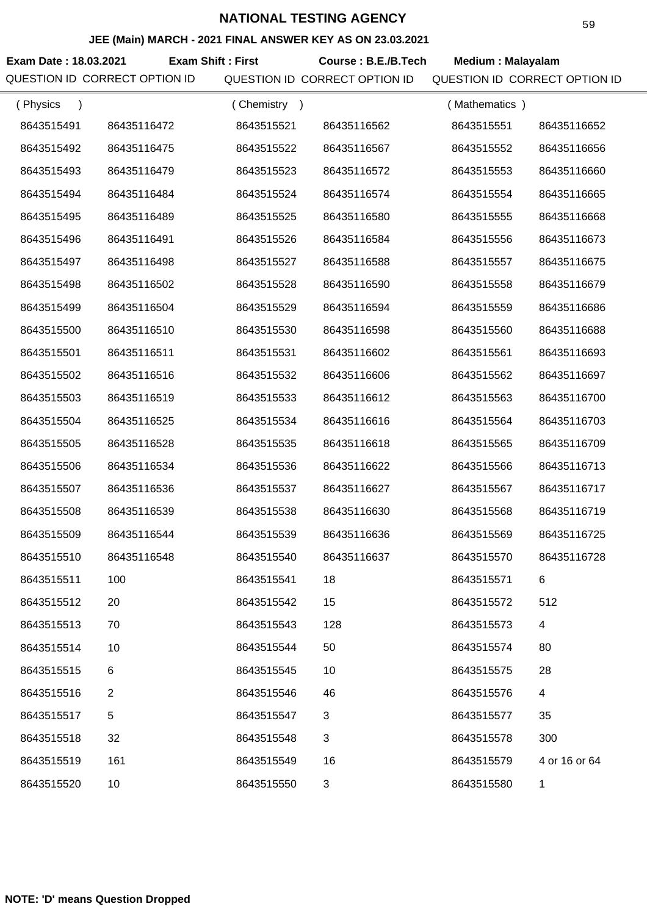### **JEE (Main) MARCH - 2021 FINAL ANSWER KEY AS ON 23.03.2021**

**Exam Date : 18.03.2021 Course : B.E./B.Tech Medium : Malayalam Exam Shift : First** QUESTION ID CORRECT OPTION ID QUESTION ID CORRECT OPTION ID QUESTION ID CORRECT OPTION ID

| (Physics<br>$\lambda$ |                | (Chemistry<br>$\rightarrow$ |             | (Mathematics) |                         |
|-----------------------|----------------|-----------------------------|-------------|---------------|-------------------------|
| 8643515491            | 86435116472    | 8643515521                  | 86435116562 | 8643515551    | 86435116652             |
| 8643515492            | 86435116475    | 8643515522                  | 86435116567 | 8643515552    | 86435116656             |
| 8643515493            | 86435116479    | 8643515523                  | 86435116572 | 8643515553    | 86435116660             |
| 8643515494            | 86435116484    | 8643515524                  | 86435116574 | 8643515554    | 86435116665             |
| 8643515495            | 86435116489    | 8643515525                  | 86435116580 | 8643515555    | 86435116668             |
| 8643515496            | 86435116491    | 8643515526                  | 86435116584 | 8643515556    | 86435116673             |
| 8643515497            | 86435116498    | 8643515527                  | 86435116588 | 8643515557    | 86435116675             |
| 8643515498            | 86435116502    | 8643515528                  | 86435116590 | 8643515558    | 86435116679             |
| 8643515499            | 86435116504    | 8643515529                  | 86435116594 | 8643515559    | 86435116686             |
| 8643515500            | 86435116510    | 8643515530                  | 86435116598 | 8643515560    | 86435116688             |
| 8643515501            | 86435116511    | 8643515531                  | 86435116602 | 8643515561    | 86435116693             |
| 8643515502            | 86435116516    | 8643515532                  | 86435116606 | 8643515562    | 86435116697             |
| 8643515503            | 86435116519    | 8643515533                  | 86435116612 | 8643515563    | 86435116700             |
| 8643515504            | 86435116525    | 8643515534                  | 86435116616 | 8643515564    | 86435116703             |
| 8643515505            | 86435116528    | 8643515535                  | 86435116618 | 8643515565    | 86435116709             |
| 8643515506            | 86435116534    | 8643515536                  | 86435116622 | 8643515566    | 86435116713             |
| 8643515507            | 86435116536    | 8643515537                  | 86435116627 | 8643515567    | 86435116717             |
| 8643515508            | 86435116539    | 8643515538                  | 86435116630 | 8643515568    | 86435116719             |
| 8643515509            | 86435116544    | 8643515539                  | 86435116636 | 8643515569    | 86435116725             |
| 8643515510            | 86435116548    | 8643515540                  | 86435116637 | 8643515570    | 86435116728             |
| 8643515511            | 100            | 8643515541                  | 18          | 8643515571    | 6                       |
| 8643515512            | 20             | 8643515542                  | 15          | 8643515572    | 512                     |
| 8643515513            | 70             | 8643515543                  | 128         | 8643515573    | $\overline{\mathbf{4}}$ |
| 8643515514            | 10             | 8643515544                  | 50          | 8643515574    | 80                      |
| 8643515515            | 6              | 8643515545                  | 10          | 8643515575    | 28                      |
| 8643515516            | $\overline{2}$ | 8643515546                  | 46          | 8643515576    | 4                       |
| 8643515517            | 5              | 8643515547                  | 3           | 8643515577    | 35                      |
| 8643515518            | 32             | 8643515548                  | 3           | 8643515578    | 300                     |
| 8643515519            | 161            | 8643515549                  | 16          | 8643515579    | 4 or 16 or 64           |
| 8643515520            | 10             | 8643515550                  | 3           | 8643515580    | 1                       |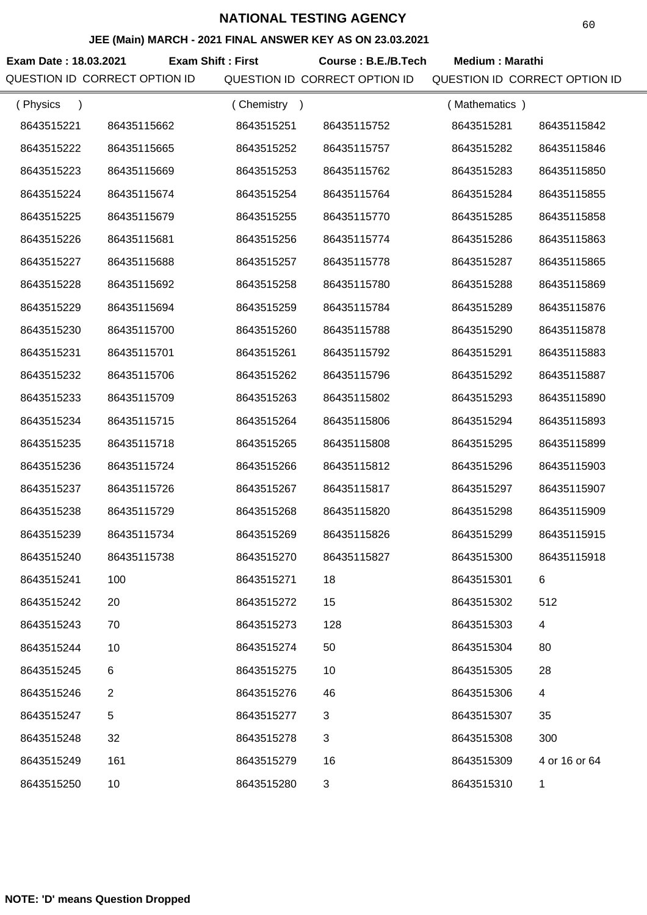### **JEE (Main) MARCH - 2021 FINAL ANSWER KEY AS ON 23.03.2021**

**Exam Date : 18.03.2021 Course : B.E./B.Tech Medium : Marathi Exam Shift : First** QUESTION ID CORRECT OPTION ID QUESTION ID CORRECT OPTION ID QUESTION ID CORRECT OPTION ID

| (Physics<br>$\lambda$ |                | (Chemistry) |              | (Mathematics) |               |
|-----------------------|----------------|-------------|--------------|---------------|---------------|
| 8643515221            | 86435115662    | 8643515251  | 86435115752  | 8643515281    | 86435115842   |
| 8643515222            | 86435115665    | 8643515252  | 86435115757  | 8643515282    | 86435115846   |
| 8643515223            | 86435115669    | 8643515253  | 86435115762  | 8643515283    | 86435115850   |
| 8643515224            | 86435115674    | 8643515254  | 86435115764  | 8643515284    | 86435115855   |
| 8643515225            | 86435115679    | 8643515255  | 86435115770  | 8643515285    | 86435115858   |
| 8643515226            | 86435115681    | 8643515256  | 86435115774  | 8643515286    | 86435115863   |
| 8643515227            | 86435115688    | 8643515257  | 86435115778  | 8643515287    | 86435115865   |
| 8643515228            | 86435115692    | 8643515258  | 86435115780  | 8643515288    | 86435115869   |
| 8643515229            | 86435115694    | 8643515259  | 86435115784  | 8643515289    | 86435115876   |
| 8643515230            | 86435115700    | 8643515260  | 86435115788  | 8643515290    | 86435115878   |
| 8643515231            | 86435115701    | 8643515261  | 86435115792  | 8643515291    | 86435115883   |
| 8643515232            | 86435115706    | 8643515262  | 86435115796  | 8643515292    | 86435115887   |
| 8643515233            | 86435115709    | 8643515263  | 86435115802  | 8643515293    | 86435115890   |
| 8643515234            | 86435115715    | 8643515264  | 86435115806  | 8643515294    | 86435115893   |
| 8643515235            | 86435115718    | 8643515265  | 86435115808  | 8643515295    | 86435115899   |
| 8643515236            | 86435115724    | 8643515266  | 86435115812  | 8643515296    | 86435115903   |
| 8643515237            | 86435115726    | 8643515267  | 86435115817  | 8643515297    | 86435115907   |
| 8643515238            | 86435115729    | 8643515268  | 86435115820  | 8643515298    | 86435115909   |
| 8643515239            | 86435115734    | 8643515269  | 86435115826  | 8643515299    | 86435115915   |
| 8643515240            | 86435115738    | 8643515270  | 86435115827  | 8643515300    | 86435115918   |
| 8643515241            | 100            | 8643515271  | 18           | 8643515301    | 6             |
| 8643515242            | 20             | 8643515272  | 15           | 8643515302    | 512           |
| 8643515243            | 70             | 8643515273  | 128          | 8643515303    | 4             |
| 8643515244            | 10             | 8643515274  | 50           | 8643515304    | 80            |
| 8643515245            | 6              | 8643515275  | 10           | 8643515305    | 28            |
| 8643515246            | $\overline{2}$ | 8643515276  | 46           | 8643515306    | 4             |
| 8643515247            | 5              | 8643515277  | $\mathbf{3}$ | 8643515307    | 35            |
| 8643515248            | 32             | 8643515278  | 3            | 8643515308    | 300           |
| 8643515249            | 161            | 8643515279  | 16           | 8643515309    | 4 or 16 or 64 |
| 8643515250            | 10             | 8643515280  | 3            | 8643515310    | $\mathbf{1}$  |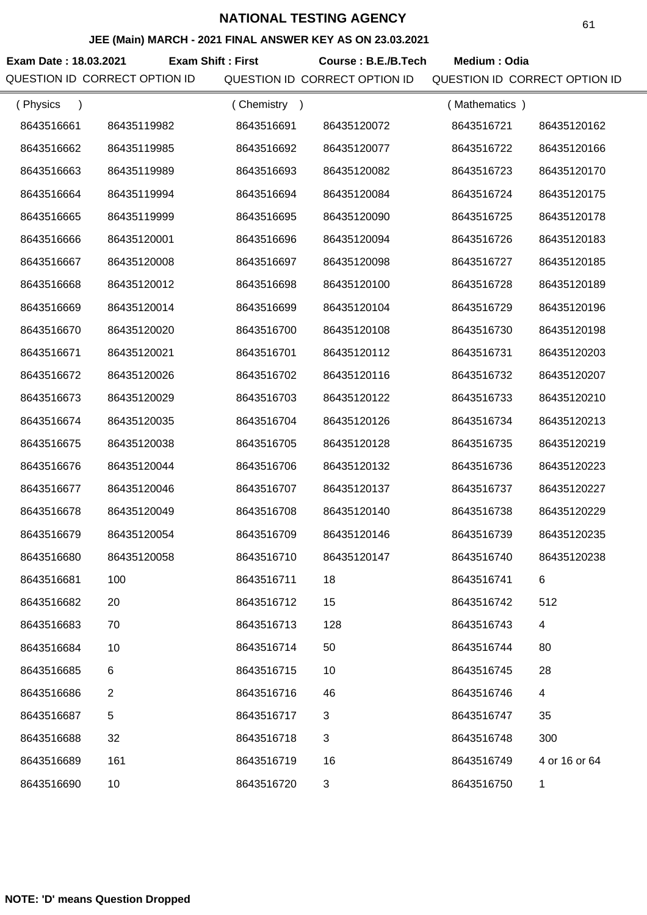## **JEE (Main) MARCH - 2021 FINAL ANSWER KEY AS ON 23.03.2021**

**Exam Date : 18.03.2021 Course : B.E./B.Tech Medium : Odia Exam Shift : First**

QUESTION ID CORRECT OPTION ID QUESTION ID CORRECT OPTION ID QUESTION ID CORRECT OPTION ID

| (Physics   |              | (Chemistry) |             | (Mathematics) |               |
|------------|--------------|-------------|-------------|---------------|---------------|
| 8643516661 | 86435119982  | 8643516691  | 86435120072 | 8643516721    | 86435120162   |
| 8643516662 | 86435119985  | 8643516692  | 86435120077 | 8643516722    | 86435120166   |
| 8643516663 | 86435119989  | 8643516693  | 86435120082 | 8643516723    | 86435120170   |
| 8643516664 | 86435119994  | 8643516694  | 86435120084 | 8643516724    | 86435120175   |
| 8643516665 | 86435119999  | 8643516695  | 86435120090 | 8643516725    | 86435120178   |
| 8643516666 | 86435120001  | 8643516696  | 86435120094 | 8643516726    | 86435120183   |
| 8643516667 | 86435120008  | 8643516697  | 86435120098 | 8643516727    | 86435120185   |
| 8643516668 | 86435120012  | 8643516698  | 86435120100 | 8643516728    | 86435120189   |
| 8643516669 | 86435120014  | 8643516699  | 86435120104 | 8643516729    | 86435120196   |
| 8643516670 | 86435120020  | 8643516700  | 86435120108 | 8643516730    | 86435120198   |
| 8643516671 | 86435120021  | 8643516701  | 86435120112 | 8643516731    | 86435120203   |
| 8643516672 | 86435120026  | 8643516702  | 86435120116 | 8643516732    | 86435120207   |
| 8643516673 | 86435120029  | 8643516703  | 86435120122 | 8643516733    | 86435120210   |
| 8643516674 | 86435120035  | 8643516704  | 86435120126 | 8643516734    | 86435120213   |
| 8643516675 | 86435120038  | 8643516705  | 86435120128 | 8643516735    | 86435120219   |
| 8643516676 | 86435120044  | 8643516706  | 86435120132 | 8643516736    | 86435120223   |
| 8643516677 | 86435120046  | 8643516707  | 86435120137 | 8643516737    | 86435120227   |
| 8643516678 | 86435120049  | 8643516708  | 86435120140 | 8643516738    | 86435120229   |
| 8643516679 | 86435120054  | 8643516709  | 86435120146 | 8643516739    | 86435120235   |
| 8643516680 | 86435120058  | 8643516710  | 86435120147 | 8643516740    | 86435120238   |
| 8643516681 | 100          | 8643516711  | 18          | 8643516741    | 6.            |
| 8643516682 | 20           | 8643516712  | 15          | 8643516742    | 512           |
| 8643516683 | 70           | 8643516713  | 128         | 8643516743    | 4             |
| 8643516684 | 10           | 8643516714  | 50          | 8643516744    | 80            |
| 8643516685 | 6            | 8643516715  | 10          | 8643516745    | 28            |
| 8643516686 | $\mathbf{2}$ | 8643516716  | 46          | 8643516746    | 4             |
| 8643516687 | $\sqrt{5}$   | 8643516717  | 3           | 8643516747    | 35            |
| 8643516688 | 32           | 8643516718  | 3           | 8643516748    | 300           |
| 8643516689 | 161          | 8643516719  | 16          | 8643516749    | 4 or 16 or 64 |
| 8643516690 | 10           | 8643516720  | 3           | 8643516750    | 1             |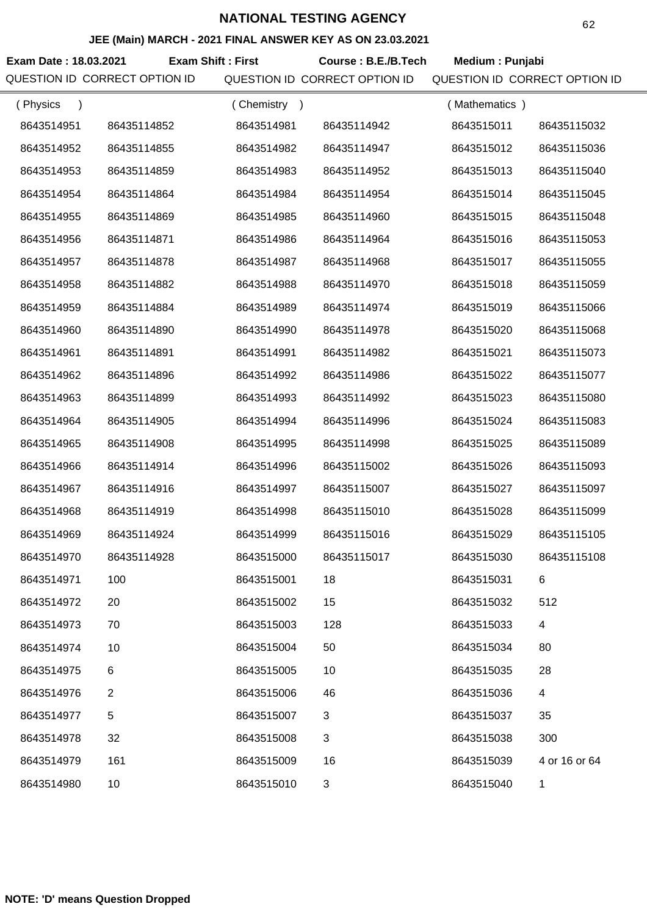## **JEE (Main) MARCH - 2021 FINAL ANSWER KEY AS ON 23.03.2021**

**Exam Date : 18.03.2021 Course : B.E./B.Tech Medium : Punjabi Exam Shift : First** QUESTION ID CORRECT OPTION ID QUESTION ID CORRECT OPTION ID QUESTION ID CORRECT OPTION ID

| (Physics<br>$\lambda$ |                | (Chemistry) |              | (Mathematics) |               |
|-----------------------|----------------|-------------|--------------|---------------|---------------|
| 8643514951            | 86435114852    | 8643514981  | 86435114942  | 8643515011    | 86435115032   |
| 8643514952            | 86435114855    | 8643514982  | 86435114947  | 8643515012    | 86435115036   |
| 8643514953            | 86435114859    | 8643514983  | 86435114952  | 8643515013    | 86435115040   |
| 8643514954            | 86435114864    | 8643514984  | 86435114954  | 8643515014    | 86435115045   |
| 8643514955            | 86435114869    | 8643514985  | 86435114960  | 8643515015    | 86435115048   |
| 8643514956            | 86435114871    | 8643514986  | 86435114964  | 8643515016    | 86435115053   |
| 8643514957            | 86435114878    | 8643514987  | 86435114968  | 8643515017    | 86435115055   |
| 8643514958            | 86435114882    | 8643514988  | 86435114970  | 8643515018    | 86435115059   |
| 8643514959            | 86435114884    | 8643514989  | 86435114974  | 8643515019    | 86435115066   |
| 8643514960            | 86435114890    | 8643514990  | 86435114978  | 8643515020    | 86435115068   |
| 8643514961            | 86435114891    | 8643514991  | 86435114982  | 8643515021    | 86435115073   |
| 8643514962            | 86435114896    | 8643514992  | 86435114986  | 8643515022    | 86435115077   |
| 8643514963            | 86435114899    | 8643514993  | 86435114992  | 8643515023    | 86435115080   |
| 8643514964            | 86435114905    | 8643514994  | 86435114996  | 8643515024    | 86435115083   |
| 8643514965            | 86435114908    | 8643514995  | 86435114998  | 8643515025    | 86435115089   |
| 8643514966            | 86435114914    | 8643514996  | 86435115002  | 8643515026    | 86435115093   |
| 8643514967            | 86435114916    | 8643514997  | 86435115007  | 8643515027    | 86435115097   |
| 8643514968            | 86435114919    | 8643514998  | 86435115010  | 8643515028    | 86435115099   |
| 8643514969            | 86435114924    | 8643514999  | 86435115016  | 8643515029    | 86435115105   |
| 8643514970            | 86435114928    | 8643515000  | 86435115017  | 8643515030    | 86435115108   |
| 8643514971            | 100            | 8643515001  | 18           | 8643515031    | 6             |
| 8643514972            | 20             | 8643515002  | 15           | 8643515032    | 512           |
| 8643514973            | 70             | 8643515003  | 128          | 8643515033    | 4             |
| 8643514974            | 10             | 8643515004  | 50           | 8643515034    | 80            |
| 8643514975            | 6              | 8643515005  | 10           | 8643515035    | 28            |
| 8643514976            | $\overline{2}$ | 8643515006  | 46           | 8643515036    | 4             |
| 8643514977            | $\,$ 5 $\,$    | 8643515007  | $\mathbf{3}$ | 8643515037    | 35            |
| 8643514978            | 32             | 8643515008  | $\mathbf{3}$ | 8643515038    | 300           |
| 8643514979            | 161            | 8643515009  | 16           | 8643515039    | 4 or 16 or 64 |
| 8643514980            | 10             | 8643515010  | 3            | 8643515040    | 1             |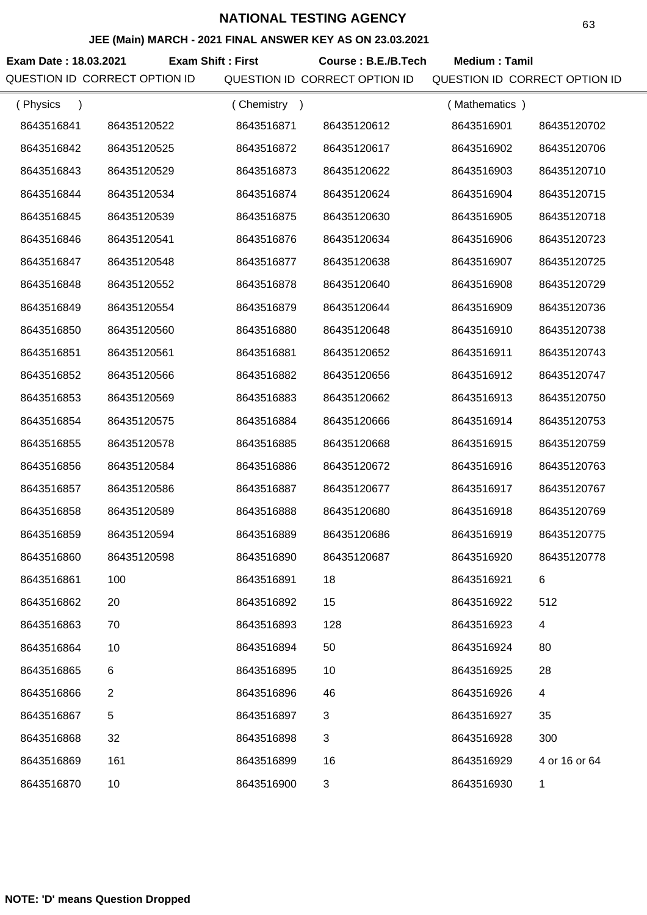### **JEE (Main) MARCH - 2021 FINAL ANSWER KEY AS ON 23.03.2021**

**Exam Date : 18.03.2021 Course : B.E./B.Tech Medium : Tamil Exam Shift : First** QUESTION ID CORRECT OPTION ID QUESTION ID CORRECT OPTION ID QUESTION ID CORRECT OPTION ID

| (Physics<br>$\lambda$ |             | Chemistry<br>$\rightarrow$ |             | (Mathematics) |               |
|-----------------------|-------------|----------------------------|-------------|---------------|---------------|
| 8643516841            | 86435120522 | 8643516871                 | 86435120612 | 8643516901    | 86435120702   |
| 8643516842            | 86435120525 | 8643516872                 | 86435120617 | 8643516902    | 86435120706   |
| 8643516843            | 86435120529 | 8643516873                 | 86435120622 | 8643516903    | 86435120710   |
| 8643516844            | 86435120534 | 8643516874                 | 86435120624 | 8643516904    | 86435120715   |
| 8643516845            | 86435120539 | 8643516875                 | 86435120630 | 8643516905    | 86435120718   |
| 8643516846            | 86435120541 | 8643516876                 | 86435120634 | 8643516906    | 86435120723   |
| 8643516847            | 86435120548 | 8643516877                 | 86435120638 | 8643516907    | 86435120725   |
| 8643516848            | 86435120552 | 8643516878                 | 86435120640 | 8643516908    | 86435120729   |
| 8643516849            | 86435120554 | 8643516879                 | 86435120644 | 8643516909    | 86435120736   |
| 8643516850            | 86435120560 | 8643516880                 | 86435120648 | 8643516910    | 86435120738   |
| 8643516851            | 86435120561 | 8643516881                 | 86435120652 | 8643516911    | 86435120743   |
| 8643516852            | 86435120566 | 8643516882                 | 86435120656 | 8643516912    | 86435120747   |
| 8643516853            | 86435120569 | 8643516883                 | 86435120662 | 8643516913    | 86435120750   |
| 8643516854            | 86435120575 | 8643516884                 | 86435120666 | 8643516914    | 86435120753   |
| 8643516855            | 86435120578 | 8643516885                 | 86435120668 | 8643516915    | 86435120759   |
| 8643516856            | 86435120584 | 8643516886                 | 86435120672 | 8643516916    | 86435120763   |
| 8643516857            | 86435120586 | 8643516887                 | 86435120677 | 8643516917    | 86435120767   |
| 8643516858            | 86435120589 | 8643516888                 | 86435120680 | 8643516918    | 86435120769   |
| 8643516859            | 86435120594 | 8643516889                 | 86435120686 | 8643516919    | 86435120775   |
| 8643516860            | 86435120598 | 8643516890                 | 86435120687 | 8643516920    | 86435120778   |
| 8643516861            | 100         | 8643516891                 | 18          | 8643516921    |               |
| 8643516862            | 20          | 8643516892                 | 15          | 8643516922    | 512           |
| 8643516863            | 70          | 8643516893                 | 128         | 8643516923    | 4             |
| 8643516864            | 10          | 8643516894                 | 50          | 8643516924    | 80            |
| 8643516865            | 6           | 8643516895                 | 10          | 8643516925    | 28            |
| 8643516866            | 2           | 8643516896                 | 46          | 8643516926    | 4             |
| 8643516867            | 5           | 8643516897                 | 3           | 8643516927    | 35            |
| 8643516868            | 32          | 8643516898                 | 3           | 8643516928    | 300           |
| 8643516869            | 161         | 8643516899                 | 16          | 8643516929    | 4 or 16 or 64 |
| 8643516870            | 10          | 8643516900                 | 3           | 8643516930    | 1             |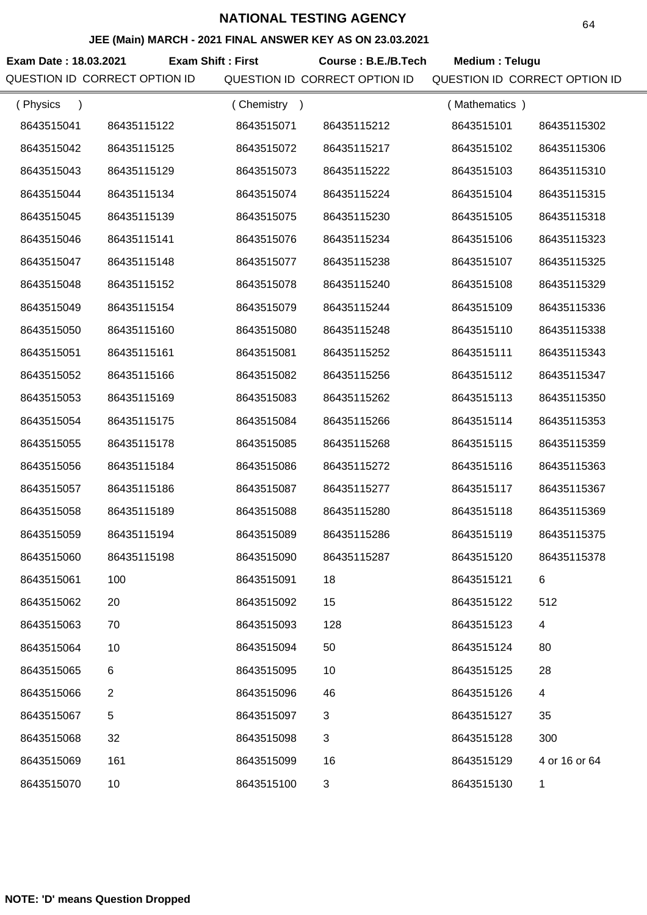## **JEE (Main) MARCH - 2021 FINAL ANSWER KEY AS ON 23.03.2021**

**Exam Date : 18.03.2021 Course : B.E./B.Tech Medium : Telugu Exam Shift : First** QUESTION ID CORRECT OPTION ID QUESTION ID CORRECT OPTION ID QUESTION ID CORRECT OPTION ID

| (Physics   |                | (Chemistry<br>$\rightarrow$ |             | (Mathematics) |                          |
|------------|----------------|-----------------------------|-------------|---------------|--------------------------|
| 8643515041 | 86435115122    | 8643515071                  | 86435115212 | 8643515101    | 86435115302              |
| 8643515042 | 86435115125    | 8643515072                  | 86435115217 | 8643515102    | 86435115306              |
| 8643515043 | 86435115129    | 8643515073                  | 86435115222 | 8643515103    | 86435115310              |
| 8643515044 | 86435115134    | 8643515074                  | 86435115224 | 8643515104    | 86435115315              |
| 8643515045 | 86435115139    | 8643515075                  | 86435115230 | 8643515105    | 86435115318              |
| 8643515046 | 86435115141    | 8643515076                  | 86435115234 | 8643515106    | 86435115323              |
| 8643515047 | 86435115148    | 8643515077                  | 86435115238 | 8643515107    | 86435115325              |
| 8643515048 | 86435115152    | 8643515078                  | 86435115240 | 8643515108    | 86435115329              |
| 8643515049 | 86435115154    | 8643515079                  | 86435115244 | 8643515109    | 86435115336              |
| 8643515050 | 86435115160    | 8643515080                  | 86435115248 | 8643515110    | 86435115338              |
| 8643515051 | 86435115161    | 8643515081                  | 86435115252 | 8643515111    | 86435115343              |
| 8643515052 | 86435115166    | 8643515082                  | 86435115256 | 8643515112    | 86435115347              |
| 8643515053 | 86435115169    | 8643515083                  | 86435115262 | 8643515113    | 86435115350              |
| 8643515054 | 86435115175    | 8643515084                  | 86435115266 | 8643515114    | 86435115353              |
| 8643515055 | 86435115178    | 8643515085                  | 86435115268 | 8643515115    | 86435115359              |
| 8643515056 | 86435115184    | 8643515086                  | 86435115272 | 8643515116    | 86435115363              |
| 8643515057 | 86435115186    | 8643515087                  | 86435115277 | 8643515117    | 86435115367              |
| 8643515058 | 86435115189    | 8643515088                  | 86435115280 | 8643515118    | 86435115369              |
| 8643515059 | 86435115194    | 8643515089                  | 86435115286 | 8643515119    | 86435115375              |
| 8643515060 | 86435115198    | 8643515090                  | 86435115287 | 8643515120    | 86435115378              |
| 8643515061 | 100            | 8643515091                  | 18          | 8643515121    | 6                        |
| 8643515062 | 20             | 8643515092                  | 15          | 8643515122    | 512                      |
| 8643515063 | 70             | 8643515093                  | 128         | 8643515123    | 4                        |
| 8643515064 | 10             | 8643515094                  | 50          | 8643515124    | 80                       |
| 8643515065 | 6              | 8643515095                  | 10          | 8643515125    | 28                       |
| 8643515066 | $\overline{2}$ | 8643515096                  | 46          | 8643515126    | $\overline{\mathcal{A}}$ |
| 8643515067 | 5              | 8643515097                  | 3           | 8643515127    | 35                       |
| 8643515068 | 32             | 8643515098                  | 3           | 8643515128    | 300                      |
| 8643515069 | 161            | 8643515099                  | 16          | 8643515129    | 4 or 16 or 64            |
| 8643515070 | 10             | 8643515100                  | 3           | 8643515130    | 1                        |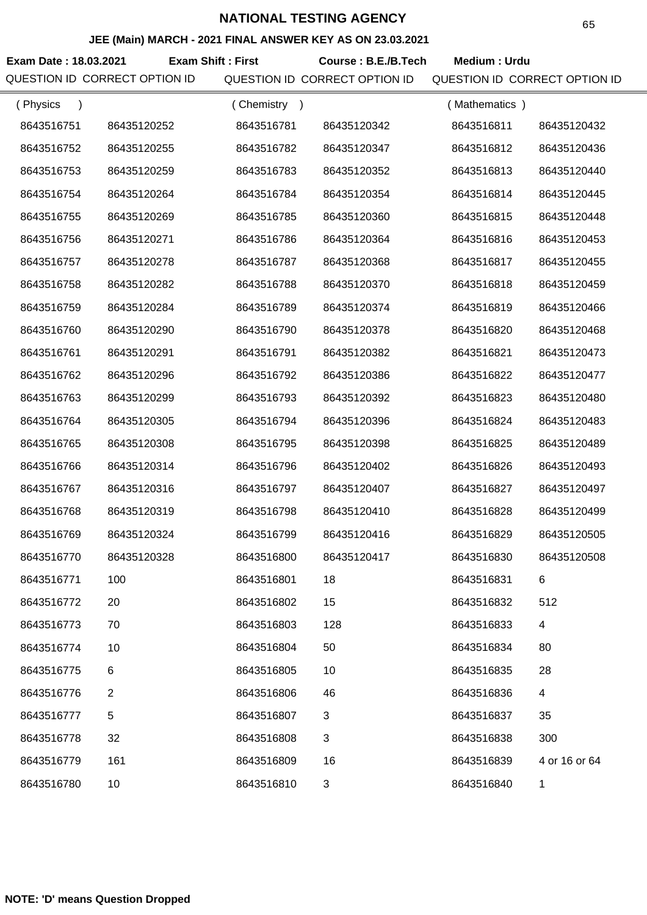### **JEE (Main) MARCH - 2021 FINAL ANSWER KEY AS ON 23.03.2021**

**Exam Date : 18.03.2021 Course : B.E./B.Tech Medium : Urdu Exam Shift : First**

QUESTION ID CORRECT OPTION ID QUESTION ID CORRECT OPTION ID QUESTION ID CORRECT OPTION ID

| (Physics<br>$\lambda$ |                | Chemistry<br>$\rightarrow$ |                | (Mathematics) |                |
|-----------------------|----------------|----------------------------|----------------|---------------|----------------|
| 8643516751            | 86435120252    | 8643516781                 | 86435120342    | 8643516811    | 86435120432    |
| 8643516752            | 86435120255    | 8643516782                 | 86435120347    | 8643516812    | 86435120436    |
| 8643516753            | 86435120259    | 8643516783                 | 86435120352    | 8643516813    | 86435120440    |
| 8643516754            | 86435120264    | 8643516784                 | 86435120354    | 8643516814    | 86435120445    |
| 8643516755            | 86435120269    | 8643516785                 | 86435120360    | 8643516815    | 86435120448    |
| 8643516756            | 86435120271    | 8643516786                 | 86435120364    | 8643516816    | 86435120453    |
| 8643516757            | 86435120278    | 8643516787                 | 86435120368    | 8643516817    | 86435120455    |
| 8643516758            | 86435120282    | 8643516788                 | 86435120370    | 8643516818    | 86435120459    |
| 8643516759            | 86435120284    | 8643516789                 | 86435120374    | 8643516819    | 86435120466    |
| 8643516760            | 86435120290    | 8643516790                 | 86435120378    | 8643516820    | 86435120468    |
| 8643516761            | 86435120291    | 8643516791                 | 86435120382    | 8643516821    | 86435120473    |
| 8643516762            | 86435120296    | 8643516792                 | 86435120386    | 8643516822    | 86435120477    |
| 8643516763            | 86435120299    | 8643516793                 | 86435120392    | 8643516823    | 86435120480    |
| 8643516764            | 86435120305    | 8643516794                 | 86435120396    | 8643516824    | 86435120483    |
| 8643516765            | 86435120308    | 8643516795                 | 86435120398    | 8643516825    | 86435120489    |
| 8643516766            | 86435120314    | 8643516796                 | 86435120402    | 8643516826    | 86435120493    |
| 8643516767            | 86435120316    | 8643516797                 | 86435120407    | 8643516827    | 86435120497    |
| 8643516768            | 86435120319    | 8643516798                 | 86435120410    | 8643516828    | 86435120499    |
| 8643516769            | 86435120324    | 8643516799                 | 86435120416    | 8643516829    | 86435120505    |
| 8643516770            | 86435120328    | 8643516800                 | 86435120417    | 8643516830    | 86435120508    |
| 8643516771            | 100            | 8643516801                 | 18             | 8643516831    | 6              |
| 8643516772            | 20             | 8643516802                 | 15             | 8643516832    | 512            |
| 8643516773            | 70             | 8643516803                 | 128            | 8643516833    | $\overline{4}$ |
| 8643516774            | 10             | 8643516804                 | 50             | 8643516834    | 80             |
| 8643516775            | 6              | 8643516805                 | 10             | 8643516835    | 28             |
| 8643516776            | $\overline{2}$ | 8643516806                 | 46             | 8643516836    | 4              |
| 8643516777            | 5              | 8643516807                 | $\mathfrak{B}$ | 8643516837    | 35             |
| 8643516778            | 32             | 8643516808                 | 3              | 8643516838    | 300            |
| 8643516779            | 161            | 8643516809                 | 16             | 8643516839    | 4 or 16 or 64  |
| 8643516780            | 10             | 8643516810                 | 3              | 8643516840    | $\mathbf 1$    |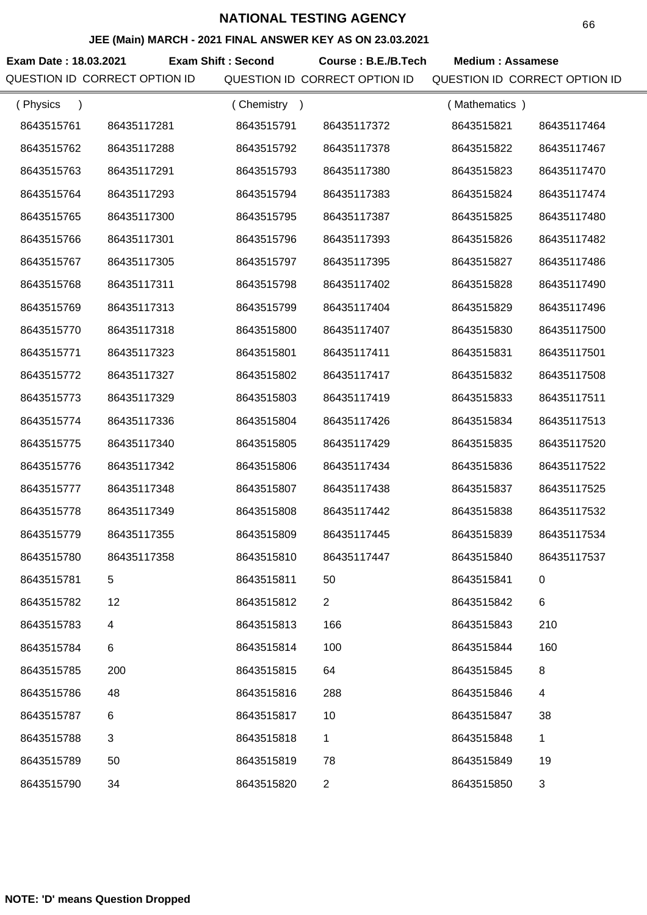### **JEE (Main) MARCH - 2021 FINAL ANSWER KEY AS ON 23.03.2021**

**Exam Date : 18.03.2021 Exam Shift : Second Course : B.E./B.Tech Medium : Assamese** QUESTION ID CORRECT OPTION ID QUESTION ID CORRECT OPTION ID QUESTION ID CORRECT OPTION ID

| (Physics   |             | (Chemistry) |                | (Mathematics) |             |
|------------|-------------|-------------|----------------|---------------|-------------|
| 8643515761 | 86435117281 | 8643515791  | 86435117372    | 8643515821    | 86435117464 |
| 8643515762 | 86435117288 | 8643515792  | 86435117378    | 8643515822    | 86435117467 |
| 8643515763 | 86435117291 | 8643515793  | 86435117380    | 8643515823    | 86435117470 |
| 8643515764 | 86435117293 | 8643515794  | 86435117383    | 8643515824    | 86435117474 |
| 8643515765 | 86435117300 | 8643515795  | 86435117387    | 8643515825    | 86435117480 |
| 8643515766 | 86435117301 | 8643515796  | 86435117393    | 8643515826    | 86435117482 |
| 8643515767 | 86435117305 | 8643515797  | 86435117395    | 8643515827    | 86435117486 |
| 8643515768 | 86435117311 | 8643515798  | 86435117402    | 8643515828    | 86435117490 |
| 8643515769 | 86435117313 | 8643515799  | 86435117404    | 8643515829    | 86435117496 |
| 8643515770 | 86435117318 | 8643515800  | 86435117407    | 8643515830    | 86435117500 |
| 8643515771 | 86435117323 | 8643515801  | 86435117411    | 8643515831    | 86435117501 |
| 8643515772 | 86435117327 | 8643515802  | 86435117417    | 8643515832    | 86435117508 |
| 8643515773 | 86435117329 | 8643515803  | 86435117419    | 8643515833    | 86435117511 |
| 8643515774 | 86435117336 | 8643515804  | 86435117426    | 8643515834    | 86435117513 |
| 8643515775 | 86435117340 | 8643515805  | 86435117429    | 8643515835    | 86435117520 |
| 8643515776 | 86435117342 | 8643515806  | 86435117434    | 8643515836    | 86435117522 |
| 8643515777 | 86435117348 | 8643515807  | 86435117438    | 8643515837    | 86435117525 |
| 8643515778 | 86435117349 | 8643515808  | 86435117442    | 8643515838    | 86435117532 |
| 8643515779 | 86435117355 | 8643515809  | 86435117445    | 8643515839    | 86435117534 |
| 8643515780 | 86435117358 | 8643515810  | 86435117447    | 8643515840    | 86435117537 |
| 8643515781 | 5           | 8643515811  | 50             | 8643515841    | 0           |
| 8643515782 | 12          | 8643515812  | $\overline{2}$ | 8643515842    | 6           |
| 8643515783 | 4           | 8643515813  | 166            | 8643515843    | 210         |
| 8643515784 | 6           | 8643515814  | 100            | 8643515844    | 160         |
| 8643515785 | 200         | 8643515815  | 64             | 8643515845    | 8           |
| 8643515786 | 48          | 8643515816  | 288            | 8643515846    | 4           |
| 8643515787 | 6           | 8643515817  | 10             | 8643515847    | 38          |
| 8643515788 | 3           | 8643515818  | 1              | 8643515848    | 1           |
| 8643515789 | 50          | 8643515819  | 78             | 8643515849    | 19          |
| 8643515790 | 34          | 8643515820  | $\overline{2}$ | 8643515850    | 3           |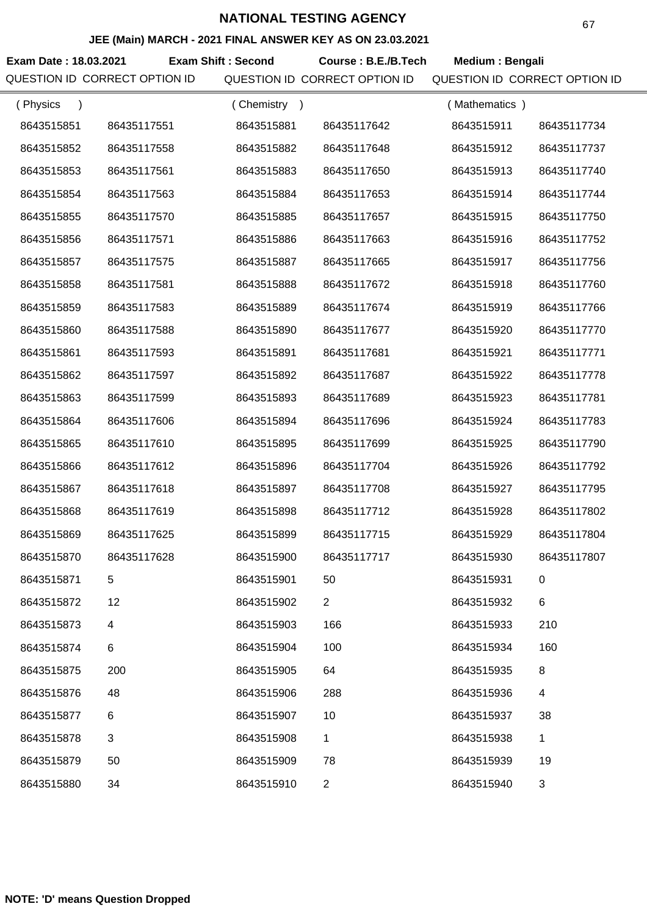## **JEE (Main) MARCH - 2021 FINAL ANSWER KEY AS ON 23.03.2021**

**Exam Date : 18.03.2021 Course : B.E./B.Tech Medium : Bengali Exam Shift : Second** QUESTION ID CORRECT OPTION ID QUESTION ID CORRECT OPTION ID QUESTION ID CORRECT OPTION ID

| (Physics   |                | (Chemistry<br>$\rightarrow$ |                | (Mathematics) |             |
|------------|----------------|-----------------------------|----------------|---------------|-------------|
| 8643515851 | 86435117551    | 8643515881                  | 86435117642    | 8643515911    | 86435117734 |
| 8643515852 | 86435117558    | 8643515882                  | 86435117648    | 8643515912    | 86435117737 |
| 8643515853 | 86435117561    | 8643515883                  | 86435117650    | 8643515913    | 86435117740 |
| 8643515854 | 86435117563    | 8643515884                  | 86435117653    | 8643515914    | 86435117744 |
| 8643515855 | 86435117570    | 8643515885                  | 86435117657    | 8643515915    | 86435117750 |
| 8643515856 | 86435117571    | 8643515886                  | 86435117663    | 8643515916    | 86435117752 |
| 8643515857 | 86435117575    | 8643515887                  | 86435117665    | 8643515917    | 86435117756 |
| 8643515858 | 86435117581    | 8643515888                  | 86435117672    | 8643515918    | 86435117760 |
| 8643515859 | 86435117583    | 8643515889                  | 86435117674    | 8643515919    | 86435117766 |
| 8643515860 | 86435117588    | 8643515890                  | 86435117677    | 8643515920    | 86435117770 |
| 8643515861 | 86435117593    | 8643515891                  | 86435117681    | 8643515921    | 86435117771 |
| 8643515862 | 86435117597    | 8643515892                  | 86435117687    | 8643515922    | 86435117778 |
| 8643515863 | 86435117599    | 8643515893                  | 86435117689    | 8643515923    | 86435117781 |
| 8643515864 | 86435117606    | 8643515894                  | 86435117696    | 8643515924    | 86435117783 |
| 8643515865 | 86435117610    | 8643515895                  | 86435117699    | 8643515925    | 86435117790 |
| 8643515866 | 86435117612    | 8643515896                  | 86435117704    | 8643515926    | 86435117792 |
| 8643515867 | 86435117618    | 8643515897                  | 86435117708    | 8643515927    | 86435117795 |
| 8643515868 | 86435117619    | 8643515898                  | 86435117712    | 8643515928    | 86435117802 |
| 8643515869 | 86435117625    | 8643515899                  | 86435117715    | 8643515929    | 86435117804 |
| 8643515870 | 86435117628    | 8643515900                  | 86435117717    | 8643515930    | 86435117807 |
| 8643515871 | 5              | 8643515901                  | 50             | 8643515931    | 0           |
| 8643515872 | 12             | 8643515902                  | $\overline{2}$ | 8643515932    | 6           |
| 8643515873 | 4              | 8643515903                  | 166            | 8643515933    | 210         |
| 8643515874 | 6              | 8643515904                  | 100            | 8643515934    | 160         |
| 8643515875 | 200            | 8643515905                  | 64             | 8643515935    | 8           |
| 8643515876 | 48             | 8643515906                  | 288            | 8643515936    | 4           |
| 8643515877 | 6              | 8643515907                  | 10             | 8643515937    | 38          |
| 8643515878 | $\mathfrak{B}$ | 8643515908                  | $\mathbf{1}$   | 8643515938    | $\mathbf 1$ |
| 8643515879 | 50             | 8643515909                  | 78             | 8643515939    | 19          |
| 8643515880 | 34             | 8643515910                  | $\overline{2}$ | 8643515940    | 3           |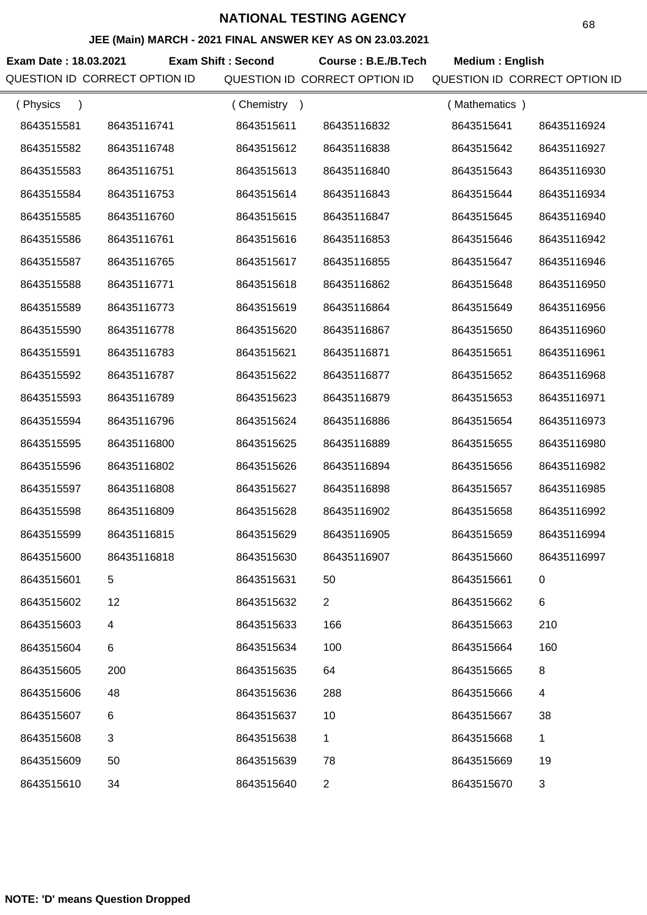## **JEE (Main) MARCH - 2021 FINAL ANSWER KEY AS ON 23.03.2021**

**Exam Date : 18.03.2021 Course : B.E./B.Tech Medium : English Exam Shift : Second** QUESTION ID CORRECT OPTION ID QUESTION ID CORRECT OPTION ID QUESTION ID CORRECT OPTION ID

| (Physics   |             | (Chemistry<br>$\rightarrow$ |                | Mathematics ) |             |
|------------|-------------|-----------------------------|----------------|---------------|-------------|
| 8643515581 | 86435116741 | 8643515611                  | 86435116832    | 8643515641    | 86435116924 |
| 8643515582 | 86435116748 | 8643515612                  | 86435116838    | 8643515642    | 86435116927 |
| 8643515583 | 86435116751 | 8643515613                  | 86435116840    | 8643515643    | 86435116930 |
| 8643515584 | 86435116753 | 8643515614                  | 86435116843    | 8643515644    | 86435116934 |
| 8643515585 | 86435116760 | 8643515615                  | 86435116847    | 8643515645    | 86435116940 |
| 8643515586 | 86435116761 | 8643515616                  | 86435116853    | 8643515646    | 86435116942 |
| 8643515587 | 86435116765 | 8643515617                  | 86435116855    | 8643515647    | 86435116946 |
| 8643515588 | 86435116771 | 8643515618                  | 86435116862    | 8643515648    | 86435116950 |
| 8643515589 | 86435116773 | 8643515619                  | 86435116864    | 8643515649    | 86435116956 |
| 8643515590 | 86435116778 | 8643515620                  | 86435116867    | 8643515650    | 86435116960 |
| 8643515591 | 86435116783 | 8643515621                  | 86435116871    | 8643515651    | 86435116961 |
| 8643515592 | 86435116787 | 8643515622                  | 86435116877    | 8643515652    | 86435116968 |
| 8643515593 | 86435116789 | 8643515623                  | 86435116879    | 8643515653    | 86435116971 |
| 8643515594 | 86435116796 | 8643515624                  | 86435116886    | 8643515654    | 86435116973 |
| 8643515595 | 86435116800 | 8643515625                  | 86435116889    | 8643515655    | 86435116980 |
| 8643515596 | 86435116802 | 8643515626                  | 86435116894    | 8643515656    | 86435116982 |
| 8643515597 | 86435116808 | 8643515627                  | 86435116898    | 8643515657    | 86435116985 |
| 8643515598 | 86435116809 | 8643515628                  | 86435116902    | 8643515658    | 86435116992 |
| 8643515599 | 86435116815 | 8643515629                  | 86435116905    | 8643515659    | 86435116994 |
| 8643515600 | 86435116818 | 8643515630                  | 86435116907    | 8643515660    | 86435116997 |
| 8643515601 | 5           | 8643515631                  | 50             | 8643515661    | 0           |
| 8643515602 | 12          | 8643515632                  | 2              | 8643515662    | $\,6$       |
| 8643515603 | 4           | 8643515633                  | 166            | 8643515663    | 210         |
| 8643515604 | 6           | 8643515634                  | 100            | 8643515664    | 160         |
| 8643515605 | 200         | 8643515635                  | 64             | 8643515665    | 8           |
| 8643515606 | 48          | 8643515636                  | 288            | 8643515666    | 4           |
| 8643515607 | 6           | 8643515637                  | 10             | 8643515667    | 38          |
| 8643515608 | 3           | 8643515638                  | 1              | 8643515668    | 1           |
| 8643515609 | 50          | 8643515639                  | 78             | 8643515669    | 19          |
| 8643515610 | 34          | 8643515640                  | $\overline{c}$ | 8643515670    | 3           |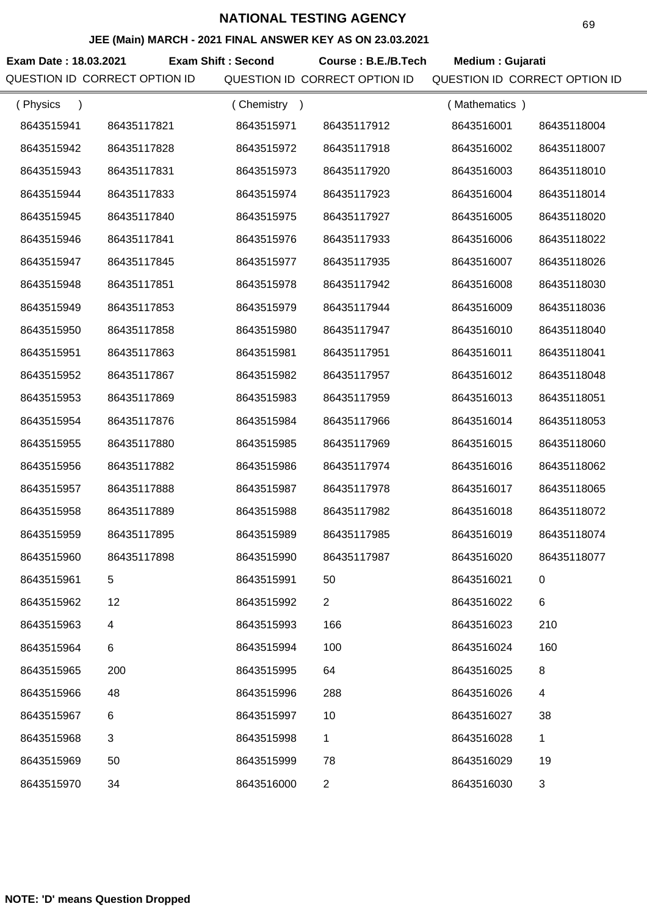## **JEE (Main) MARCH - 2021 FINAL ANSWER KEY AS ON 23.03.2021**

**Exam Date : 18.03.2021 Exam Shift : Second Course : B.E./B.Tech Medium : Gujarati** QUESTION ID CORRECT OPTION ID QUESTION ID CORRECT OPTION ID QUESTION ID CORRECT OPTION ID

| (Physics<br>$\lambda$ |                           | (Chemistry) |                | (Mathematics) |             |
|-----------------------|---------------------------|-------------|----------------|---------------|-------------|
| 8643515941            | 86435117821               | 8643515971  | 86435117912    | 8643516001    | 86435118004 |
| 8643515942            | 86435117828               | 8643515972  | 86435117918    | 8643516002    | 86435118007 |
| 8643515943            | 86435117831               | 8643515973  | 86435117920    | 8643516003    | 86435118010 |
| 8643515944            | 86435117833               | 8643515974  | 86435117923    | 8643516004    | 86435118014 |
| 8643515945            | 86435117840               | 8643515975  | 86435117927    | 8643516005    | 86435118020 |
| 8643515946            | 86435117841               | 8643515976  | 86435117933    | 8643516006    | 86435118022 |
| 8643515947            | 86435117845               | 8643515977  | 86435117935    | 8643516007    | 86435118026 |
| 8643515948            | 86435117851               | 8643515978  | 86435117942    | 8643516008    | 86435118030 |
| 8643515949            | 86435117853               | 8643515979  | 86435117944    | 8643516009    | 86435118036 |
| 8643515950            | 86435117858               | 8643515980  | 86435117947    | 8643516010    | 86435118040 |
| 8643515951            | 86435117863               | 8643515981  | 86435117951    | 8643516011    | 86435118041 |
| 8643515952            | 86435117867               | 8643515982  | 86435117957    | 8643516012    | 86435118048 |
| 8643515953            | 86435117869               | 8643515983  | 86435117959    | 8643516013    | 86435118051 |
| 8643515954            | 86435117876               | 8643515984  | 86435117966    | 8643516014    | 86435118053 |
| 8643515955            | 86435117880               | 8643515985  | 86435117969    | 8643516015    | 86435118060 |
| 8643515956            | 86435117882               | 8643515986  | 86435117974    | 8643516016    | 86435118062 |
| 8643515957            | 86435117888               | 8643515987  | 86435117978    | 8643516017    | 86435118065 |
| 8643515958            | 86435117889               | 8643515988  | 86435117982    | 8643516018    | 86435118072 |
| 8643515959            | 86435117895               | 8643515989  | 86435117985    | 8643516019    | 86435118074 |
| 8643515960            | 86435117898               | 8643515990  | 86435117987    | 8643516020    | 86435118077 |
| 8643515961            | 5                         | 8643515991  | 50             | 8643516021    | 0           |
| 8643515962            | 12                        | 8643515992  | $\overline{2}$ | 8643516022    | 6           |
| 8643515963            | 4                         | 8643515993  | 166            | 8643516023    | 210         |
| 8643515964            | 6                         | 8643515994  | 100            | 8643516024    | 160         |
| 8643515965            | 200                       | 8643515995  | 64             | 8643516025    | 8           |
| 8643515966            | 48                        | 8643515996  | 288            | 8643516026    | 4           |
| 8643515967            | 6                         | 8643515997  | 10             | 8643516027    | 38          |
| 8643515968            | $\ensuremath{\mathsf{3}}$ | 8643515998  | 1              | 8643516028    | 1           |
| 8643515969            | 50                        | 8643515999  | 78             | 8643516029    | 19          |
| 8643515970            | 34                        | 8643516000  | $\overline{2}$ | 8643516030    | 3           |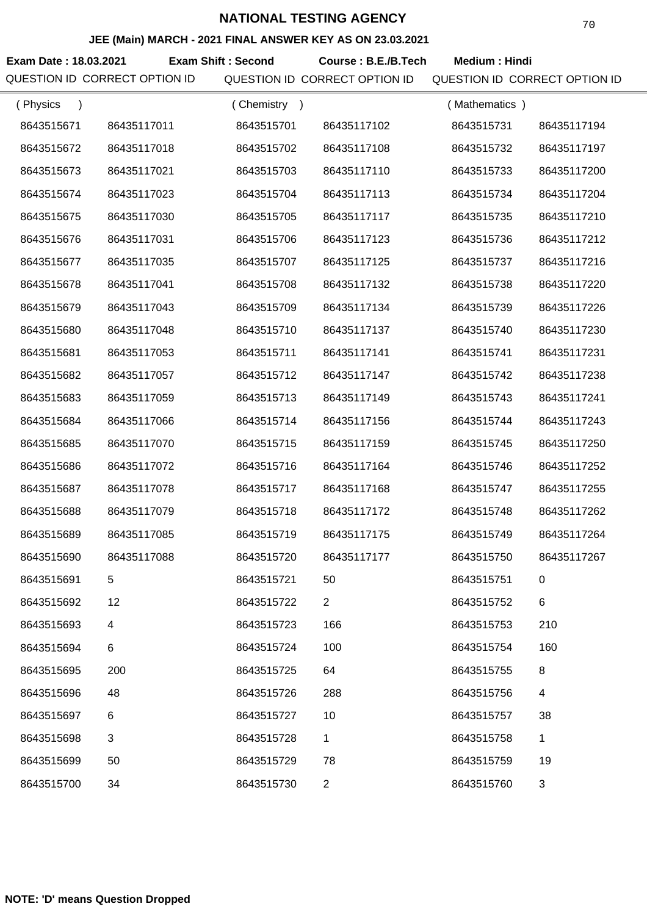### **JEE (Main) MARCH - 2021 FINAL ANSWER KEY AS ON 23.03.2021**

**Exam Date : 18.03.2021 Exam Shift : Second Course : B.E./B.Tech Medium : Hindi** QUESTION ID CORRECT OPTION ID QUESTION ID CORRECT OPTION ID QUESTION ID CORRECT OPTION ID

| (Physics<br>$\lambda$ |             | Chemistry<br>$\rightarrow$ |                | (Mathematics) |             |
|-----------------------|-------------|----------------------------|----------------|---------------|-------------|
| 8643515671            | 86435117011 | 8643515701                 | 86435117102    | 8643515731    | 86435117194 |
| 8643515672            | 86435117018 | 8643515702                 | 86435117108    | 8643515732    | 86435117197 |
| 8643515673            | 86435117021 | 8643515703                 | 86435117110    | 8643515733    | 86435117200 |
| 8643515674            | 86435117023 | 8643515704                 | 86435117113    | 8643515734    | 86435117204 |
| 8643515675            | 86435117030 | 8643515705                 | 86435117117    | 8643515735    | 86435117210 |
| 8643515676            | 86435117031 | 8643515706                 | 86435117123    | 8643515736    | 86435117212 |
| 8643515677            | 86435117035 | 8643515707                 | 86435117125    | 8643515737    | 86435117216 |
| 8643515678            | 86435117041 | 8643515708                 | 86435117132    | 8643515738    | 86435117220 |
| 8643515679            | 86435117043 | 8643515709                 | 86435117134    | 8643515739    | 86435117226 |
| 8643515680            | 86435117048 | 8643515710                 | 86435117137    | 8643515740    | 86435117230 |
| 8643515681            | 86435117053 | 8643515711                 | 86435117141    | 8643515741    | 86435117231 |
| 8643515682            | 86435117057 | 8643515712                 | 86435117147    | 8643515742    | 86435117238 |
| 8643515683            | 86435117059 | 8643515713                 | 86435117149    | 8643515743    | 86435117241 |
| 8643515684            | 86435117066 | 8643515714                 | 86435117156    | 8643515744    | 86435117243 |
| 8643515685            | 86435117070 | 8643515715                 | 86435117159    | 8643515745    | 86435117250 |
| 8643515686            | 86435117072 | 8643515716                 | 86435117164    | 8643515746    | 86435117252 |
| 8643515687            | 86435117078 | 8643515717                 | 86435117168    | 8643515747    | 86435117255 |
| 8643515688            | 86435117079 | 8643515718                 | 86435117172    | 8643515748    | 86435117262 |
| 8643515689            | 86435117085 | 8643515719                 | 86435117175    | 8643515749    | 86435117264 |
| 8643515690            | 86435117088 | 8643515720                 | 86435117177    | 8643515750    | 86435117267 |
| 8643515691            |             | 8643515721                 | 50             | 8643515751    |             |
| 8643515692            | 12          | 8643515722                 | $\overline{2}$ | 8643515752    | 6           |
| 8643515693            | 4           | 8643515723                 | 166            | 8643515753    | 210         |
| 8643515694            | 6           | 8643515724                 | 100            | 8643515754    | 160         |
| 8643515695            | 200         | 8643515725                 | 64             | 8643515755    | 8           |
| 8643515696            | 48          | 8643515726                 | 288            | 8643515756    | 4           |
| 8643515697            | 6           | 8643515727                 | 10             | 8643515757    | 38          |
| 8643515698            | 3           | 8643515728                 | 1              | 8643515758    | 1           |
| 8643515699            | 50          | 8643515729                 | 78             | 8643515759    | 19          |
| 8643515700            | 34          | 8643515730                 | $\overline{2}$ | 8643515760    | 3           |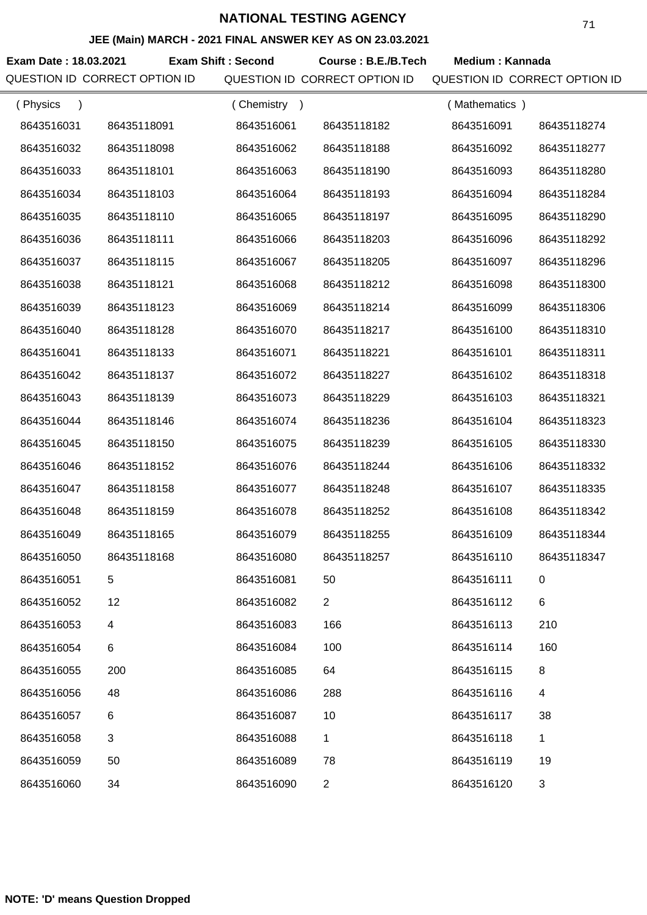### **JEE (Main) MARCH - 2021 FINAL ANSWER KEY AS ON 23.03.2021**

Exam Date : 18.03.2021 Exam Shift : Second Course : B.E./B.Tech Medium : Kannada QUESTION ID CORRECT OPTION ID QUESTION ID CORRECT OPTION ID QUESTION ID CORRECT OPTION ID

| (Physics   |             | (Chemistry)<br>$\rightarrow$ |                | (Mathematics) |                |
|------------|-------------|------------------------------|----------------|---------------|----------------|
| 8643516031 | 86435118091 | 8643516061                   | 86435118182    | 8643516091    | 86435118274    |
| 8643516032 | 86435118098 | 8643516062                   | 86435118188    | 8643516092    | 86435118277    |
| 8643516033 | 86435118101 | 8643516063                   | 86435118190    | 8643516093    | 86435118280    |
| 8643516034 | 86435118103 | 8643516064                   | 86435118193    | 8643516094    | 86435118284    |
| 8643516035 | 86435118110 | 8643516065                   | 86435118197    | 8643516095    | 86435118290    |
| 8643516036 | 86435118111 | 8643516066                   | 86435118203    | 8643516096    | 86435118292    |
| 8643516037 | 86435118115 | 8643516067                   | 86435118205    | 8643516097    | 86435118296    |
| 8643516038 | 86435118121 | 8643516068                   | 86435118212    | 8643516098    | 86435118300    |
| 8643516039 | 86435118123 | 8643516069                   | 86435118214    | 8643516099    | 86435118306    |
| 8643516040 | 86435118128 | 8643516070                   | 86435118217    | 8643516100    | 86435118310    |
| 8643516041 | 86435118133 | 8643516071                   | 86435118221    | 8643516101    | 86435118311    |
| 8643516042 | 86435118137 | 8643516072                   | 86435118227    | 8643516102    | 86435118318    |
| 8643516043 | 86435118139 | 8643516073                   | 86435118229    | 8643516103    | 86435118321    |
| 8643516044 | 86435118146 | 8643516074                   | 86435118236    | 8643516104    | 86435118323    |
| 8643516045 | 86435118150 | 8643516075                   | 86435118239    | 8643516105    | 86435118330    |
| 8643516046 | 86435118152 | 8643516076                   | 86435118244    | 8643516106    | 86435118332    |
| 8643516047 | 86435118158 | 8643516077                   | 86435118248    | 8643516107    | 86435118335    |
| 8643516048 | 86435118159 | 8643516078                   | 86435118252    | 8643516108    | 86435118342    |
| 8643516049 | 86435118165 | 8643516079                   | 86435118255    | 8643516109    | 86435118344    |
| 8643516050 | 86435118168 | 8643516080                   | 86435118257    | 8643516110    | 86435118347    |
| 8643516051 | 5           | 8643516081                   | 50             | 8643516111    | 0              |
| 8643516052 | 12          | 8643516082                   | $\overline{2}$ | 8643516112    | $\,6$          |
| 8643516053 | 4           | 8643516083                   | 166            | 8643516113    | 210            |
| 8643516054 | 6           | 8643516084                   | 100            | 8643516114    | 160            |
| 8643516055 | 200         | 8643516085                   | 64             | 8643516115    | 8              |
| 8643516056 | 48          | 8643516086                   | 288            | 8643516116    | 4              |
| 8643516057 | 6           | 8643516087                   | 10             | 8643516117    | 38             |
| 8643516058 | 3           | 8643516088                   | 1              | 8643516118    | $\mathbf{1}$   |
| 8643516059 | 50          | 8643516089                   | 78             | 8643516119    | 19             |
| 8643516060 | 34          | 8643516090                   | $\overline{2}$ | 8643516120    | $\mathfrak{B}$ |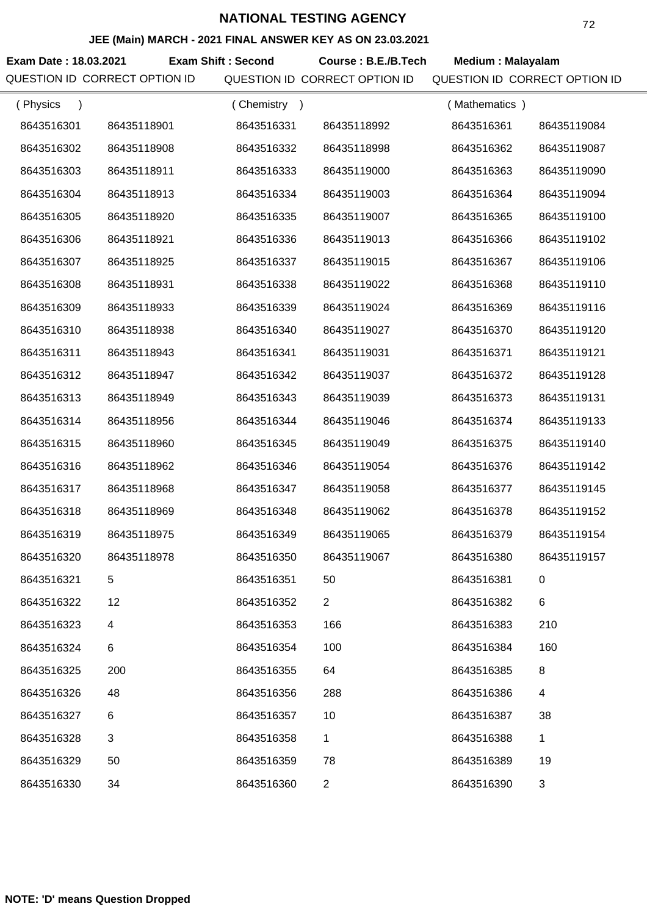## **JEE (Main) MARCH - 2021 FINAL ANSWER KEY AS ON 23.03.2021**

**Exam Date : 18.03.2021 Exam Shift : Second Course : B.E./B.Tech Medium : Malayalam** QUESTION ID CORRECT OPTION ID QUESTION ID CORRECT OPTION ID QUESTION ID CORRECT OPTION ID

| (Physics<br>$\lambda$ |                | (Chemistry) |                | (Mathematics) |             |
|-----------------------|----------------|-------------|----------------|---------------|-------------|
| 8643516301            | 86435118901    | 8643516331  | 86435118992    | 8643516361    | 86435119084 |
| 8643516302            | 86435118908    | 8643516332  | 86435118998    | 8643516362    | 86435119087 |
| 8643516303            | 86435118911    | 8643516333  | 86435119000    | 8643516363    | 86435119090 |
| 8643516304            | 86435118913    | 8643516334  | 86435119003    | 8643516364    | 86435119094 |
| 8643516305            | 86435118920    | 8643516335  | 86435119007    | 8643516365    | 86435119100 |
| 8643516306            | 86435118921    | 8643516336  | 86435119013    | 8643516366    | 86435119102 |
| 8643516307            | 86435118925    | 8643516337  | 86435119015    | 8643516367    | 86435119106 |
| 8643516308            | 86435118931    | 8643516338  | 86435119022    | 8643516368    | 86435119110 |
| 8643516309            | 86435118933    | 8643516339  | 86435119024    | 8643516369    | 86435119116 |
| 8643516310            | 86435118938    | 8643516340  | 86435119027    | 8643516370    | 86435119120 |
| 8643516311            | 86435118943    | 8643516341  | 86435119031    | 8643516371    | 86435119121 |
| 8643516312            | 86435118947    | 8643516342  | 86435119037    | 8643516372    | 86435119128 |
| 8643516313            | 86435118949    | 8643516343  | 86435119039    | 8643516373    | 86435119131 |
| 8643516314            | 86435118956    | 8643516344  | 86435119046    | 8643516374    | 86435119133 |
| 8643516315            | 86435118960    | 8643516345  | 86435119049    | 8643516375    | 86435119140 |
| 8643516316            | 86435118962    | 8643516346  | 86435119054    | 8643516376    | 86435119142 |
| 8643516317            | 86435118968    | 8643516347  | 86435119058    | 8643516377    | 86435119145 |
| 8643516318            | 86435118969    | 8643516348  | 86435119062    | 8643516378    | 86435119152 |
| 8643516319            | 86435118975    | 8643516349  | 86435119065    | 8643516379    | 86435119154 |
| 8643516320            | 86435118978    | 8643516350  | 86435119067    | 8643516380    | 86435119157 |
| 8643516321            | 5              | 8643516351  | 50             | 8643516381    | 0           |
| 8643516322            | 12             | 8643516352  | $\mathbf{2}$   | 8643516382    | 6           |
| 8643516323            | 4              | 8643516353  | 166            | 8643516383    | 210         |
| 8643516324            | 6              | 8643516354  | 100            | 8643516384    | 160         |
| 8643516325            | 200            | 8643516355  | 64             | 8643516385    | 8           |
| 8643516326            | 48             | 8643516356  | 288            | 8643516386    | 4           |
| 8643516327            | 6              | 8643516357  | 10             | 8643516387    | 38          |
| 8643516328            | $\mathfrak{B}$ | 8643516358  | 1              | 8643516388    | $\mathbf 1$ |
| 8643516329            | 50             | 8643516359  | 78             | 8643516389    | 19          |
| 8643516330            | 34             | 8643516360  | $\overline{2}$ | 8643516390    | 3           |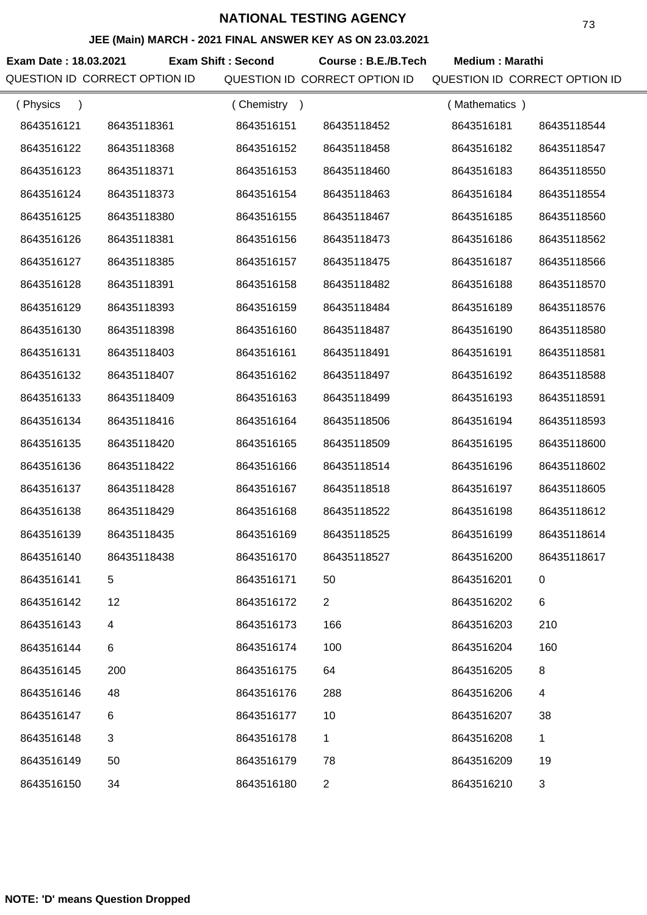#### **JEE (Main) MARCH - 2021 FINAL ANSWER KEY AS ON 23.03.2021**

**Exam Date : 18.03.2021 Course : B.E./B.Tech Medium : Marathi Exam Shift : Second** QUESTION ID CORRECT OPTION ID QUESTION ID CORRECT OPTION ID QUESTION ID CORRECT OPTION ID

| (Physics   |             | (Chemistry<br>$\rightarrow$ |                | (Mathematics) |             |
|------------|-------------|-----------------------------|----------------|---------------|-------------|
| 8643516121 | 86435118361 | 8643516151                  | 86435118452    | 8643516181    | 86435118544 |
| 8643516122 | 86435118368 | 8643516152                  | 86435118458    | 8643516182    | 86435118547 |
| 8643516123 | 86435118371 | 8643516153                  | 86435118460    | 8643516183    | 86435118550 |
| 8643516124 | 86435118373 | 8643516154                  | 86435118463    | 8643516184    | 86435118554 |
| 8643516125 | 86435118380 | 8643516155                  | 86435118467    | 8643516185    | 86435118560 |
| 8643516126 | 86435118381 | 8643516156                  | 86435118473    | 8643516186    | 86435118562 |
| 8643516127 | 86435118385 | 8643516157                  | 86435118475    | 8643516187    | 86435118566 |
| 8643516128 | 86435118391 | 8643516158                  | 86435118482    | 8643516188    | 86435118570 |
| 8643516129 | 86435118393 | 8643516159                  | 86435118484    | 8643516189    | 86435118576 |
| 8643516130 | 86435118398 | 8643516160                  | 86435118487    | 8643516190    | 86435118580 |
| 8643516131 | 86435118403 | 8643516161                  | 86435118491    | 8643516191    | 86435118581 |
| 8643516132 | 86435118407 | 8643516162                  | 86435118497    | 8643516192    | 86435118588 |
| 8643516133 | 86435118409 | 8643516163                  | 86435118499    | 8643516193    | 86435118591 |
| 8643516134 | 86435118416 | 8643516164                  | 86435118506    | 8643516194    | 86435118593 |
| 8643516135 | 86435118420 | 8643516165                  | 86435118509    | 8643516195    | 86435118600 |
| 8643516136 | 86435118422 | 8643516166                  | 86435118514    | 8643516196    | 86435118602 |
| 8643516137 | 86435118428 | 8643516167                  | 86435118518    | 8643516197    | 86435118605 |
| 8643516138 | 86435118429 | 8643516168                  | 86435118522    | 8643516198    | 86435118612 |
| 8643516139 | 86435118435 | 8643516169                  | 86435118525    | 8643516199    | 86435118614 |
| 8643516140 | 86435118438 | 8643516170                  | 86435118527    | 8643516200    | 86435118617 |
| 8643516141 | 5           | 8643516171                  | 50             | 8643516201    | 0           |
| 8643516142 | 12          | 8643516172                  | $\overline{2}$ | 8643516202    | $\,6$       |
| 8643516143 | 4           | 8643516173                  | 166            | 8643516203    | 210         |
| 8643516144 | 6           | 8643516174                  | 100            | 8643516204    | 160         |
| 8643516145 | 200         | 8643516175                  | 64             | 8643516205    | 8           |
| 8643516146 | 48          | 8643516176                  | 288            | 8643516206    | 4           |
| 8643516147 | 6           | 8643516177                  | 10             | 8643516207    | 38          |
| 8643516148 | $\sqrt{3}$  | 8643516178                  | $\mathbf 1$    | 8643516208    | 1           |
| 8643516149 | 50          | 8643516179                  | 78             | 8643516209    | 19          |
| 8643516150 | 34          | 8643516180                  | $\overline{c}$ | 8643516210    | 3           |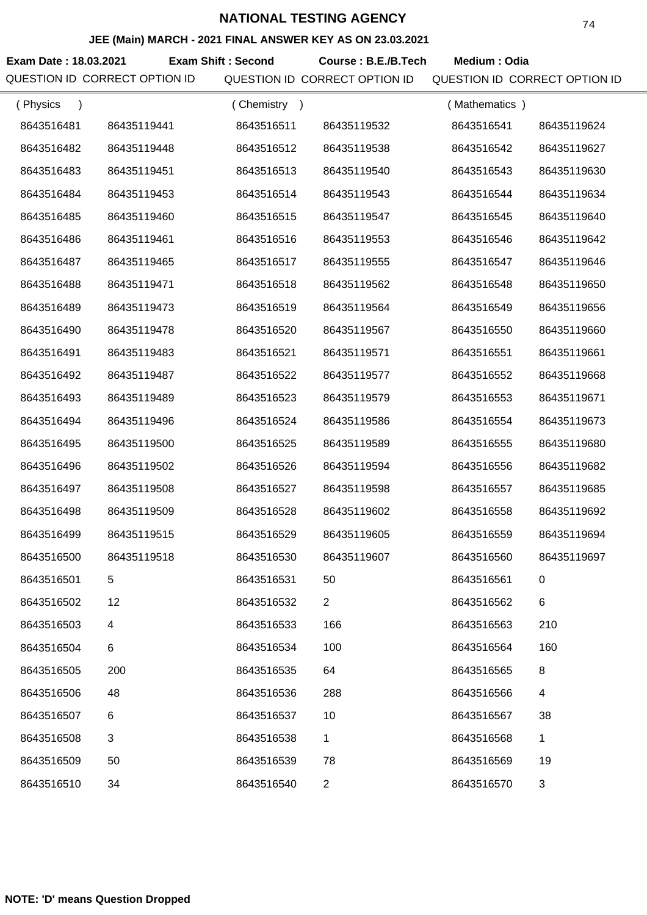### **JEE (Main) MARCH - 2021 FINAL ANSWER KEY AS ON 23.03.2021**

**Exam Date : 18.03.2021 Exam Shift : Second Course : B.E./B.Tech Medium : Odia** 

QUESTION ID CORRECT OPTION ID QUESTION ID CORRECT OPTION ID QUESTION ID CORRECT OPTION ID

| (Physics   |             | (Chemistry<br>$\rightarrow$ |                | (Mathematics) |                |
|------------|-------------|-----------------------------|----------------|---------------|----------------|
| 8643516481 | 86435119441 | 8643516511                  | 86435119532    | 8643516541    | 86435119624    |
| 8643516482 | 86435119448 | 8643516512                  | 86435119538    | 8643516542    | 86435119627    |
| 8643516483 | 86435119451 | 8643516513                  | 86435119540    | 8643516543    | 86435119630    |
| 8643516484 | 86435119453 | 8643516514                  | 86435119543    | 8643516544    | 86435119634    |
| 8643516485 | 86435119460 | 8643516515                  | 86435119547    | 8643516545    | 86435119640    |
| 8643516486 | 86435119461 | 8643516516                  | 86435119553    | 8643516546    | 86435119642    |
| 8643516487 | 86435119465 | 8643516517                  | 86435119555    | 8643516547    | 86435119646    |
| 8643516488 | 86435119471 | 8643516518                  | 86435119562    | 8643516548    | 86435119650    |
| 8643516489 | 86435119473 | 8643516519                  | 86435119564    | 8643516549    | 86435119656    |
| 8643516490 | 86435119478 | 8643516520                  | 86435119567    | 8643516550    | 86435119660    |
| 8643516491 | 86435119483 | 8643516521                  | 86435119571    | 8643516551    | 86435119661    |
| 8643516492 | 86435119487 | 8643516522                  | 86435119577    | 8643516552    | 86435119668    |
| 8643516493 | 86435119489 | 8643516523                  | 86435119579    | 8643516553    | 86435119671    |
| 8643516494 | 86435119496 | 8643516524                  | 86435119586    | 8643516554    | 86435119673    |
| 8643516495 | 86435119500 | 8643516525                  | 86435119589    | 8643516555    | 86435119680    |
| 8643516496 | 86435119502 | 8643516526                  | 86435119594    | 8643516556    | 86435119682    |
| 8643516497 | 86435119508 | 8643516527                  | 86435119598    | 8643516557    | 86435119685    |
| 8643516498 | 86435119509 | 8643516528                  | 86435119602    | 8643516558    | 86435119692    |
| 8643516499 | 86435119515 | 8643516529                  | 86435119605    | 8643516559    | 86435119694    |
| 8643516500 | 86435119518 | 8643516530                  | 86435119607    | 8643516560    | 86435119697    |
| 8643516501 | 5           | 8643516531                  | 50             | 8643516561    |                |
| 8643516502 | 12          | 8643516532                  | $\overline{2}$ | 8643516562    | 6              |
| 8643516503 | 4           | 8643516533                  | 166            | 8643516563    | 210            |
| 8643516504 | 6           | 8643516534                  | 100            | 8643516564    | 160            |
| 8643516505 | 200         | 8643516535                  | 64             | 8643516565    | 8              |
| 8643516506 | 48          | 8643516536                  | 288            | 8643516566    | 4              |
| 8643516507 | 6           | 8643516537                  | 10             | 8643516567    | 38             |
| 8643516508 | 3           | 8643516538                  | 1              | 8643516568    | 1              |
| 8643516509 | 50          | 8643516539                  | 78             | 8643516569    | 19             |
| 8643516510 | 34          | 8643516540                  | $\overline{2}$ | 8643516570    | $\mathfrak{S}$ |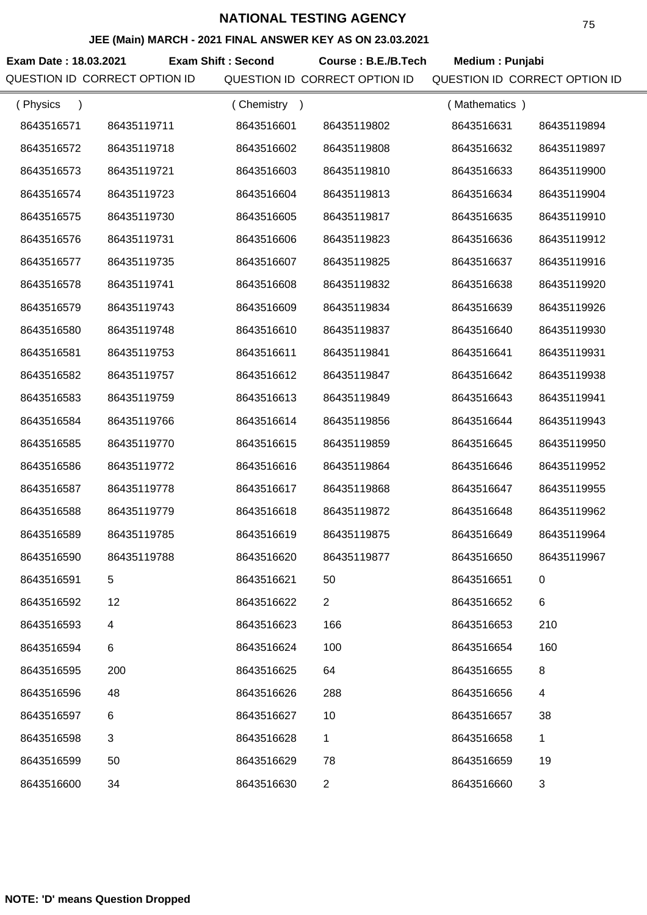### **JEE (Main) MARCH - 2021 FINAL ANSWER KEY AS ON 23.03.2021**

**Exam Date : 18.03.2021 Course : B.E./B.Tech Medium : Punjabi Exam Shift : Second** QUESTION ID CORRECT OPTION ID QUESTION ID CORRECT OPTION ID QUESTION ID CORRECT OPTION ID

| (Physics   |             | (Chemistry<br>$\rightarrow$ |                | (Mathematics) |              |
|------------|-------------|-----------------------------|----------------|---------------|--------------|
| 8643516571 | 86435119711 | 8643516601                  | 86435119802    | 8643516631    | 86435119894  |
| 8643516572 | 86435119718 | 8643516602                  | 86435119808    | 8643516632    | 86435119897  |
| 8643516573 | 86435119721 | 8643516603                  | 86435119810    | 8643516633    | 86435119900  |
| 8643516574 | 86435119723 | 8643516604                  | 86435119813    | 8643516634    | 86435119904  |
| 8643516575 | 86435119730 | 8643516605                  | 86435119817    | 8643516635    | 86435119910  |
| 8643516576 | 86435119731 | 8643516606                  | 86435119823    | 8643516636    | 86435119912  |
| 8643516577 | 86435119735 | 8643516607                  | 86435119825    | 8643516637    | 86435119916  |
| 8643516578 | 86435119741 | 8643516608                  | 86435119832    | 8643516638    | 86435119920  |
| 8643516579 | 86435119743 | 8643516609                  | 86435119834    | 8643516639    | 86435119926  |
| 8643516580 | 86435119748 | 8643516610                  | 86435119837    | 8643516640    | 86435119930  |
| 8643516581 | 86435119753 | 8643516611                  | 86435119841    | 8643516641    | 86435119931  |
| 8643516582 | 86435119757 | 8643516612                  | 86435119847    | 8643516642    | 86435119938  |
| 8643516583 | 86435119759 | 8643516613                  | 86435119849    | 8643516643    | 86435119941  |
| 8643516584 | 86435119766 | 8643516614                  | 86435119856    | 8643516644    | 86435119943  |
| 8643516585 | 86435119770 | 8643516615                  | 86435119859    | 8643516645    | 86435119950  |
| 8643516586 | 86435119772 | 8643516616                  | 86435119864    | 8643516646    | 86435119952  |
| 8643516587 | 86435119778 | 8643516617                  | 86435119868    | 8643516647    | 86435119955  |
| 8643516588 | 86435119779 | 8643516618                  | 86435119872    | 8643516648    | 86435119962  |
| 8643516589 | 86435119785 | 8643516619                  | 86435119875    | 8643516649    | 86435119964  |
| 8643516590 | 86435119788 | 8643516620                  | 86435119877    | 8643516650    | 86435119967  |
| 8643516591 | 5           | 8643516621                  | 50             | 8643516651    | 0            |
| 8643516592 | 12          | 8643516622                  | $\overline{2}$ | 8643516652    | 6            |
| 8643516593 | 4           | 8643516623                  | 166            | 8643516653    | 210          |
| 8643516594 | 6           | 8643516624                  | 100            | 8643516654    | 160          |
| 8643516595 | 200         | 8643516625                  | 64             | 8643516655    | 8            |
| 8643516596 | 48          | 8643516626                  | 288            | 8643516656    | 4            |
| 8643516597 | 6           | 8643516627                  | 10             | 8643516657    | 38           |
| 8643516598 | 3           | 8643516628                  | 1              | 8643516658    | $\mathbf{1}$ |
| 8643516599 | 50          | 8643516629                  | 78             | 8643516659    | 19           |
| 8643516600 | 34          | 8643516630                  | $\overline{2}$ | 8643516660    | 3            |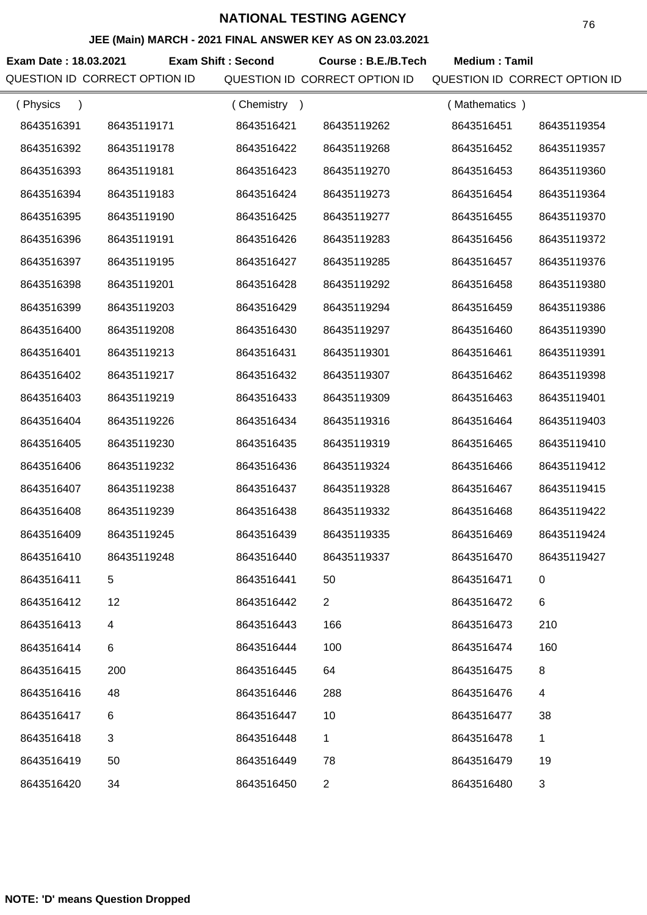#### **JEE (Main) MARCH - 2021 FINAL ANSWER KEY AS ON 23.03.2021**

**Exam Date : 18.03.2021 Course : B.E./B.Tech Medium : Tamil Exam Shift : Second** QUESTION ID CORRECT OPTION ID QUESTION ID CORRECT OPTION ID QUESTION ID CORRECT OPTION ID

| (Physics   |             | (Chemistry<br>$\rightarrow$ |                | (Mathematics) |                |
|------------|-------------|-----------------------------|----------------|---------------|----------------|
| 8643516391 | 86435119171 | 8643516421                  | 86435119262    | 8643516451    | 86435119354    |
| 8643516392 | 86435119178 | 8643516422                  | 86435119268    | 8643516452    | 86435119357    |
| 8643516393 | 86435119181 | 8643516423                  | 86435119270    | 8643516453    | 86435119360    |
| 8643516394 | 86435119183 | 8643516424                  | 86435119273    | 8643516454    | 86435119364    |
| 8643516395 | 86435119190 | 8643516425                  | 86435119277    | 8643516455    | 86435119370    |
| 8643516396 | 86435119191 | 8643516426                  | 86435119283    | 8643516456    | 86435119372    |
| 8643516397 | 86435119195 | 8643516427                  | 86435119285    | 8643516457    | 86435119376    |
| 8643516398 | 86435119201 | 8643516428                  | 86435119292    | 8643516458    | 86435119380    |
| 8643516399 | 86435119203 | 8643516429                  | 86435119294    | 8643516459    | 86435119386    |
| 8643516400 | 86435119208 | 8643516430                  | 86435119297    | 8643516460    | 86435119390    |
| 8643516401 | 86435119213 | 8643516431                  | 86435119301    | 8643516461    | 86435119391    |
| 8643516402 | 86435119217 | 8643516432                  | 86435119307    | 8643516462    | 86435119398    |
| 8643516403 | 86435119219 | 8643516433                  | 86435119309    | 8643516463    | 86435119401    |
| 8643516404 | 86435119226 | 8643516434                  | 86435119316    | 8643516464    | 86435119403    |
| 8643516405 | 86435119230 | 8643516435                  | 86435119319    | 8643516465    | 86435119410    |
| 8643516406 | 86435119232 | 8643516436                  | 86435119324    | 8643516466    | 86435119412    |
| 8643516407 | 86435119238 | 8643516437                  | 86435119328    | 8643516467    | 86435119415    |
| 8643516408 | 86435119239 | 8643516438                  | 86435119332    | 8643516468    | 86435119422    |
| 8643516409 | 86435119245 | 8643516439                  | 86435119335    | 8643516469    | 86435119424    |
| 8643516410 | 86435119248 | 8643516440                  | 86435119337    | 8643516470    | 86435119427    |
| 8643516411 | 5           | 8643516441                  | 50             | 8643516471    | 0              |
| 8643516412 | 12          | 8643516442                  | $\overline{2}$ | 8643516472    | $\,6$          |
| 8643516413 | 4           | 8643516443                  | 166            | 8643516473    | 210            |
| 8643516414 | 6           | 8643516444                  | 100            | 8643516474    | 160            |
| 8643516415 | 200         | 8643516445                  | 64             | 8643516475    | 8              |
| 8643516416 | 48          | 8643516446                  | 288            | 8643516476    | $\overline{4}$ |
| 8643516417 | 6           | 8643516447                  | 10             | 8643516477    | 38             |
| 8643516418 | $\sqrt{3}$  | 8643516448                  | 1              | 8643516478    | $\mathbf{1}$   |
| 8643516419 | 50          | 8643516449                  | 78             | 8643516479    | 19             |
| 8643516420 | 34          | 8643516450                  | $\overline{2}$ | 8643516480    | 3              |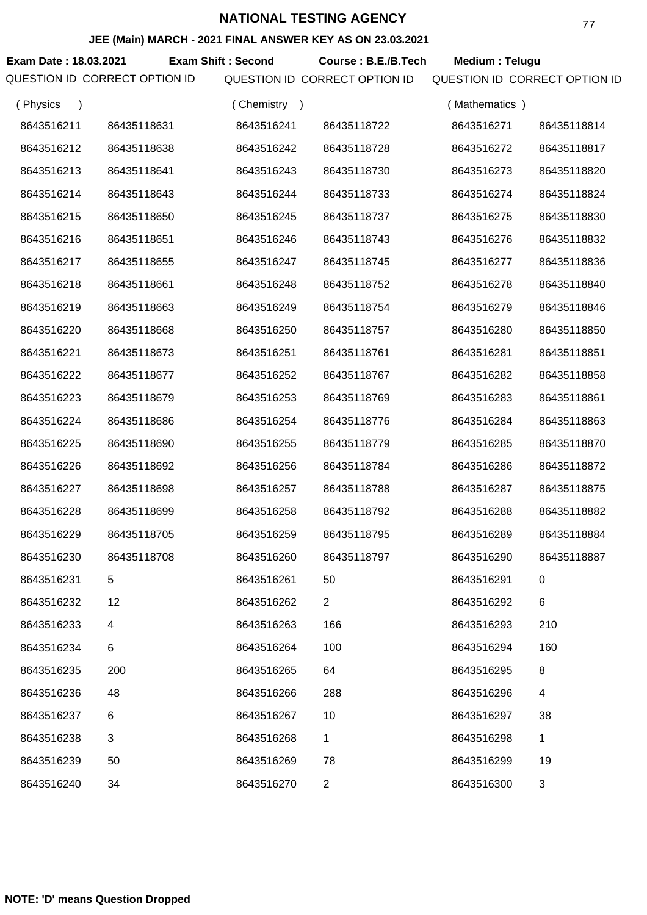### **JEE (Main) MARCH - 2021 FINAL ANSWER KEY AS ON 23.03.2021**

Exam Date : 18.03.2021 Exam Shift : Second Course : B.E./B.Tech Medium : Telugu QUESTION ID CORRECT OPTION ID QUESTION ID CORRECT OPTION ID QUESTION ID CORRECT OPTION ID

| (Physics<br>$\lambda$ |             | (Chemistry) |                | (Mathematics) |             |
|-----------------------|-------------|-------------|----------------|---------------|-------------|
| 8643516211            | 86435118631 | 8643516241  | 86435118722    | 8643516271    | 86435118814 |
| 8643516212            | 86435118638 | 8643516242  | 86435118728    | 8643516272    | 86435118817 |
| 8643516213            | 86435118641 | 8643516243  | 86435118730    | 8643516273    | 86435118820 |
| 8643516214            | 86435118643 | 8643516244  | 86435118733    | 8643516274    | 86435118824 |
| 8643516215            | 86435118650 | 8643516245  | 86435118737    | 8643516275    | 86435118830 |
| 8643516216            | 86435118651 | 8643516246  | 86435118743    | 8643516276    | 86435118832 |
| 8643516217            | 86435118655 | 8643516247  | 86435118745    | 8643516277    | 86435118836 |
| 8643516218            | 86435118661 | 8643516248  | 86435118752    | 8643516278    | 86435118840 |
| 8643516219            | 86435118663 | 8643516249  | 86435118754    | 8643516279    | 86435118846 |
| 8643516220            | 86435118668 | 8643516250  | 86435118757    | 8643516280    | 86435118850 |
| 8643516221            | 86435118673 | 8643516251  | 86435118761    | 8643516281    | 86435118851 |
| 8643516222            | 86435118677 | 8643516252  | 86435118767    | 8643516282    | 86435118858 |
| 8643516223            | 86435118679 | 8643516253  | 86435118769    | 8643516283    | 86435118861 |
| 8643516224            | 86435118686 | 8643516254  | 86435118776    | 8643516284    | 86435118863 |
| 8643516225            | 86435118690 | 8643516255  | 86435118779    | 8643516285    | 86435118870 |
| 8643516226            | 86435118692 | 8643516256  | 86435118784    | 8643516286    | 86435118872 |
| 8643516227            | 86435118698 | 8643516257  | 86435118788    | 8643516287    | 86435118875 |
| 8643516228            | 86435118699 | 8643516258  | 86435118792    | 8643516288    | 86435118882 |
| 8643516229            | 86435118705 | 8643516259  | 86435118795    | 8643516289    | 86435118884 |
| 8643516230            | 86435118708 | 8643516260  | 86435118797    | 8643516290    | 86435118887 |
| 8643516231            | 5           | 8643516261  | 50             | 8643516291    | 0           |
| 8643516232            | 12          | 8643516262  | 2              | 8643516292    | $\,6$       |
| 8643516233            | 4           | 8643516263  | 166            | 8643516293    | 210         |
| 8643516234            | 6           | 8643516264  | 100            | 8643516294    | 160         |
| 8643516235            | 200         | 8643516265  | 64             | 8643516295    | 8           |
| 8643516236            | 48          | 8643516266  | 288            | 8643516296    | 4           |
| 8643516237            | 6           | 8643516267  | 10             | 8643516297    | 38          |
| 8643516238            | 3           | 8643516268  | 1              | 8643516298    | 1           |
| 8643516239            | 50          | 8643516269  | 78             | 8643516299    | 19          |
| 8643516240            | 34          | 8643516270  | $\overline{a}$ | 8643516300    | 3           |